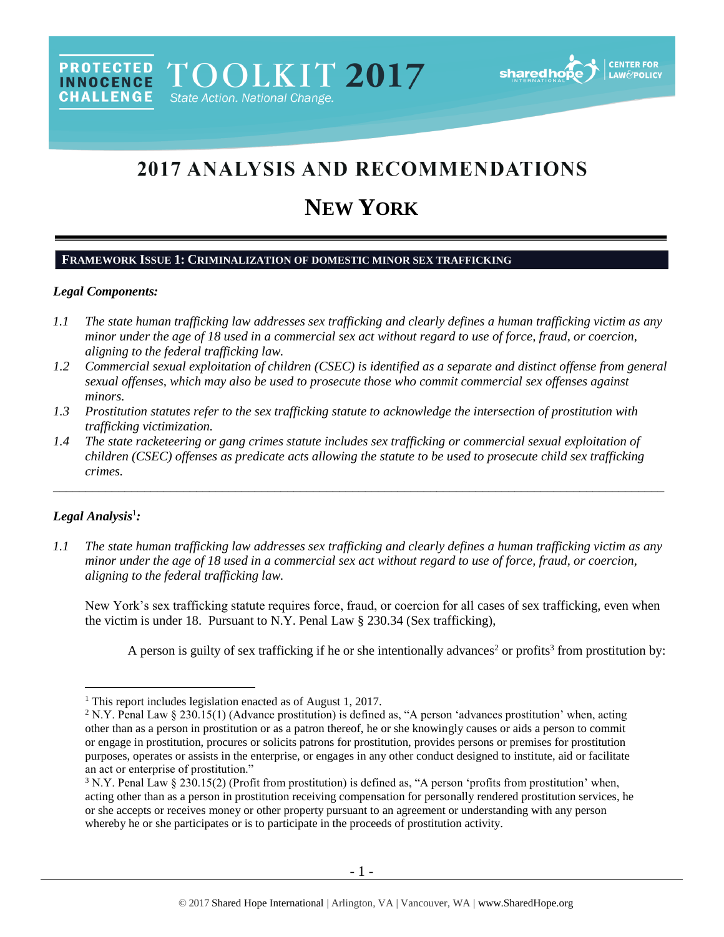# 2017 ANALYSIS AND RECOMMENDATIONS

# **NEW YORK**

## **FRAMEWORK ISSUE 1: CRIMINALIZATION OF DOMESTIC MINOR SEX TRAFFICKING**

#### *Legal Components:*

- *1.1 The state human trafficking law addresses sex trafficking and clearly defines a human trafficking victim as any minor under the age of 18 used in a commercial sex act without regard to use of force, fraud, or coercion, aligning to the federal trafficking law.*
- *1.2 Commercial sexual exploitation of children (CSEC) is identified as a separate and distinct offense from general sexual offenses, which may also be used to prosecute those who commit commercial sex offenses against minors.*
- *1.3 Prostitution statutes refer to the sex trafficking statute to acknowledge the intersection of prostitution with trafficking victimization.*
- *1.4 The state racketeering or gang crimes statute includes sex trafficking or commercial sexual exploitation of children (CSEC) offenses as predicate acts allowing the statute to be used to prosecute child sex trafficking crimes.*

\_\_\_\_\_\_\_\_\_\_\_\_\_\_\_\_\_\_\_\_\_\_\_\_\_\_\_\_\_\_\_\_\_\_\_\_\_\_\_\_\_\_\_\_\_\_\_\_\_\_\_\_\_\_\_\_\_\_\_\_\_\_\_\_\_\_\_\_\_\_\_\_\_\_\_\_\_\_\_\_\_\_\_\_\_\_\_\_\_\_\_\_\_\_

### *Legal Analysis*<sup>1</sup> *:*

 $\overline{a}$ 

*1.1 The state human trafficking law addresses sex trafficking and clearly defines a human trafficking victim as any minor under the age of 18 used in a commercial sex act without regard to use of force, fraud, or coercion, aligning to the federal trafficking law.*

New York's sex trafficking statute requires force, fraud, or coercion for all cases of sex trafficking, even when the victim is under 18. Pursuant to N.Y. Penal Law § 230.34 (Sex trafficking),

<span id="page-0-1"></span><span id="page-0-0"></span>A person is guilty of sex trafficking if he or she intentionally advances<sup>2</sup> or profits<sup>3</sup> from prostitution by:

<sup>1</sup> This report includes legislation enacted as of August 1, 2017.

<sup>&</sup>lt;sup>2</sup> N.Y. Penal Law § 230.15(1) (Advance prostitution) is defined as, "A person 'advances prostitution' when, acting other than as a person in prostitution or as a patron thereof, he or she knowingly causes or aids a person to commit or engage in prostitution, procures or solicits patrons for prostitution, provides persons or premises for prostitution purposes, operates or assists in the enterprise, or engages in any other conduct designed to institute, aid or facilitate an act or enterprise of prostitution."

 $3$  N.Y. Penal Law  $\S 230.15(2)$  (Profit from prostitution) is defined as, "A person 'profits from prostitution' when, acting other than as a person in prostitution receiving compensation for personally rendered prostitution services, he or she accepts or receives money or other property pursuant to an agreement or understanding with any person whereby he or she participates or is to participate in the proceeds of prostitution activity.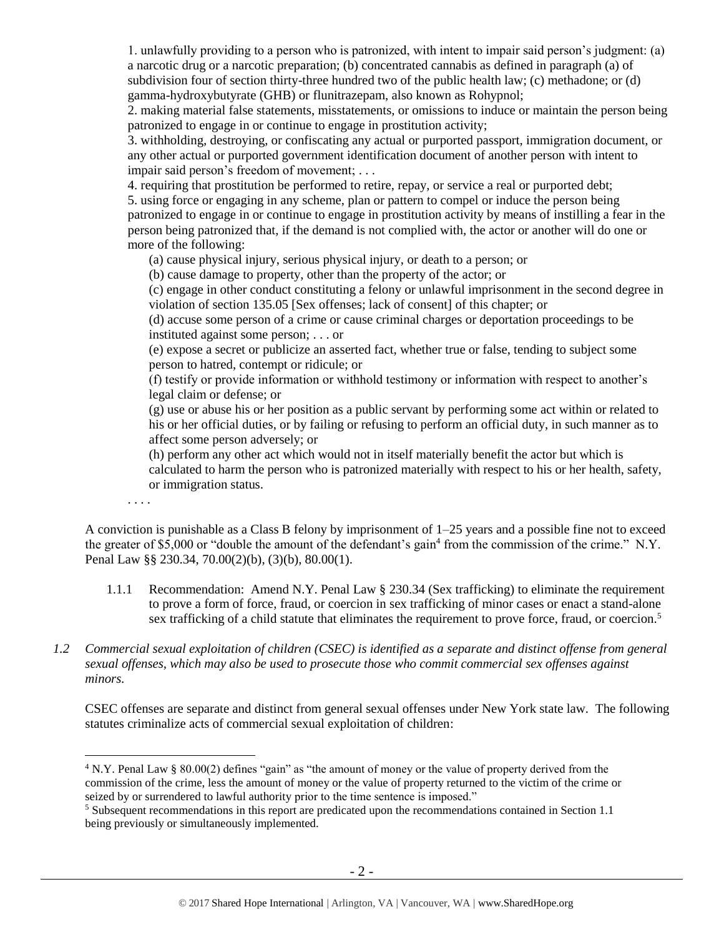1. unlawfully providing to a person who is patronized, with intent to impair said person's judgment: (a) a narcotic drug or a narcotic preparation; (b) concentrated cannabis as defined in paragraph (a) of subdivision four of section thirty-three hundred two of the public health law; (c) methadone; or (d) gamma-hydroxybutyrate (GHB) or flunitrazepam, also known as Rohypnol;

2. making material false statements, misstatements, or omissions to induce or maintain the person being patronized to engage in or continue to engage in prostitution activity;

3. withholding, destroying, or confiscating any actual or purported passport, immigration document, or any other actual or purported government identification document of another person with intent to impair said person's freedom of movement; . . .

4. requiring that prostitution be performed to retire, repay, or service a real or purported debt;

5. using force or engaging in any scheme, plan or pattern to compel or induce the person being patronized to engage in or continue to engage in prostitution activity by means of instilling a fear in the person being patronized that, if the demand is not complied with, the actor or another will do one or more of the following:

(a) cause physical injury, serious physical injury, or death to a person; or

(b) cause damage to property, other than the property of the actor; or

(c) engage in other conduct constituting a felony or unlawful imprisonment in the second degree in violation of section 135.05 [Sex offenses; lack of consent] of this chapter; or

(d) accuse some person of a crime or cause criminal charges or deportation proceedings to be instituted against some person; . . . or

(e) expose a secret or publicize an asserted fact, whether true or false, tending to subject some person to hatred, contempt or ridicule; or

(f) testify or provide information or withhold testimony or information with respect to another's legal claim or defense; or

(g) use or abuse his or her position as a public servant by performing some act within or related to his or her official duties, or by failing or refusing to perform an official duty, in such manner as to affect some person adversely; or

(h) perform any other act which would not in itself materially benefit the actor but which is calculated to harm the person who is patronized materially with respect to his or her health, safety, or immigration status.

. . . .

 $\overline{a}$ 

A conviction is punishable as a Class B felony by imprisonment of 1–25 years and a possible fine not to exceed the greater of \$5,000 or "double the amount of the defendant's gain<sup>4</sup> from the commission of the crime." N.Y. Penal Law §§ 230.34, 70.00(2)(b), (3)(b), 80.00(1).

1.1.1 Recommendation: Amend N.Y. Penal Law § 230.34 (Sex trafficking) to eliminate the requirement to prove a form of force, fraud, or coercion in sex trafficking of minor cases or enact a stand-alone sex trafficking of a child statute that eliminates the requirement to prove force, fraud, or coercion.<sup>5</sup>

### *1.2 Commercial sexual exploitation of children (CSEC) is identified as a separate and distinct offense from general sexual offenses, which may also be used to prosecute those who commit commercial sex offenses against minors.*

CSEC offenses are separate and distinct from general sexual offenses under New York state law. The following statutes criminalize acts of commercial sexual exploitation of children:

<sup>4</sup> N.Y. Penal Law § 80.00(2) defines "gain" as "the amount of money or the value of property derived from the commission of the crime, less the amount of money or the value of property returned to the victim of the crime or seized by or surrendered to lawful authority prior to the time sentence is imposed."

<sup>5</sup> Subsequent recommendations in this report are predicated upon the recommendations contained in Section 1.1 being previously or simultaneously implemented.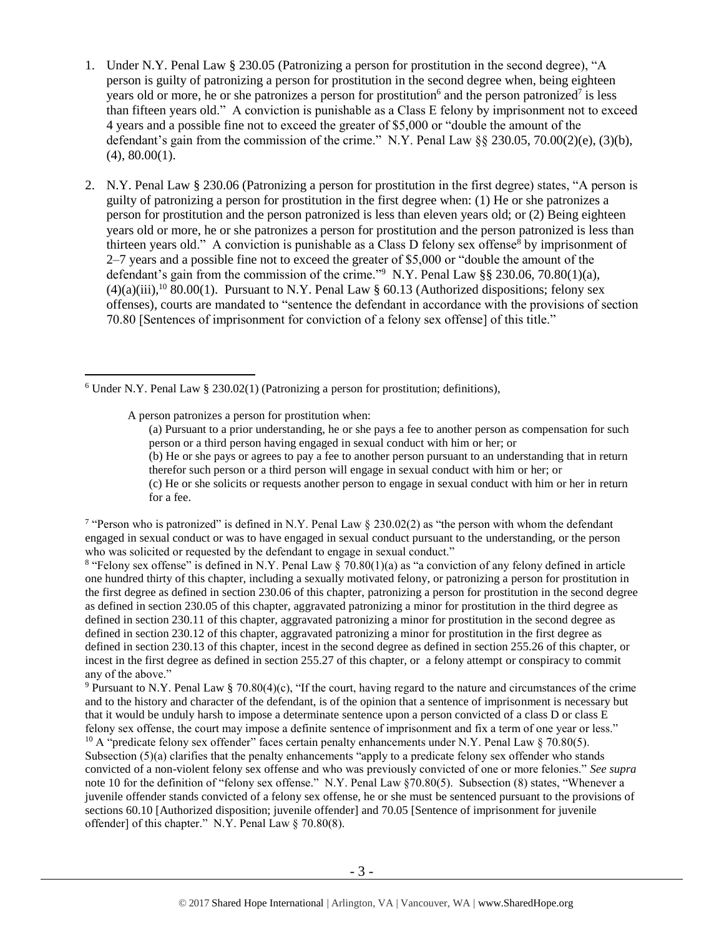- 1. Under N.Y. Penal Law § 230.05 (Patronizing a person for prostitution in the second degree), "A person is guilty of patronizing a person for prostitution in the second degree when, being eighteen years old or more, he or she patronizes a person for prostitution<sup>6</sup> and the person patronized<sup>7</sup> is less than fifteen years old." A conviction is punishable as a Class E felony by imprisonment not to exceed 4 years and a possible fine not to exceed the greater of \$5,000 or "double the amount of the defendant's gain from the commission of the crime." N.Y. Penal Law  $\S$ § 230.05, 70.00(2)(e), (3)(b), (4), 80.00(1).
- 2. N.Y. Penal Law § 230.06 (Patronizing a person for prostitution in the first degree) states, "A person is guilty of patronizing a person for prostitution in the first degree when: (1) He or she patronizes a person for prostitution and the person patronized is less than eleven years old; or (2) Being eighteen years old or more, he or she patronizes a person for prostitution and the person patronized is less than thirteen years old." A conviction is punishable as a Class D felony sex offense<sup>8</sup> by imprisonment of 2–7 years and a possible fine not to exceed the greater of \$5,000 or "double the amount of the defendant's gain from the commission of the crime."<sup>9</sup> N.Y. Penal Law §§ 230.06, 70.80(1)(a),  $(4)(a)(iii)$ ,<sup>10</sup> 80.00(1). Pursuant to N.Y. Penal Law § 60.13 (Authorized dispositions; felony sex offenses), courts are mandated to "sentence the defendant in accordance with the provisions of section 70.80 [Sentences of imprisonment for conviction of a felony sex offense] of this title."

A person patronizes a person for prostitution when:

 $\overline{a}$ 

<span id="page-2-0"></span>(a) Pursuant to a prior understanding, he or she pays a fee to another person as compensation for such person or a third person having engaged in sexual conduct with him or her; or

(b) He or she pays or agrees to pay a fee to another person pursuant to an understanding that in return therefor such person or a third person will engage in sexual conduct with him or her; or (c) He or she solicits or requests another person to engage in sexual conduct with him or her in return

for a fee.

<sup>7</sup> "Person who is patronized" is defined in N.Y. Penal Law  $\S$  230.02(2) as "the person with whom the defendant engaged in sexual conduct or was to have engaged in sexual conduct pursuant to the understanding, or the person who was solicited or requested by the defendant to engage in sexual conduct."

<sup>8</sup> "Felony sex offense" is defined in N.Y. Penal Law § 70.80(1)(a) as "a conviction of any felony defined in article one hundred thirty of this chapter, including a sexually motivated felony, or patronizing a person for prostitution in the first degree as defined in section 230.06 of this chapter, patronizing a person for prostitution in the second degree as defined in section 230.05 of this chapter, aggravated patronizing a minor for prostitution in the third degree as defined in section 230.11 of this chapter, aggravated patronizing a minor for prostitution in the second degree as defined in section 230.12 of this chapter, aggravated patronizing a minor for prostitution in the first degree as defined in section 230.13 of this chapter, incest in the second degree as defined in section 255.26 of this chapter, or incest in the first degree as defined in section 255.27 of this chapter, or a felony attempt or conspiracy to commit any of the above."

<sup>9</sup> Pursuant to N.Y. Penal Law § 70.80(4)(c), "If the court, having regard to the nature and circumstances of the crime and to the history and character of the defendant, is of the opinion that a sentence of imprisonment is necessary but that it would be unduly harsh to impose a determinate sentence upon a person convicted of a class D or class E felony sex offense, the court may impose a definite sentence of imprisonment and fix a term of one year or less." <sup>10</sup> A "predicate felony sex offender" faces certain penalty enhancements under N.Y. Penal Law § 70.80(5).

Subsection (5)(a) clarifies that the penalty enhancements "apply to a predicate felony sex offender who stands convicted of a non-violent felony sex offense and who was previously convicted of one or more felonies." *See supra*  note 10 for the definition of "felony sex offense." N.Y. Penal Law §70.80(5). Subsection (8) states, "Whenever a juvenile offender stands convicted of a felony sex offense, he or she must be sentenced pursuant to the provisions of sections 60.10 [Authorized disposition; juvenile offender] and 70.05 [Sentence of imprisonment for juvenile offender] of this chapter." N.Y. Penal Law § 70.80(8).

 $6$  Under N.Y. Penal Law  $\S$  230.02(1) (Patronizing a person for prostitution; definitions),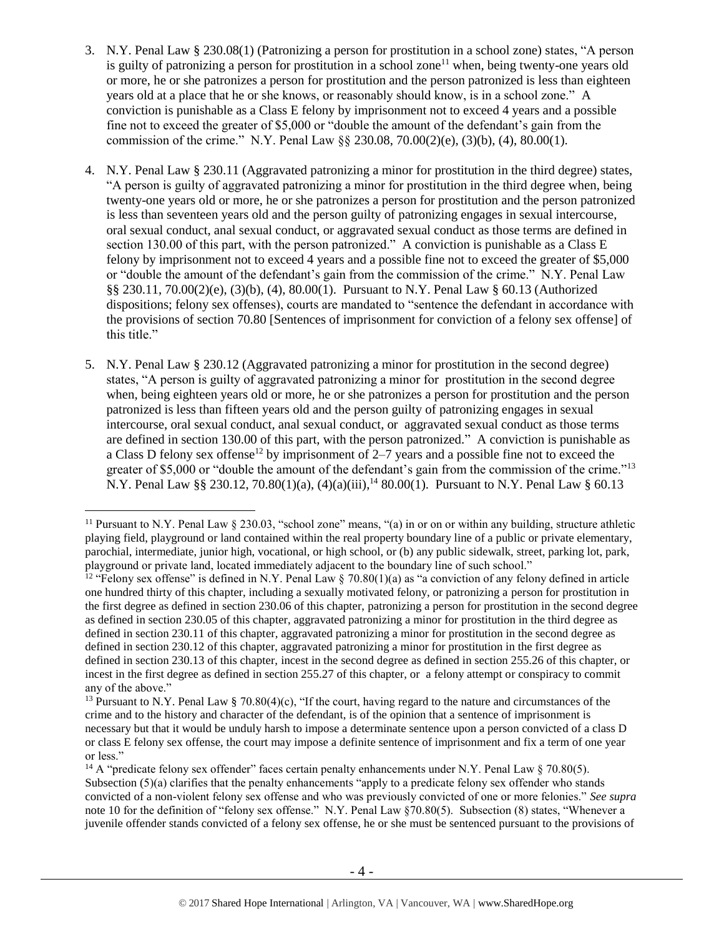- 3. N.Y. Penal Law § 230.08(1) (Patronizing a person for prostitution in a school zone) states, "A person is guilty of patronizing a person for prostitution in a school zone<sup>11</sup> when, being twenty-one years old or more, he or she patronizes a person for prostitution and the person patronized is less than eighteen years old at a place that he or she knows, or reasonably should know, is in a school zone." A conviction is punishable as a Class E felony by imprisonment not to exceed 4 years and a possible fine not to exceed the greater of \$5,000 or "double the amount of the defendant's gain from the commission of the crime." N.Y. Penal Law §§ 230.08, 70.00(2)(e), (3)(b), (4), 80.00(1).
- 4. N.Y. Penal Law § 230.11 (Aggravated patronizing a minor for prostitution in the third degree) states, "A person is guilty of aggravated patronizing a minor for prostitution in the third degree when, being twenty-one years old or more, he or she patronizes a person for prostitution and the person patronized is less than seventeen years old and the person guilty of patronizing engages in sexual intercourse, oral sexual conduct, anal sexual conduct, or aggravated sexual conduct as those terms are defined in section 130.00 of this part, with the person patronized." A conviction is punishable as a Class E felony by imprisonment not to exceed 4 years and a possible fine not to exceed the greater of \$5,000 or "double the amount of the defendant's gain from the commission of the crime." N.Y. Penal Law §§ 230.11, 70.00(2)(e), (3)(b), (4), 80.00(1). Pursuant to N.Y. Penal Law § 60.13 (Authorized dispositions; felony sex offenses), courts are mandated to "sentence the defendant in accordance with the provisions of section 70.80 [Sentences of imprisonment for conviction of a felony sex offense] of this title."
- 5. N.Y. Penal Law § 230.12 (Aggravated patronizing a minor for prostitution in the second degree) states, "A person is guilty of aggravated patronizing a minor for prostitution in the second degree when, being eighteen years old or more, he or she patronizes a person for prostitution and the person patronized is less than fifteen years old and the person guilty of patronizing engages in sexual intercourse, oral sexual conduct, anal sexual conduct, or aggravated sexual conduct as those terms are defined in section 130.00 of this part, with the person patronized." A conviction is punishable as a Class D felony sex offense<sup>12</sup> by imprisonment of 2–7 years and a possible fine not to exceed the greater of \$5,000 or "double the amount of the defendant's gain from the commission of the crime."<sup>13</sup> N.Y. Penal Law §§ 230.12, 70.80(1)(a), (4)(a)(iii),<sup>14</sup> 80.00(1). Pursuant to N.Y. Penal Law § 60.13

<sup>&</sup>lt;sup>11</sup> Pursuant to N.Y. Penal Law  $\S 230.03$ , "school zone" means, "(a) in or on or within any building, structure athletic playing field, playground or land contained within the real property boundary line of a public or private elementary, parochial, intermediate, junior high, vocational, or high school, or (b) any public sidewalk, street, parking lot, park, playground or private land, located immediately adjacent to the boundary line of such school."

<sup>&</sup>lt;sup>12</sup> "Felony sex offense" is defined in N.Y. Penal Law § 70.80(1)(a) as "a conviction of any felony defined in article one hundred thirty of this chapter, including a sexually motivated felony, or patronizing a person for prostitution in the first degree as defined in section 230.06 of this chapter, patronizing a person for prostitution in the second degree as defined in section 230.05 of this chapter, aggravated patronizing a minor for prostitution in the third degree as defined in section 230.11 of this chapter, aggravated patronizing a minor for prostitution in the second degree as defined in section 230.12 of this chapter, aggravated patronizing a minor for prostitution in the first degree as defined in section 230.13 of this chapter, incest in the second degree as defined in section 255.26 of this chapter, or incest in the first degree as defined in section 255.27 of this chapter, or a felony attempt or conspiracy to commit any of the above."

<sup>&</sup>lt;sup>13</sup> Pursuant to N.Y. Penal Law § 70.80(4)(c), "If the court, having regard to the nature and circumstances of the crime and to the history and character of the defendant, is of the opinion that a sentence of imprisonment is necessary but that it would be unduly harsh to impose a determinate sentence upon a person convicted of a class D or class E felony sex offense, the court may impose a definite sentence of imprisonment and fix a term of one year or less."

<sup>&</sup>lt;sup>14</sup> A "predicate felony sex offender" faces certain penalty enhancements under N.Y. Penal Law § 70.80(5). Subsection (5)(a) clarifies that the penalty enhancements "apply to a predicate felony sex offender who stands convicted of a non-violent felony sex offense and who was previously convicted of one or more felonies." *See supra*  note 10 for the definition of "felony sex offense." N.Y. Penal Law §70.80(5). Subsection (8) states, "Whenever a juvenile offender stands convicted of a felony sex offense, he or she must be sentenced pursuant to the provisions of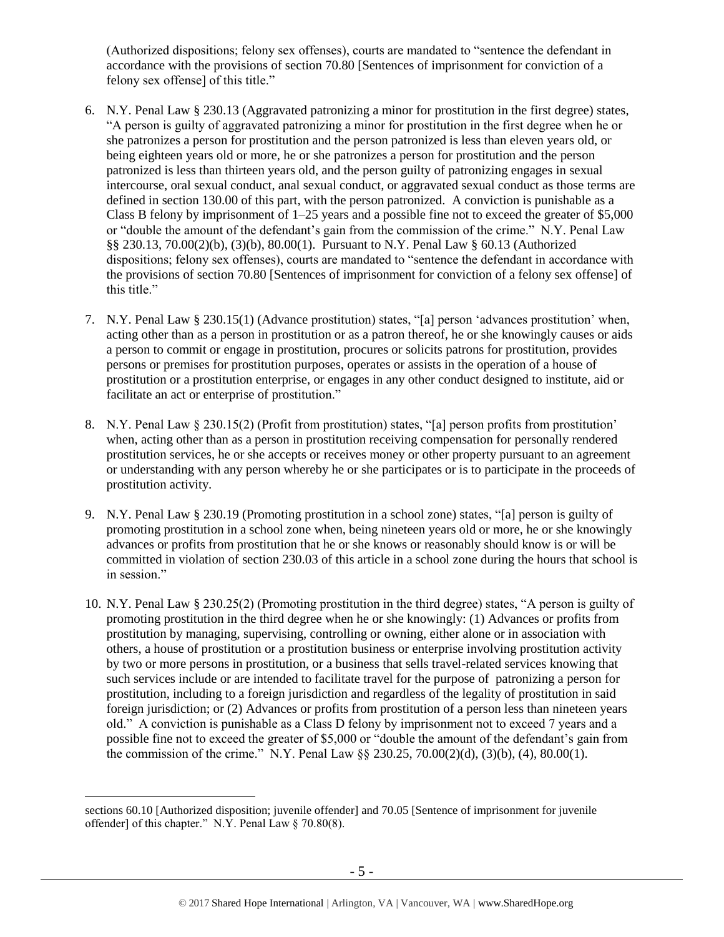(Authorized dispositions; felony sex offenses), courts are mandated to "sentence the defendant in accordance with the provisions of section 70.80 [Sentences of imprisonment for conviction of a felony sex offense] of this title."

- 6. N.Y. Penal Law § 230.13 (Aggravated patronizing a minor for prostitution in the first degree) states, "A person is guilty of aggravated patronizing a minor for prostitution in the first degree when he or she patronizes a person for prostitution and the person patronized is less than eleven years old, or being eighteen years old or more, he or she patronizes a person for prostitution and the person patronized is less than thirteen years old, and the person guilty of patronizing engages in sexual intercourse, oral sexual conduct, anal sexual conduct, or aggravated sexual conduct as those terms are defined in section 130.00 of this part, with the person patronized. A conviction is punishable as a Class B felony by imprisonment of  $1-25$  years and a possible fine not to exceed the greater of \$5,000 or "double the amount of the defendant's gain from the commission of the crime." N.Y. Penal Law §§ 230.13, 70.00(2)(b), (3)(b), 80.00(1). Pursuant to N.Y. Penal Law § 60.13 (Authorized dispositions; felony sex offenses), courts are mandated to "sentence the defendant in accordance with the provisions of section 70.80 [Sentences of imprisonment for conviction of a felony sex offense] of this title."
- 7. N.Y. Penal Law § 230.15(1) (Advance prostitution) states, "[a] person 'advances prostitution' when, acting other than as a person in prostitution or as a patron thereof, he or she knowingly causes or aids a person to commit or engage in prostitution, procures or solicits patrons for prostitution, provides persons or premises for prostitution purposes, operates or assists in the operation of a house of prostitution or a prostitution enterprise, or engages in any other conduct designed to institute, aid or facilitate an act or enterprise of prostitution."
- 8. N.Y. Penal Law § 230.15(2) (Profit from prostitution) states, "[a] person profits from prostitution' when, acting other than as a person in prostitution receiving compensation for personally rendered prostitution services, he or she accepts or receives money or other property pursuant to an agreement or understanding with any person whereby he or she participates or is to participate in the proceeds of prostitution activity.
- 9. N.Y. Penal Law § 230.19 (Promoting prostitution in a school zone) states, "[a] person is guilty of promoting prostitution in a school zone when, being nineteen years old or more, he or she knowingly advances or profits from prostitution that he or she knows or reasonably should know is or will be committed in violation of section 230.03 of this article in a school zone during the hours that school is in session."
- 10. N.Y. Penal Law § 230.25(2) (Promoting prostitution in the third degree) states, "A person is guilty of promoting prostitution in the third degree when he or she knowingly: (1) Advances or profits from prostitution by managing, supervising, controlling or owning, either alone or in association with others, a house of prostitution or a prostitution business or enterprise involving prostitution activity by two or more persons in prostitution, or a business that sells travel-related services knowing that such services include or are intended to facilitate travel for the purpose of patronizing a person for prostitution, including to a foreign jurisdiction and regardless of the legality of prostitution in said foreign jurisdiction; or (2) Advances or profits from prostitution of a person less than nineteen years old." A conviction is punishable as a Class D felony by imprisonment not to exceed 7 years and a possible fine not to exceed the greater of \$5,000 or "double the amount of the defendant's gain from the commission of the crime." N.Y. Penal Law  $\S$  230.25, 70.00(2)(d), (3)(b), (4), 80.00(1).

sections 60.10 [Authorized disposition; juvenile offender] and 70.05 [Sentence of imprisonment for juvenile offender] of this chapter." N.Y. Penal Law § 70.80(8).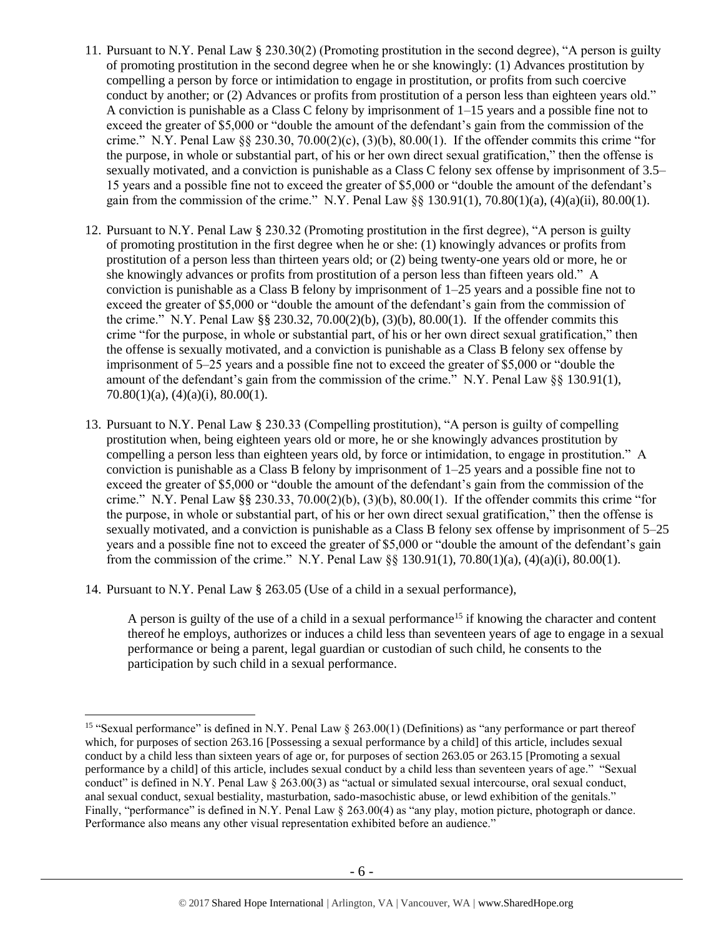- 11. Pursuant to N.Y. Penal Law § 230.30(2) (Promoting prostitution in the second degree), "A person is guilty of promoting prostitution in the second degree when he or she knowingly: (1) Advances prostitution by compelling a person by force or intimidation to engage in prostitution, or profits from such coercive conduct by another; or (2) Advances or profits from prostitution of a person less than eighteen years old." A conviction is punishable as a Class C felony by imprisonment of  $1-15$  years and a possible fine not to exceed the greater of \$5,000 or "double the amount of the defendant's gain from the commission of the crime." N.Y. Penal Law  $\S$  230.30, 70.00(2)(c), (3)(b), 80.00(1). If the offender commits this crime "for the purpose, in whole or substantial part, of his or her own direct sexual gratification," then the offense is sexually motivated, and a conviction is punishable as a Class C felony sex offense by imprisonment of 3.5– 15 years and a possible fine not to exceed the greater of \$5,000 or "double the amount of the defendant's gain from the commission of the crime." N.Y. Penal Law  $\S$ § 130.91(1), 70.80(1)(a), (4)(a)(ii), 80.00(1).
- 12. Pursuant to N.Y. Penal Law § 230.32 (Promoting prostitution in the first degree), "A person is guilty of promoting prostitution in the first degree when he or she: (1) knowingly advances or profits from prostitution of a person less than thirteen years old; or (2) being twenty-one years old or more, he or she knowingly advances or profits from prostitution of a person less than fifteen years old." A conviction is punishable as a Class B felony by imprisonment of 1–25 years and a possible fine not to exceed the greater of \$5,000 or "double the amount of the defendant's gain from the commission of the crime." N.Y. Penal Law §§ 230.32, 70.00(2)(b), (3)(b), 80.00(1). If the offender commits this crime "for the purpose, in whole or substantial part, of his or her own direct sexual gratification," then the offense is sexually motivated, and a conviction is punishable as a Class B felony sex offense by imprisonment of 5–25 years and a possible fine not to exceed the greater of \$5,000 or "double the amount of the defendant's gain from the commission of the crime." N.Y. Penal Law  $\S$ § 130.91(1), 70.80(1)(a), (4)(a)(i), 80.00(1).
- 13. Pursuant to N.Y. Penal Law § 230.33 (Compelling prostitution), "A person is guilty of compelling prostitution when, being eighteen years old or more, he or she knowingly advances prostitution by compelling a person less than eighteen years old, by force or intimidation, to engage in prostitution." A conviction is punishable as a Class B felony by imprisonment of 1–25 years and a possible fine not to exceed the greater of \$5,000 or "double the amount of the defendant's gain from the commission of the crime." N.Y. Penal Law  $\S$  230.33, 70.00(2)(b), (3)(b), 80.00(1). If the offender commits this crime "for the purpose, in whole or substantial part, of his or her own direct sexual gratification," then the offense is sexually motivated, and a conviction is punishable as a Class B felony sex offense by imprisonment of 5–25 years and a possible fine not to exceed the greater of \$5,000 or "double the amount of the defendant's gain from the commission of the crime." N.Y. Penal Law  $\S$  130.91(1), 70.80(1)(a), (4)(a)(i), 80.00(1).
- 14. Pursuant to N.Y. Penal Law § 263.05 (Use of a child in a sexual performance),

<span id="page-5-0"></span>A person is guilty of the use of a child in a sexual performance<sup>15</sup> if knowing the character and content thereof he employs, authorizes or induces a child less than seventeen years of age to engage in a sexual performance or being a parent, legal guardian or custodian of such child, he consents to the participation by such child in a sexual performance.

 $\overline{a}$ <sup>15</sup> "Sexual performance" is defined in N.Y. Penal Law  $\S$  263.00(1) (Definitions) as "any performance or part thereof which, for purposes of section 263.16 [Possessing a sexual performance by a child] of this article, includes sexual conduct by a child less than sixteen years of age or, for purposes of section 263.05 or 263.15 [Promoting a sexual performance by a child] of this article, includes sexual conduct by a child less than seventeen years of age." "Sexual conduct" is defined in N.Y. Penal Law § 263.00(3) as "actual or simulated sexual intercourse, oral sexual conduct, anal sexual conduct, sexual bestiality, masturbation, sado-masochistic abuse, or lewd exhibition of the genitals." Finally, "performance" is defined in N.Y. Penal Law § 263.00(4) as "any play, motion picture, photograph or dance. Performance also means any other visual representation exhibited before an audience."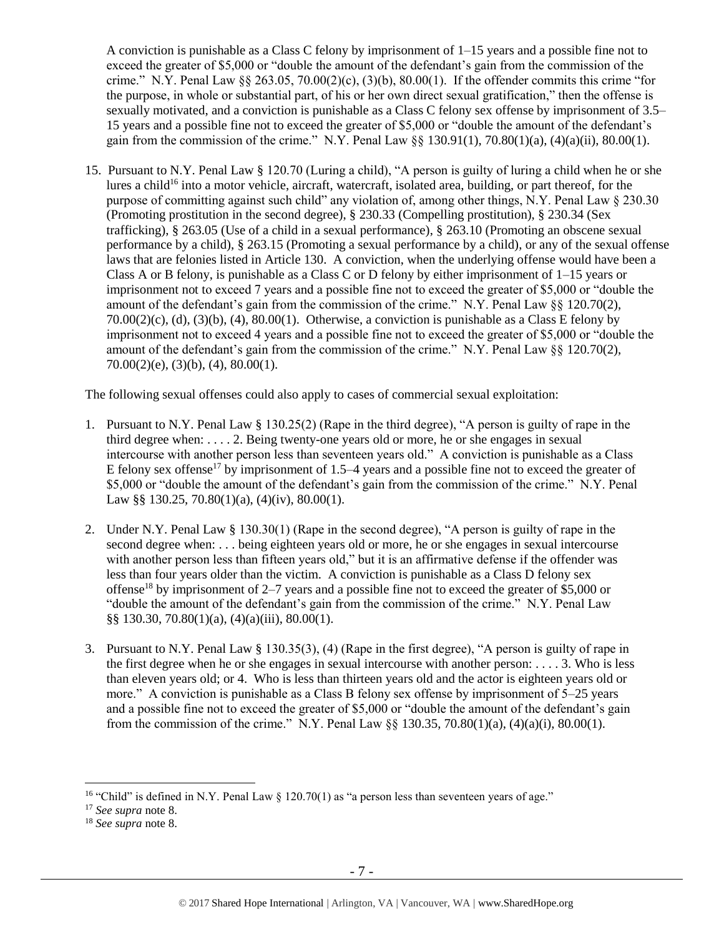A conviction is punishable as a Class C felony by imprisonment of 1–15 years and a possible fine not to exceed the greater of \$5,000 or "double the amount of the defendant's gain from the commission of the crime." N.Y. Penal Law  $\S 263.05$ ,  $70.00(2)(c)$ ,  $(3)(b)$ ,  $80.00(1)$ . If the offender commits this crime "for the purpose, in whole or substantial part, of his or her own direct sexual gratification," then the offense is sexually motivated, and a conviction is punishable as a Class C felony sex offense by imprisonment of 3.5– 15 years and a possible fine not to exceed the greater of \$5,000 or "double the amount of the defendant's gain from the commission of the crime." N.Y. Penal Law  $\S$ § 130.91(1), 70.80(1)(a), (4)(a)(ii), 80.00(1).

15. Pursuant to N.Y. Penal Law § 120.70 (Luring a child), "A person is guilty of luring a child when he or she lures a child<sup>16</sup> into a motor vehicle, aircraft, watercraft, isolated area, building, or part thereof, for the purpose of committing against such child" any violation of, among other things, N.Y. Penal Law § 230.30 (Promoting prostitution in the second degree), § 230.33 (Compelling prostitution), § 230.34 (Sex trafficking), § 263.05 (Use of a child in a sexual performance), § 263.10 (Promoting an obscene sexual performance by a child), § 263.15 (Promoting a sexual performance by a child), or any of the sexual offense laws that are felonies listed in Article 130. A conviction, when the underlying offense would have been a Class A or B felony, is punishable as a Class C or D felony by either imprisonment of  $1-15$  years or imprisonment not to exceed 7 years and a possible fine not to exceed the greater of \$5,000 or "double the amount of the defendant's gain from the commission of the crime." N.Y. Penal Law  $\S$ § 120.70(2),  $70.00(2)(c)$ , (d), (3)(b), (4), 80.00(1). Otherwise, a conviction is punishable as a Class E felony by imprisonment not to exceed 4 years and a possible fine not to exceed the greater of \$5,000 or "double the amount of the defendant's gain from the commission of the crime." N.Y. Penal Law §§ 120.70(2),  $70.00(2)(e)$ ,  $(3)(b)$ ,  $(4)$ ,  $80.00(1)$ .

The following sexual offenses could also apply to cases of commercial sexual exploitation:

- 1. Pursuant to N.Y. Penal Law § 130.25(2) (Rape in the third degree), "A person is guilty of rape in the third degree when: . . . . 2. Being twenty-one years old or more, he or she engages in sexual intercourse with another person less than seventeen years old." A conviction is punishable as a Class E felony sex offense<sup>17</sup> by imprisonment of 1.5–4 years and a possible fine not to exceed the greater of \$5,000 or "double the amount of the defendant's gain from the commission of the crime." N.Y. Penal Law §§ 130.25, 70.80(1)(a), (4)(iv), 80.00(1).
- 2. Under N.Y. Penal Law § 130.30(1) (Rape in the second degree), "A person is guilty of rape in the second degree when: . . . being eighteen years old or more, he or she engages in sexual intercourse with another person less than fifteen years old," but it is an affirmative defense if the offender was less than four years older than the victim. A conviction is punishable as a Class D felony sex offense<sup>18</sup> by imprisonment of 2–7 years and a possible fine not to exceed the greater of \$5,000 or "double the amount of the defendant's gain from the commission of the crime." N.Y. Penal Law §§ 130.30, 70.80(1)(a), (4)(a)(iii), 80.00(1).
- 3. Pursuant to N.Y. Penal Law § 130.35(3), (4) (Rape in the first degree), "A person is guilty of rape in the first degree when he or she engages in sexual intercourse with another person: . . . . 3. Who is less than eleven years old; or 4. Who is less than thirteen years old and the actor is eighteen years old or more." A conviction is punishable as a Class B felony sex offense by imprisonment of 5–25 years and a possible fine not to exceed the greater of \$5,000 or "double the amount of the defendant's gain from the commission of the crime." N.Y. Penal Law §§ 130.35, 70.80(1)(a), (4)(a)(i), 80.00(1).

<sup>&</sup>lt;sup>16</sup> "Child" is defined in N.Y. Penal Law  $\S$  120.70(1) as "a person less than seventeen years of age."

<sup>17</sup> *See supra* note [8.](#page-2-0)

<sup>18</sup> *See supra* note [8.](#page-2-0)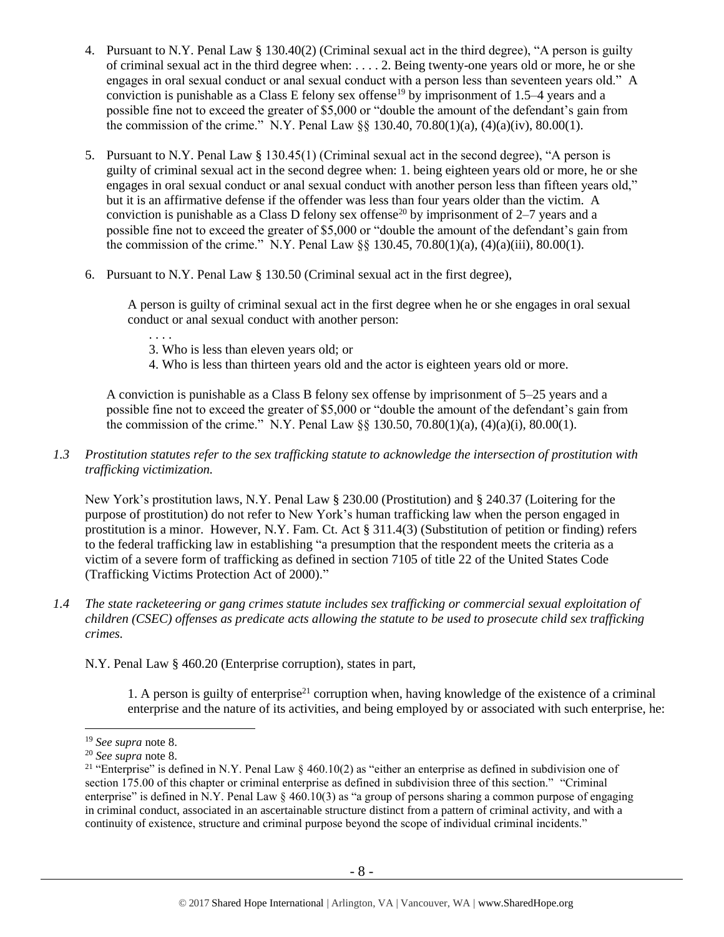- 4. Pursuant to N.Y. Penal Law § 130.40(2) (Criminal sexual act in the third degree), "A person is guilty of criminal sexual act in the third degree when: . . . . 2. Being twenty-one years old or more, he or she engages in oral sexual conduct or anal sexual conduct with a person less than seventeen years old." A conviction is punishable as a Class E felony sex offense<sup>19</sup> by imprisonment of 1.5–4 years and a possible fine not to exceed the greater of \$5,000 or "double the amount of the defendant's gain from the commission of the crime." N.Y. Penal Law  $\S$  130.40, 70.80(1)(a), (4)(a)(iv), 80.00(1).
- 5. Pursuant to N.Y. Penal Law § 130.45(1) (Criminal sexual act in the second degree), "A person is guilty of criminal sexual act in the second degree when: 1. being eighteen years old or more, he or she engages in oral sexual conduct or anal sexual conduct with another person less than fifteen years old," but it is an affirmative defense if the offender was less than four years older than the victim. A conviction is punishable as a Class D felony sex offense<sup>20</sup> by imprisonment of  $2-7$  years and a possible fine not to exceed the greater of \$5,000 or "double the amount of the defendant's gain from the commission of the crime." N.Y. Penal Law  $\S$  130.45, 70.80(1)(a), (4)(a)(iii), 80.00(1).
- 6. Pursuant to N.Y. Penal Law § 130.50 (Criminal sexual act in the first degree),

A person is guilty of criminal sexual act in the first degree when he or she engages in oral sexual conduct or anal sexual conduct with another person:

- . . . .
- 3. Who is less than eleven years old; or
- 4. Who is less than thirteen years old and the actor is eighteen years old or more.

A conviction is punishable as a Class B felony sex offense by imprisonment of 5–25 years and a possible fine not to exceed the greater of \$5,000 or "double the amount of the defendant's gain from the commission of the crime." N.Y. Penal Law  $\frac{8}{9}$  130.50, 70.80(1)(a), (4)(a)(i), 80.00(1).

## *1.3 Prostitution statutes refer to the sex trafficking statute to acknowledge the intersection of prostitution with trafficking victimization.*

New York's prostitution laws, N.Y. Penal Law § 230.00 (Prostitution) and § 240.37 (Loitering for the purpose of prostitution) do not refer to New York's human trafficking law when the person engaged in prostitution is a minor. However, N.Y. Fam. Ct. Act § 311.4(3) (Substitution of petition or finding) refers to the federal trafficking law in establishing "a presumption that the respondent meets the criteria as a victim of a severe form of trafficking as defined in section 7105 of title 22 of the United States Code (Trafficking Victims Protection Act of 2000)."

*1.4 The state racketeering or gang crimes statute includes sex trafficking or commercial sexual exploitation of children (CSEC) offenses as predicate acts allowing the statute to be used to prosecute child sex trafficking crimes.* 

N.Y. Penal Law § 460.20 (Enterprise corruption), states in part,

1. A person is guilty of enterprise<sup>21</sup> corruption when, having knowledge of the existence of a criminal enterprise and the nature of its activities, and being employed by or associated with such enterprise, he:

<sup>19</sup> *See supra* note [8.](#page-2-0)

<sup>20</sup> *See supra* note [8.](#page-2-0)

<sup>&</sup>lt;sup>21</sup> "Enterprise" is defined in N.Y. Penal Law  $\S 460.10(2)$  as "either an enterprise as defined in subdivision one of section 175.00 of this chapter or criminal enterprise as defined in subdivision three of this section." "Criminal" enterprise" is defined in N.Y. Penal Law  $\S$  460.10(3) as "a group of persons sharing a common purpose of engaging in criminal conduct, associated in an ascertainable structure distinct from a pattern of criminal activity, and with a continuity of existence, structure and criminal purpose beyond the scope of individual criminal incidents."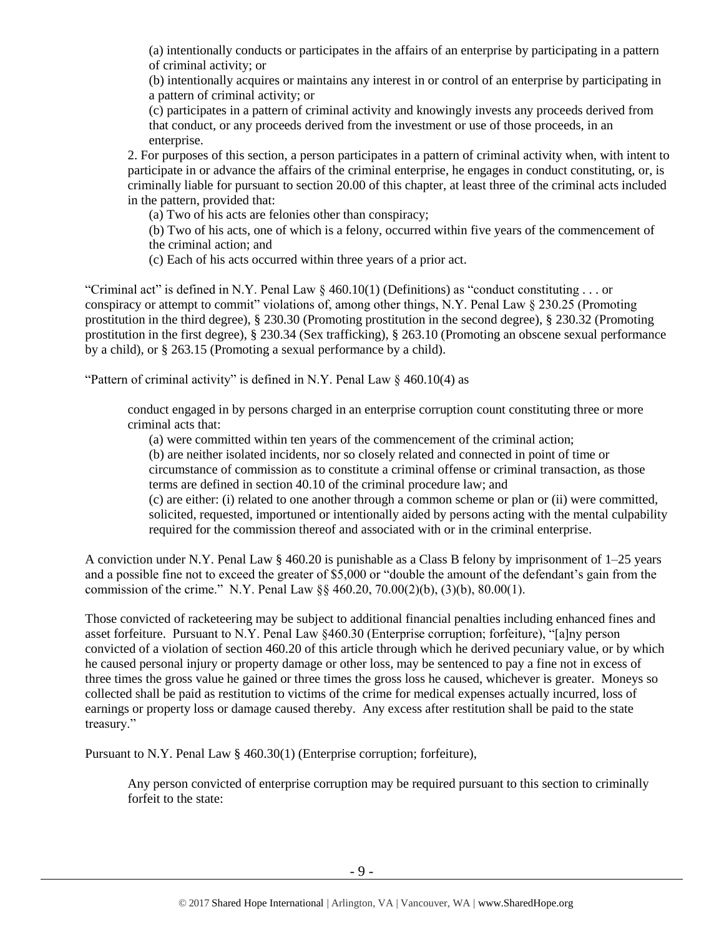(a) intentionally conducts or participates in the affairs of an enterprise by participating in a pattern of criminal activity; or

(b) intentionally acquires or maintains any interest in or control of an enterprise by participating in a pattern of criminal activity; or

(c) participates in a pattern of criminal activity and knowingly invests any proceeds derived from that conduct, or any proceeds derived from the investment or use of those proceeds, in an enterprise.

2. For purposes of this section, a person participates in a pattern of criminal activity when, with intent to participate in or advance the affairs of the criminal enterprise, he engages in conduct constituting, or, is criminally liable for pursuant to section 20.00 of this chapter, at least three of the criminal acts included in the pattern, provided that:

(a) Two of his acts are felonies other than conspiracy;

(b) Two of his acts, one of which is a felony, occurred within five years of the commencement of the criminal action; and

(c) Each of his acts occurred within three years of a prior act.

"Criminal act" is defined in N.Y. Penal Law  $\S$  460.10(1) (Definitions) as "conduct constituting . . . or conspiracy or attempt to commit" violations of, among other things, N.Y. Penal Law § 230.25 (Promoting prostitution in the third degree), § 230.30 (Promoting prostitution in the second degree), § 230.32 (Promoting prostitution in the first degree), § 230.34 (Sex trafficking), § 263.10 (Promoting an obscene sexual performance by a child), or § 263.15 (Promoting a sexual performance by a child).

"Pattern of criminal activity" is defined in N.Y. Penal Law § 460.10(4) as

conduct engaged in by persons charged in an enterprise corruption count constituting three or more criminal acts that:

(a) were committed within ten years of the commencement of the criminal action;

(b) are neither isolated incidents, nor so closely related and connected in point of time or circumstance of commission as to constitute a criminal offense or criminal transaction, as those terms are defined in section 40.10 of the criminal procedure law; and

(c) are either: (i) related to one another through a common scheme or plan or (ii) were committed, solicited, requested, importuned or intentionally aided by persons acting with the mental culpability required for the commission thereof and associated with or in the criminal enterprise.

A conviction under N.Y. Penal Law § 460.20 is punishable as a Class B felony by imprisonment of 1–25 years and a possible fine not to exceed the greater of \$5,000 or "double the amount of the defendant's gain from the commission of the crime." N.Y. Penal Law §§ 460.20, 70.00(2)(b), (3)(b), 80.00(1).

Those convicted of racketeering may be subject to additional financial penalties including enhanced fines and asset forfeiture. Pursuant to N.Y. Penal Law §460.30 (Enterprise corruption; forfeiture), "[a]ny person convicted of a violation of section 460.20 of this article through which he derived pecuniary value, or by which he caused personal injury or property damage or other loss, may be sentenced to pay a fine not in excess of three times the gross value he gained or three times the gross loss he caused, whichever is greater. Moneys so collected shall be paid as restitution to victims of the crime for medical expenses actually incurred, loss of earnings or property loss or damage caused thereby. Any excess after restitution shall be paid to the state treasury."

Pursuant to N.Y. Penal Law § 460.30(1) (Enterprise corruption; forfeiture),

Any person convicted of enterprise corruption may be required pursuant to this section to criminally forfeit to the state: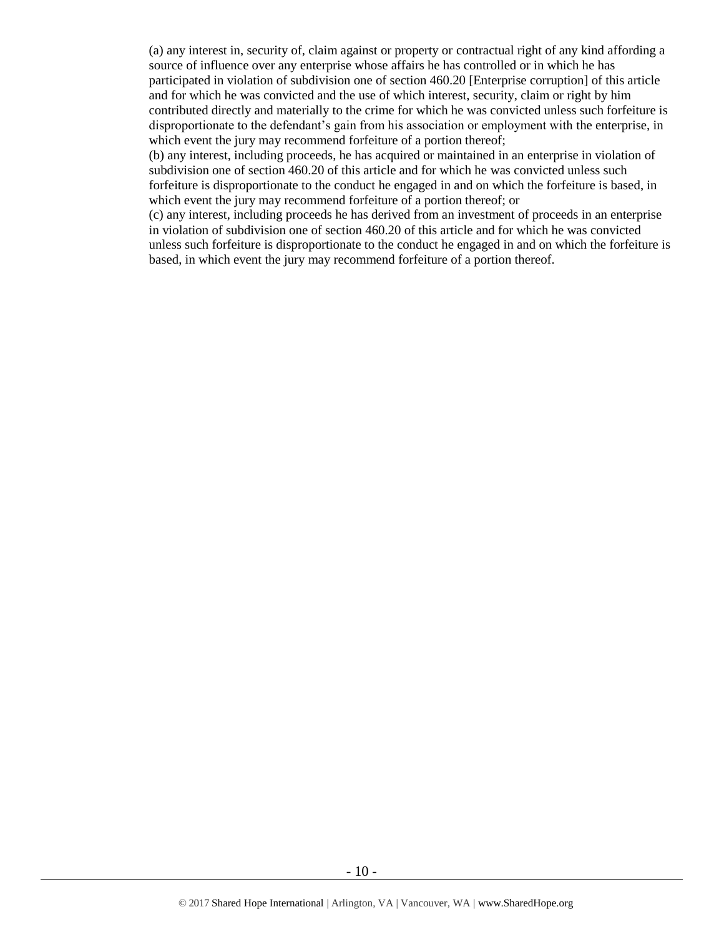(a) any interest in, security of, claim against or property or contractual right of any kind affording a source of influence over any enterprise whose affairs he has controlled or in which he has participated in violation of subdivision one of section 460.20 [Enterprise corruption] of this article and for which he was convicted and the use of which interest, security, claim or right by him contributed directly and materially to the crime for which he was convicted unless such forfeiture is disproportionate to the defendant's gain from his association or employment with the enterprise, in which event the jury may recommend forfeiture of a portion thereof;

(b) any interest, including proceeds, he has acquired or maintained in an enterprise in violation of subdivision one of section 460.20 of this article and for which he was convicted unless such forfeiture is disproportionate to the conduct he engaged in and on which the forfeiture is based, in which event the jury may recommend forfeiture of a portion thereof; or

(c) any interest, including proceeds he has derived from an investment of proceeds in an enterprise in violation of subdivision one of section 460.20 of this article and for which he was convicted unless such forfeiture is disproportionate to the conduct he engaged in and on which the forfeiture is based, in which event the jury may recommend forfeiture of a portion thereof.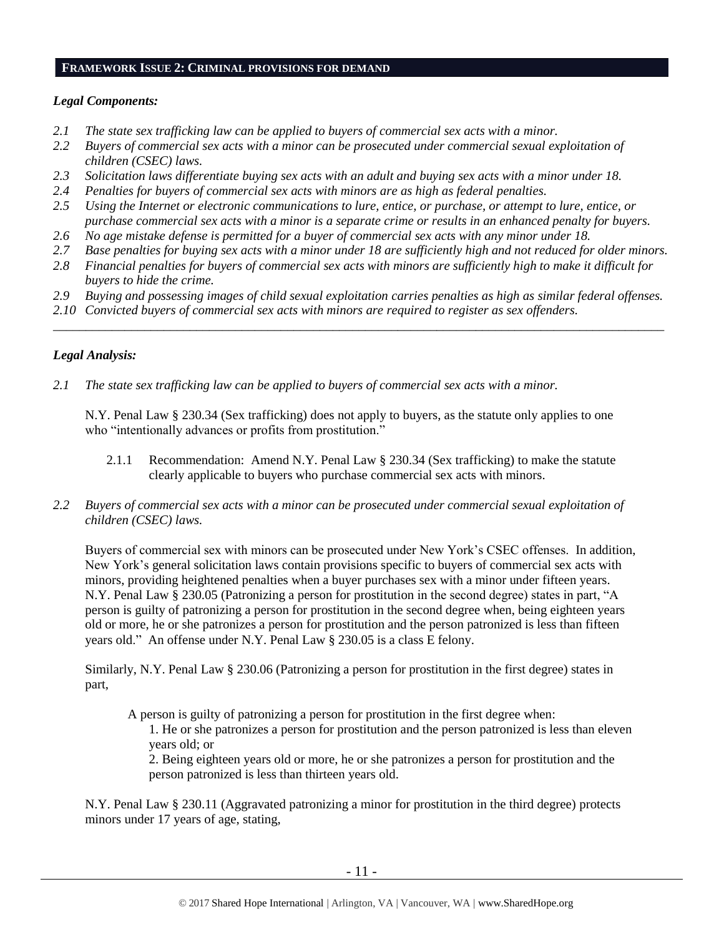#### **FRAMEWORK ISSUE 2: CRIMINAL PROVISIONS FOR DEMAND**

### *Legal Components:*

- *2.1 The state sex trafficking law can be applied to buyers of commercial sex acts with a minor.*
- *2.2 Buyers of commercial sex acts with a minor can be prosecuted under commercial sexual exploitation of children (CSEC) laws.*
- *2.3 Solicitation laws differentiate buying sex acts with an adult and buying sex acts with a minor under 18.*
- *2.4 Penalties for buyers of commercial sex acts with minors are as high as federal penalties.*
- *2.5 Using the Internet or electronic communications to lure, entice, or purchase, or attempt to lure, entice, or purchase commercial sex acts with a minor is a separate crime or results in an enhanced penalty for buyers.*
- *2.6 No age mistake defense is permitted for a buyer of commercial sex acts with any minor under 18.*
- *2.7 Base penalties for buying sex acts with a minor under 18 are sufficiently high and not reduced for older minors.*
- *2.8 Financial penalties for buyers of commercial sex acts with minors are sufficiently high to make it difficult for buyers to hide the crime.*
- *2.9 Buying and possessing images of child sexual exploitation carries penalties as high as similar federal offenses.*

\_\_\_\_\_\_\_\_\_\_\_\_\_\_\_\_\_\_\_\_\_\_\_\_\_\_\_\_\_\_\_\_\_\_\_\_\_\_\_\_\_\_\_\_\_\_\_\_\_\_\_\_\_\_\_\_\_\_\_\_\_\_\_\_\_\_\_\_\_\_\_\_\_\_\_\_\_\_\_\_\_\_\_\_\_\_\_\_\_\_\_\_\_\_

*2.10 Convicted buyers of commercial sex acts with minors are required to register as sex offenders.* 

### *Legal Analysis:*

*2.1 The state sex trafficking law can be applied to buyers of commercial sex acts with a minor.*

N.Y. Penal Law § 230.34 (Sex trafficking) does not apply to buyers, as the statute only applies to one who "intentionally advances or profits from prostitution."

- 2.1.1 Recommendation: Amend N.Y. Penal Law § 230.34 (Sex trafficking) to make the statute clearly applicable to buyers who purchase commercial sex acts with minors.
- *2.2 Buyers of commercial sex acts with a minor can be prosecuted under commercial sexual exploitation of children (CSEC) laws.*

Buyers of commercial sex with minors can be prosecuted under New York's CSEC offenses. In addition, New York's general solicitation laws contain provisions specific to buyers of commercial sex acts with minors, providing heightened penalties when a buyer purchases sex with a minor under fifteen years. N.Y. Penal Law § 230.05 (Patronizing a person for prostitution in the second degree) states in part, "A person is guilty of patronizing a person for prostitution in the second degree when, being eighteen years old or more, he or she patronizes a person for prostitution and the person patronized is less than fifteen years old." An offense under N.Y. Penal Law § 230.05 is a class E felony.

Similarly, N.Y. Penal Law § 230.06 (Patronizing a person for prostitution in the first degree) states in part,

A person is guilty of patronizing a person for prostitution in the first degree when:

1. He or she patronizes a person for prostitution and the person patronized is less than eleven years old; or

2. Being eighteen years old or more, he or she patronizes a person for prostitution and the person patronized is less than thirteen years old.

N.Y. Penal Law § 230.11 (Aggravated patronizing a minor for prostitution in the third degree) protects minors under 17 years of age, stating,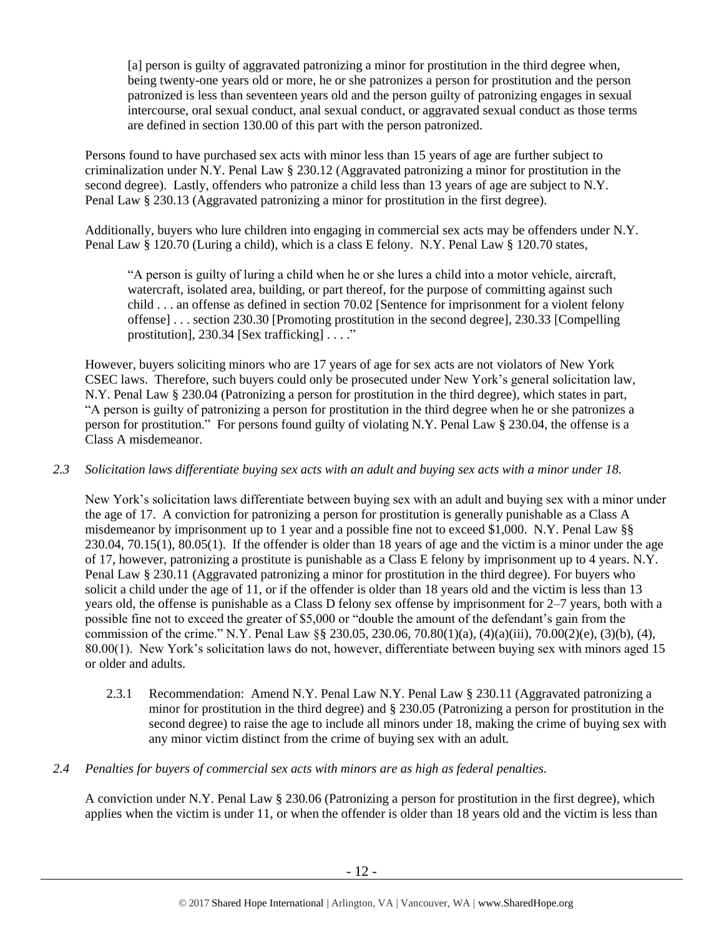[a] person is guilty of aggravated patronizing a minor for prostitution in the third degree when, being twenty-one years old or more, he or she patronizes a person for prostitution and the person patronized is less than seventeen years old and the person guilty of patronizing engages in sexual intercourse, oral sexual conduct, anal sexual conduct, or aggravated sexual conduct as those terms are defined in section 130.00 of this part with the person patronized.

Persons found to have purchased sex acts with minor less than 15 years of age are further subject to criminalization under N.Y. Penal Law § 230.12 (Aggravated patronizing a minor for prostitution in the second degree). Lastly, offenders who patronize a child less than 13 years of age are subject to N.Y. Penal Law § 230.13 (Aggravated patronizing a minor for prostitution in the first degree).

Additionally, buyers who lure children into engaging in commercial sex acts may be offenders under N.Y. Penal Law § 120.70 (Luring a child), which is a class E felony. N.Y. Penal Law § 120.70 states,

"A person is guilty of luring a child when he or she lures a child into a motor vehicle, aircraft, watercraft, isolated area, building, or part thereof, for the purpose of committing against such child . . . an offense as defined in section 70.02 [Sentence for imprisonment for a violent felony offense] . . . section 230.30 [Promoting prostitution in the second degree], 230.33 [Compelling prostitution], 230.34 [Sex trafficking] . . . ."

However, buyers soliciting minors who are 17 years of age for sex acts are not violators of New York CSEC laws. Therefore, such buyers could only be prosecuted under New York's general solicitation law, N.Y. Penal Law § 230.04 (Patronizing a person for prostitution in the third degree), which states in part, "A person is guilty of patronizing a person for prostitution in the third degree when he or she patronizes a person for prostitution." For persons found guilty of violating N.Y. Penal Law § 230.04, the offense is a Class A misdemeanor.

## *2.3 Solicitation laws differentiate buying sex acts with an adult and buying sex acts with a minor under 18.*

New York's solicitation laws differentiate between buying sex with an adult and buying sex with a minor under the age of 17. A conviction for patronizing a person for prostitution is generally punishable as a Class A misdemeanor by imprisonment up to 1 year and a possible fine not to exceed \$1,000. N.Y. Penal Law §§ 230.04, 70.15(1), 80.05(1). If the offender is older than 18 years of age and the victim is a minor under the age of 17, however, patronizing a prostitute is punishable as a Class E felony by imprisonment up to 4 years. N.Y. Penal Law § 230.11 (Aggravated patronizing a minor for prostitution in the third degree). For buyers who solicit a child under the age of 11, or if the offender is older than 18 years old and the victim is less than 13 years old, the offense is punishable as a Class D felony sex offense by imprisonment for 2–7 years, both with a possible fine not to exceed the greater of \$5,000 or "double the amount of the defendant's gain from the commission of the crime." N.Y. Penal Law §§ 230.05, 230.06, 70.80(1)(a), (4)(a)(iii), 70.00(2)(e), (3)(b), (4), 80.00(1). New York's solicitation laws do not, however, differentiate between buying sex with minors aged 15 or older and adults.

- 2.3.1 Recommendation: Amend N.Y. Penal Law N.Y. Penal Law § 230.11 (Aggravated patronizing a minor for prostitution in the third degree) and § 230.05 (Patronizing a person for prostitution in the second degree) to raise the age to include all minors under 18, making the crime of buying sex with any minor victim distinct from the crime of buying sex with an adult.
- *2.4 Penalties for buyers of commercial sex acts with minors are as high as federal penalties.*

A conviction under N.Y. Penal Law § 230.06 (Patronizing a person for prostitution in the first degree), which applies when the victim is under 11, or when the offender is older than 18 years old and the victim is less than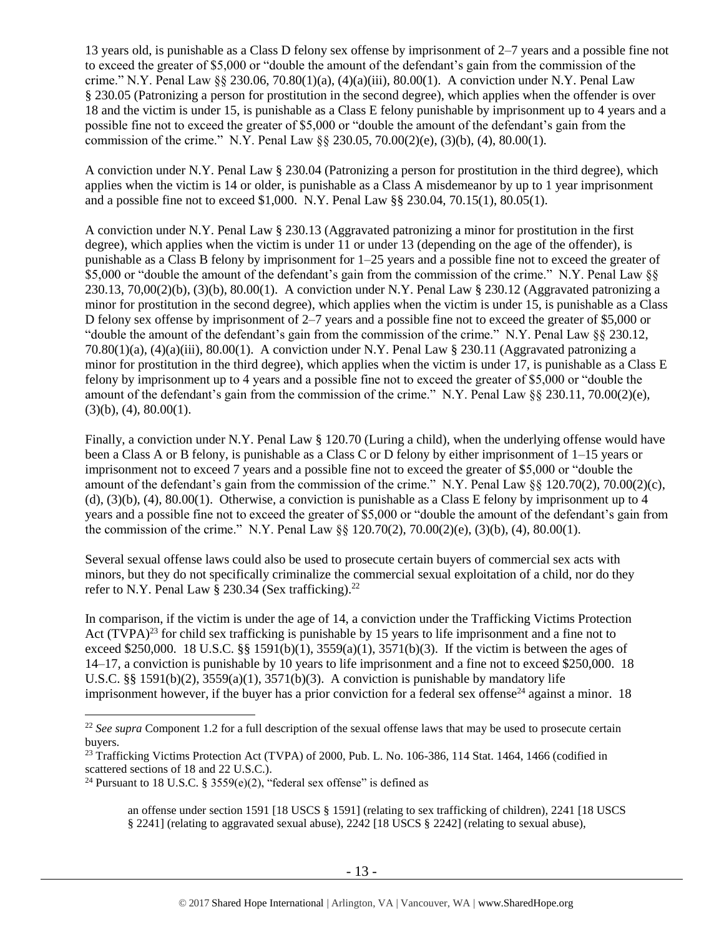13 years old, is punishable as a Class D felony sex offense by imprisonment of 2–7 years and a possible fine not to exceed the greater of \$5,000 or "double the amount of the defendant's gain from the commission of the crime." N.Y. Penal Law  $\S$  230.06, 70.80(1)(a), (4)(a)(iii), 80.00(1). A conviction under N.Y. Penal Law § 230.05 (Patronizing a person for prostitution in the second degree), which applies when the offender is over 18 and the victim is under 15, is punishable as a Class E felony punishable by imprisonment up to 4 years and a possible fine not to exceed the greater of \$5,000 or "double the amount of the defendant's gain from the commission of the crime." N.Y. Penal Law §§ 230.05, 70.00(2)(e), (3)(b), (4), 80.00(1).

A conviction under N.Y. Penal Law § 230.04 (Patronizing a person for prostitution in the third degree), which applies when the victim is 14 or older, is punishable as a Class A misdemeanor by up to 1 year imprisonment and a possible fine not to exceed \$1,000. N.Y. Penal Law §§ 230.04, 70.15(1), 80.05(1).

A conviction under N.Y. Penal Law § 230.13 (Aggravated patronizing a minor for prostitution in the first degree), which applies when the victim is under 11 or under 13 (depending on the age of the offender), is punishable as a Class B felony by imprisonment for 1–25 years and a possible fine not to exceed the greater of \$5,000 or "double the amount of the defendant's gain from the commission of the crime." N.Y. Penal Law §§ 230.13, 70,00(2)(b), (3)(b), 80,00(1). A conviction under N.Y. Penal Law  $\S$  230.12 (Aggravated patronizing a minor for prostitution in the second degree), which applies when the victim is under 15, is punishable as a Class D felony sex offense by imprisonment of 2–7 years and a possible fine not to exceed the greater of \$5,000 or "double the amount of the defendant's gain from the commission of the crime." N.Y. Penal Law §§ 230.12, 70.80(1)(a), (4)(a)(iii), 80.00(1). A conviction under N.Y. Penal Law § 230.11 (Aggravated patronizing a minor for prostitution in the third degree), which applies when the victim is under 17, is punishable as a Class E felony by imprisonment up to 4 years and a possible fine not to exceed the greater of \$5,000 or "double the amount of the defendant's gain from the commission of the crime." N.Y. Penal Law  $\S$ § 230.11, 70.00(2)(e),  $(3)(b)$ ,  $(4)$ ,  $80.00(1)$ .

Finally, a conviction under N.Y. Penal Law § 120.70 (Luring a child), when the underlying offense would have been a Class A or B felony, is punishable as a Class C or D felony by either imprisonment of 1–15 years or imprisonment not to exceed 7 years and a possible fine not to exceed the greater of \$5,000 or "double the amount of the defendant's gain from the commission of the crime." N.Y. Penal Law §§ 120.70(2), 70.00(2)(c), (d),  $(3)(b)$ ,  $(4)$ ,  $80.00(1)$ . Otherwise, a conviction is punishable as a Class E felony by imprisonment up to 4 years and a possible fine not to exceed the greater of \$5,000 or "double the amount of the defendant's gain from the commission of the crime." N.Y. Penal Law §§ 120.70(2), 70.00(2)(e), (3)(b), (4), 80.00(1).

Several sexual offense laws could also be used to prosecute certain buyers of commercial sex acts with minors, but they do not specifically criminalize the commercial sexual exploitation of a child, nor do they refer to N.Y. Penal Law § 230.34 (Sex trafficking).<sup>22</sup>

<span id="page-12-0"></span>In comparison, if the victim is under the age of 14, a conviction under the Trafficking Victims Protection Act (TVPA)<sup>23</sup> for child sex trafficking is punishable by 15 years to life imprisonment and a fine not to exceed \$250,000. 18 U.S.C. §§ 1591(b)(1),  $3559(a)(1)$ ,  $3571(b)(3)$ . If the victim is between the ages of 14–17, a conviction is punishable by 10 years to life imprisonment and a fine not to exceed \$250,000. 18 U.S.C. §§ 1591(b)(2),  $3559(a)(1)$ ,  $3571(b)(3)$ . A conviction is punishable by mandatory life imprisonment however, if the buyer has a prior conviction for a federal sex offense<sup>24</sup> against a minor. 18

<sup>&</sup>lt;sup>22</sup> See supra Component 1.2 for a full description of the sexual offense laws that may be used to prosecute certain buyers.

<sup>&</sup>lt;sup>23</sup> Trafficking Victims Protection Act (TVPA) of 2000, Pub. L. No. 106-386, 114 Stat. 1464, 1466 (codified in scattered sections of 18 and 22 U.S.C.).

<sup>&</sup>lt;sup>24</sup> Pursuant to 18 U.S.C. § 3559(e)(2), "federal sex offense" is defined as

<span id="page-12-1"></span>an offense under section 1591 [18 USCS § 1591] (relating to sex trafficking of children), 2241 [18 USCS § 2241] (relating to aggravated sexual abuse), 2242 [18 USCS § 2242] (relating to sexual abuse),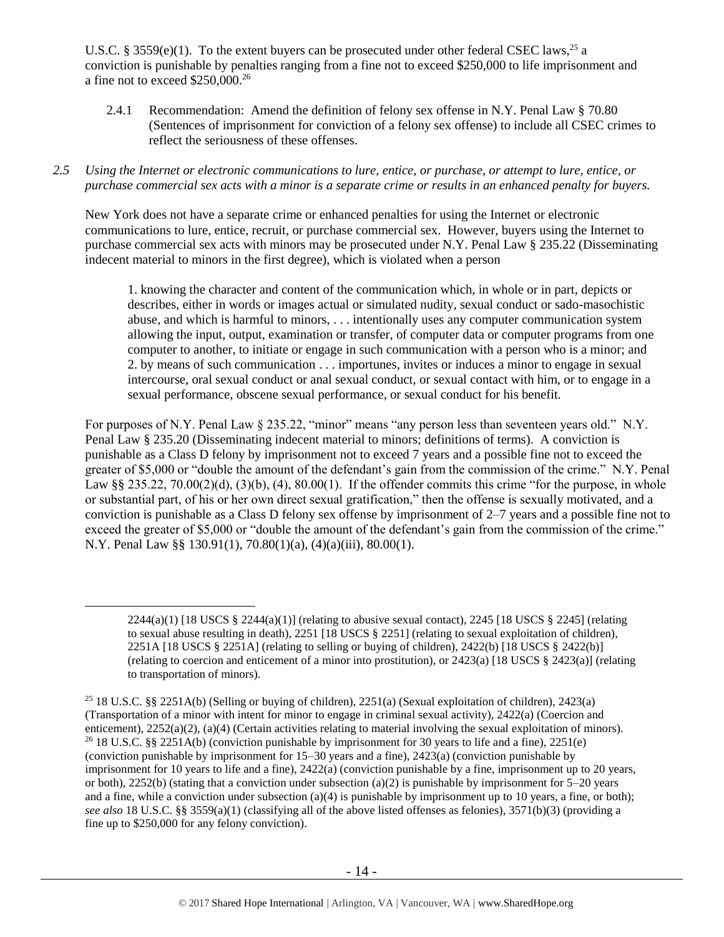U.S.C. § 3559 $(e)(1)$ . To the extent buyers can be prosecuted under other federal CSEC laws,<sup>25</sup> a conviction is punishable by penalties ranging from a fine not to exceed \$250,000 to life imprisonment and a fine not to exceed \$250,000.<sup>26</sup>

- 2.4.1 Recommendation: Amend the definition of felony sex offense in N.Y. Penal Law § 70.80 (Sentences of imprisonment for conviction of a felony sex offense) to include all CSEC crimes to reflect the seriousness of these offenses.
- *2.5 Using the Internet or electronic communications to lure, entice, or purchase, or attempt to lure, entice, or purchase commercial sex acts with a minor is a separate crime or results in an enhanced penalty for buyers.*

New York does not have a separate crime or enhanced penalties for using the Internet or electronic communications to lure, entice, recruit, or purchase commercial sex. However, buyers using the Internet to purchase commercial sex acts with minors may be prosecuted under N.Y. Penal Law § 235.22 (Disseminating indecent material to minors in the first degree), which is violated when a person

1. knowing the character and content of the communication which, in whole or in part, depicts or describes, either in words or images actual or simulated nudity, sexual conduct or sado-masochistic abuse, and which is harmful to minors, . . . intentionally uses any computer communication system allowing the input, output, examination or transfer, of computer data or computer programs from one computer to another, to initiate or engage in such communication with a person who is a minor; and 2. by means of such communication . . . importunes, invites or induces a minor to engage in sexual intercourse, oral sexual conduct or anal sexual conduct, or sexual contact with him, or to engage in a sexual performance, obscene sexual performance, or sexual conduct for his benefit.

For purposes of N.Y. Penal Law § 235.22, "minor" means "any person less than seventeen years old." N.Y. Penal Law § 235.20 (Disseminating indecent material to minors; definitions of terms). A conviction is punishable as a Class D felony by imprisonment not to exceed 7 years and a possible fine not to exceed the greater of \$5,000 or "double the amount of the defendant's gain from the commission of the crime." N.Y. Penal Law §§ 235.22,  $70.00(2)(d)$ ,  $(3)(b)$ ,  $(4)$ ,  $80.00(1)$ . If the offender commits this crime "for the purpose, in whole or substantial part, of his or her own direct sexual gratification," then the offense is sexually motivated, and a conviction is punishable as a Class D felony sex offense by imprisonment of 2–7 years and a possible fine not to exceed the greater of \$5,000 or "double the amount of the defendant's gain from the commission of the crime." N.Y. Penal Law §§ 130.91(1), 70.80(1)(a), (4)(a)(iii), 80.00(1).

 $2244(a)(1)$  [18 USCS §  $2244(a)(1)$ ] (relating to abusive sexual contact),  $2245$  [18 USCS § 2245] (relating to sexual abuse resulting in death), 2251 [18 USCS § 2251] (relating to sexual exploitation of children), 2251A [18 USCS § 2251A] (relating to selling or buying of children), 2422(b) [18 USCS § 2422(b)] (relating to coercion and enticement of a minor into prostitution), or 2423(a) [18 USCS § 2423(a)] (relating to transportation of minors).

<sup>&</sup>lt;sup>25</sup> 18 U.S.C. §§ 2251A(b) (Selling or buying of children), 2251(a) (Sexual exploitation of children), 2423(a) (Transportation of a minor with intent for minor to engage in criminal sexual activity), 2422(a) (Coercion and enticement), 2252(a)(2), (a)(4) (Certain activities relating to material involving the sexual exploitation of minors). <sup>26</sup> 18 U.S.C. §§ 2251A(b) (conviction punishable by imprisonment for 30 years to life and a fine), 2251(e) (conviction punishable by imprisonment for 15–30 years and a fine), 2423(a) (conviction punishable by imprisonment for 10 years to life and a fine), 2422(a) (conviction punishable by a fine, imprisonment up to 20 years, or both), 2252(b) (stating that a conviction under subsection (a)(2) is punishable by imprisonment for  $5-20$  years and a fine, while a conviction under subsection (a)(4) is punishable by imprisonment up to 10 years, a fine, or both); *see also* 18 U.S.C. §§ 3559(a)(1) (classifying all of the above listed offenses as felonies), 3571(b)(3) (providing a fine up to \$250,000 for any felony conviction).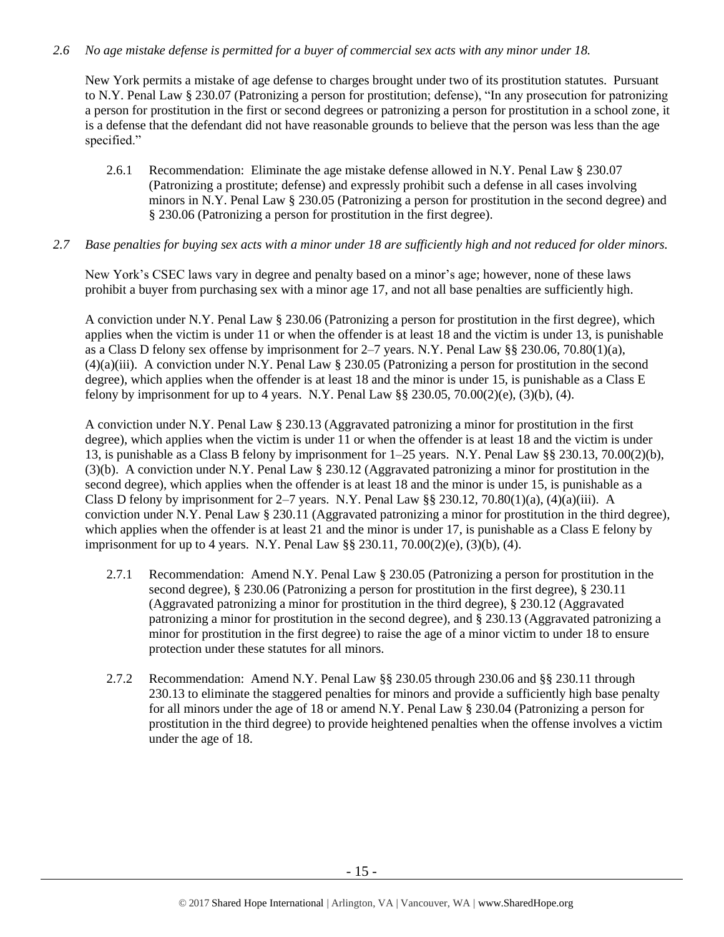## *2.6 No age mistake defense is permitted for a buyer of commercial sex acts with any minor under 18.*

New York permits a mistake of age defense to charges brought under two of its prostitution statutes. Pursuant to N.Y. Penal Law § 230.07 (Patronizing a person for prostitution; defense), "In any prosecution for patronizing a person for prostitution in the first or second degrees or patronizing a person for prostitution in a school zone, it is a defense that the defendant did not have reasonable grounds to believe that the person was less than the age specified."

2.6.1 Recommendation: Eliminate the age mistake defense allowed in N.Y. Penal Law § 230.07 (Patronizing a prostitute; defense) and expressly prohibit such a defense in all cases involving minors in N.Y. Penal Law § 230.05 (Patronizing a person for prostitution in the second degree) and § 230.06 (Patronizing a person for prostitution in the first degree).

### *2.7 Base penalties for buying sex acts with a minor under 18 are sufficiently high and not reduced for older minors.*

New York's CSEC laws vary in degree and penalty based on a minor's age; however, none of these laws prohibit a buyer from purchasing sex with a minor age 17, and not all base penalties are sufficiently high.

A conviction under N.Y. Penal Law § 230.06 (Patronizing a person for prostitution in the first degree), which applies when the victim is under 11 or when the offender is at least 18 and the victim is under 13, is punishable as a Class D felony sex offense by imprisonment for 2–7 years. N.Y. Penal Law §§ 230.06, 70.80(1)(a), (4)(a)(iii). A conviction under N.Y. Penal Law § 230.05 (Patronizing a person for prostitution in the second degree), which applies when the offender is at least 18 and the minor is under 15, is punishable as a Class E felony by imprisonment for up to 4 years. N.Y. Penal Law §§ 230.05, 70.00(2)(e), (3)(b), (4).

A conviction under N.Y. Penal Law § 230.13 (Aggravated patronizing a minor for prostitution in the first degree), which applies when the victim is under 11 or when the offender is at least 18 and the victim is under 13, is punishable as a Class B felony by imprisonment for 1–25 years. N.Y. Penal Law §§ 230.13, 70.00(2)(b), (3)(b). A conviction under N.Y. Penal Law § 230.12 (Aggravated patronizing a minor for prostitution in the second degree), which applies when the offender is at least 18 and the minor is under 15, is punishable as a Class D felony by imprisonment for  $2-7$  years. N.Y. Penal Law §§ 230.12, 70.80(1)(a), (4)(a)(iii). A conviction under N.Y. Penal Law § 230.11 (Aggravated patronizing a minor for prostitution in the third degree), which applies when the offender is at least 21 and the minor is under 17, is punishable as a Class E felony by imprisonment for up to 4 years. N.Y. Penal Law §§ 230.11, 70.00(2)(e), (3)(b), (4).

- 2.7.1 Recommendation: Amend N.Y. Penal Law § 230.05 (Patronizing a person for prostitution in the second degree), § 230.06 (Patronizing a person for prostitution in the first degree), § 230.11 (Aggravated patronizing a minor for prostitution in the third degree), § 230.12 (Aggravated patronizing a minor for prostitution in the second degree), and § 230.13 (Aggravated patronizing a minor for prostitution in the first degree) to raise the age of a minor victim to under 18 to ensure protection under these statutes for all minors.
- 2.7.2 Recommendation: Amend N.Y. Penal Law §§ 230.05 through 230.06 and §§ 230.11 through 230.13 to eliminate the staggered penalties for minors and provide a sufficiently high base penalty for all minors under the age of 18 or amend N.Y. Penal Law § 230.04 (Patronizing a person for prostitution in the third degree) to provide heightened penalties when the offense involves a victim under the age of 18.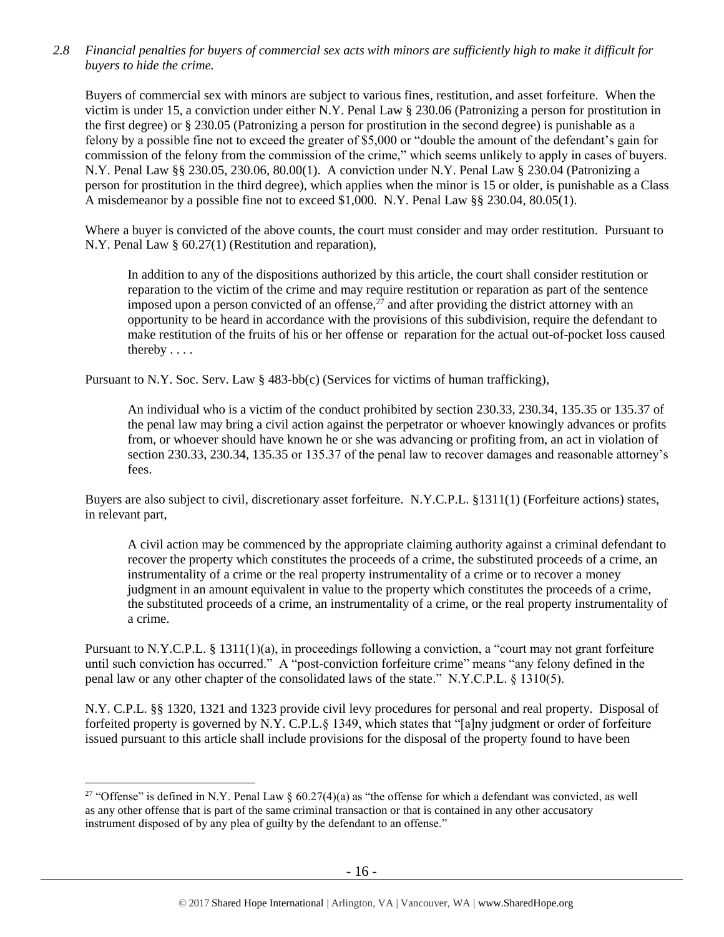*2.8 Financial penalties for buyers of commercial sex acts with minors are sufficiently high to make it difficult for buyers to hide the crime.* 

Buyers of commercial sex with minors are subject to various fines, restitution, and asset forfeiture. When the victim is under 15, a conviction under either N.Y. Penal Law § 230.06 (Patronizing a person for prostitution in the first degree) or § 230.05 (Patronizing a person for prostitution in the second degree) is punishable as a felony by a possible fine not to exceed the greater of \$5,000 or "double the amount of the defendant's gain for commission of the felony from the commission of the crime," which seems unlikely to apply in cases of buyers. N.Y. Penal Law §§ 230.05, 230.06, 80.00(1). A conviction under N.Y. Penal Law § 230.04 (Patronizing a person for prostitution in the third degree), which applies when the minor is 15 or older, is punishable as a Class A misdemeanor by a possible fine not to exceed \$1,000. N.Y. Penal Law §§ 230.04, 80.05(1).

Where a buyer is convicted of the above counts, the court must consider and may order restitution. Pursuant to N.Y. Penal Law § 60.27(1) (Restitution and reparation),

In addition to any of the dispositions authorized by this article, the court shall consider restitution or reparation to the victim of the crime and may require restitution or reparation as part of the sentence imposed upon a person convicted of an offense, $^{27}$  and after providing the district attorney with an opportunity to be heard in accordance with the provisions of this subdivision, require the defendant to make restitution of the fruits of his or her offense or reparation for the actual out-of-pocket loss caused thereby . . . .

Pursuant to N.Y. Soc. Serv. Law § 483-bb(c) (Services for victims of human trafficking),

An individual who is a victim of the conduct prohibited by section 230.33, 230.34, 135.35 or 135.37 of the penal law may bring a civil action against the perpetrator or whoever knowingly advances or profits from, or whoever should have known he or she was advancing or profiting from, an act in violation of section 230.33, 230.34, 135.35 or 135.37 of the penal law to recover damages and reasonable attorney's fees.

Buyers are also subject to civil, discretionary asset forfeiture. N.Y.C.P.L. §1311(1) (Forfeiture actions) states, in relevant part,

A civil action may be commenced by the appropriate claiming authority against a criminal defendant to recover the property which constitutes the proceeds of a crime, the substituted proceeds of a crime, an instrumentality of a crime or the real property instrumentality of a crime or to recover a money judgment in an amount equivalent in value to the property which constitutes the proceeds of a crime, the substituted proceeds of a crime, an instrumentality of a crime, or the real property instrumentality of a crime.

Pursuant to N.Y.C.P.L. § 1311(1)(a), in proceedings following a conviction, a "court may not grant forfeiture until such conviction has occurred." A "post-conviction forfeiture crime" means "any felony defined in the penal law or any other chapter of the consolidated laws of the state." N.Y.C.P.L. § 1310(5).

N.Y. C.P.L. §§ 1320, 1321 and 1323 provide civil levy procedures for personal and real property. Disposal of forfeited property is governed by N.Y. C.P.L.§ 1349, which states that "[a]ny judgment or order of forfeiture issued pursuant to this article shall include provisions for the disposal of the property found to have been

<sup>&</sup>lt;sup>27</sup> "Offense" is defined in N.Y. Penal Law §  $60.27(4)(a)$  as "the offense for which a defendant was convicted, as well as any other offense that is part of the same criminal transaction or that is contained in any other accusatory instrument disposed of by any plea of guilty by the defendant to an offense."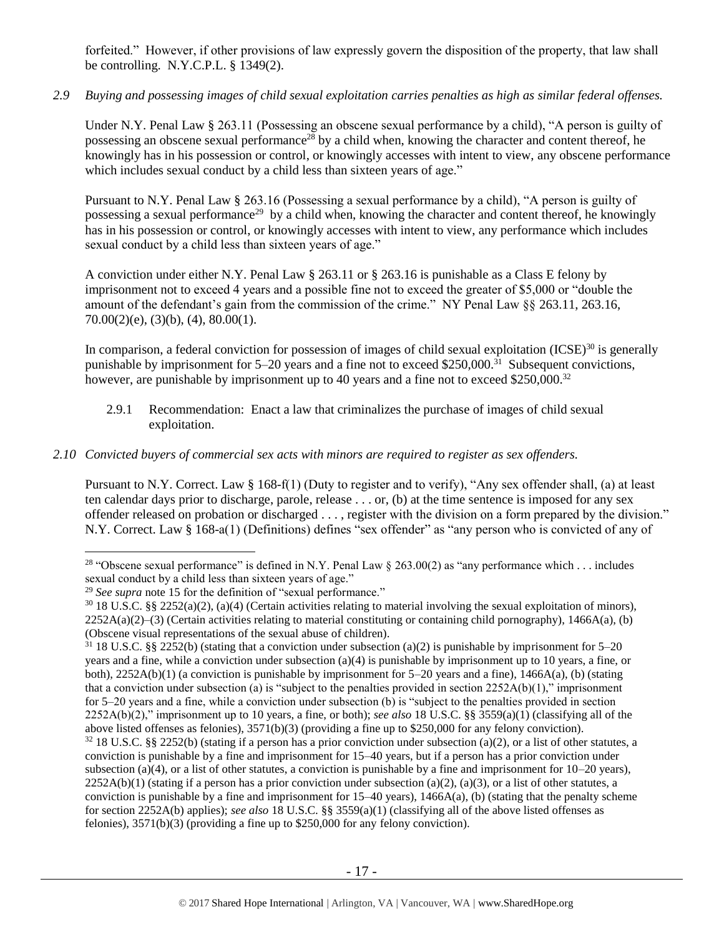forfeited." However, if other provisions of law expressly govern the disposition of the property, that law shall be controlling. N.Y.C.P.L. § 1349(2).

## *2.9 Buying and possessing images of child sexual exploitation carries penalties as high as similar federal offenses.*

<span id="page-16-0"></span>Under N.Y. Penal Law § 263.11 (Possessing an obscene sexual performance by a child), "A person is guilty of possessing an obscene sexual performance<sup>28</sup> by a child when, knowing the character and content thereof, he knowingly has in his possession or control, or knowingly accesses with intent to view, any obscene performance which includes sexual conduct by a child less than sixteen years of age."

Pursuant to N.Y. Penal Law § 263.16 (Possessing a sexual performance by a child), "A person is guilty of possessing a sexual performance<sup>29</sup> by a child when, knowing the character and content thereof, he knowingly has in his possession or control, or knowingly accesses with intent to view, any performance which includes sexual conduct by a child less than sixteen years of age."

A conviction under either N.Y. Penal Law § 263.11 or § 263.16 is punishable as a Class E felony by imprisonment not to exceed 4 years and a possible fine not to exceed the greater of \$5,000 or "double the amount of the defendant's gain from the commission of the crime." NY Penal Law §§ 263.11, 263.16,  $70.00(2)(e)$ ,  $(3)(b)$ ,  $(4)$ ,  $80.00(1)$ .

In comparison, a federal conviction for possession of images of child sexual exploitation  $(ICSE)^{30}$  is generally punishable by imprisonment for 5–20 years and a fine not to exceed \$250,000.<sup>31</sup> Subsequent convictions, however, are punishable by imprisonment up to 40 years and a fine not to exceed \$250,000.<sup>32</sup>

2.9.1 Recommendation: Enact a law that criminalizes the purchase of images of child sexual exploitation.

## *2.10 Convicted buyers of commercial sex acts with minors are required to register as sex offenders.*

Pursuant to N.Y. Correct. Law § 168-f(1) (Duty to register and to verify), "Any sex offender shall, (a) at least ten calendar days prior to discharge, parole, release . . . or, (b) at the time sentence is imposed for any sex offender released on probation or discharged . . . , register with the division on a form prepared by the division." N.Y. Correct. Law § 168-a(1) (Definitions) defines "sex offender" as "any person who is convicted of any of

 $\overline{a}$ <sup>28</sup> "Obscene sexual performance" is defined in N.Y. Penal Law  $\S$  263.00(2) as "any performance which . . . includes sexual conduct by a child less than sixteen years of age."

<sup>&</sup>lt;sup>29</sup> See supra note [15](#page-5-0) for the definition of "sexual performance."

 $30\,18$  U.S.C. §§ 2252(a)(2), (a)(4) (Certain activities relating to material involving the sexual exploitation of minors),  $2252A(a)(2)$ –(3) (Certain activities relating to material constituting or containing child pornography), 1466A(a), (b) (Obscene visual representations of the sexual abuse of children).

<sup>&</sup>lt;sup>31</sup> 18 U.S.C. §§ 2252(b) (stating that a conviction under subsection (a)(2) is punishable by imprisonment for 5–20 years and a fine, while a conviction under subsection (a)(4) is punishable by imprisonment up to 10 years, a fine, or both),  $2252A(b)(1)$  (a conviction is punishable by imprisonment for  $5-20$  years and a fine),  $1466A(a)$ , (b) (stating that a conviction under subsection (a) is "subject to the penalties provided in section  $2252A(b)(1)$ ," imprisonment for 5–20 years and a fine, while a conviction under subsection (b) is "subject to the penalties provided in section 2252A(b)(2)," imprisonment up to 10 years, a fine, or both); *see also* 18 U.S.C. §§ 3559(a)(1) (classifying all of the above listed offenses as felonies), 3571(b)(3) (providing a fine up to \$250,000 for any felony conviction).

 $32\,18$  U.S.C. §§ 2252(b) (stating if a person has a prior conviction under subsection (a)(2), or a list of other statutes, a conviction is punishable by a fine and imprisonment for 15–40 years, but if a person has a prior conviction under subsection (a)(4), or a list of other statutes, a conviction is punishable by a fine and imprisonment for  $10-20$  years),  $2252A(b)(1)$  (stating if a person has a prior conviction under subsection (a)(2), (a)(3), or a list of other statutes, a conviction is punishable by a fine and imprisonment for  $15-40$  years),  $1466A(a)$ , (b) (stating that the penalty scheme for section 2252A(b) applies); *see also* 18 U.S.C. §§ 3559(a)(1) (classifying all of the above listed offenses as felonies), 3571(b)(3) (providing a fine up to \$250,000 for any felony conviction).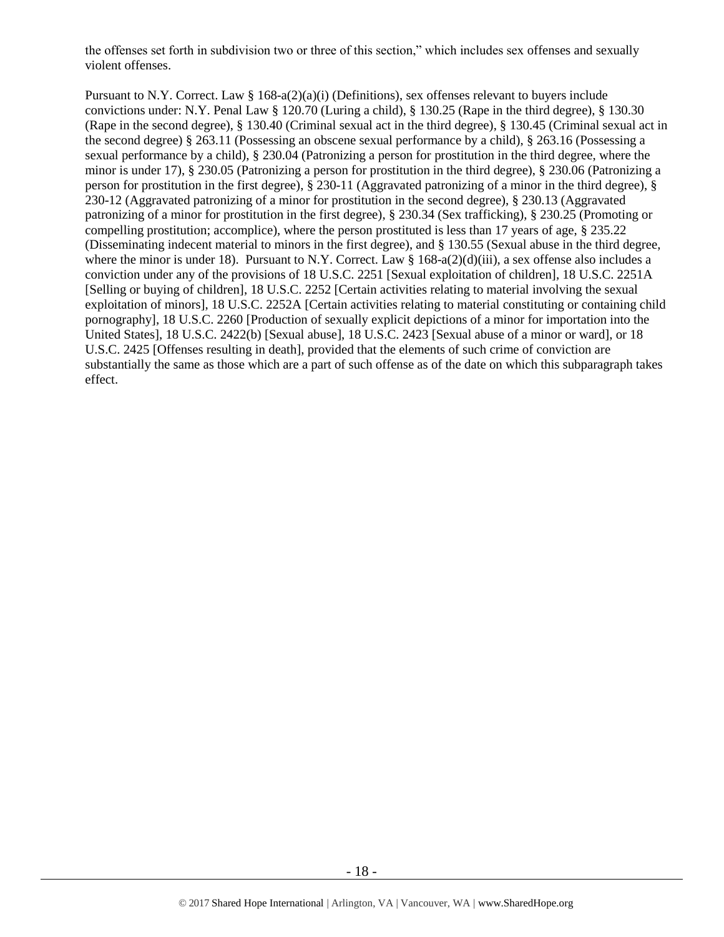the offenses set forth in subdivision two or three of this section," which includes sex offenses and sexually violent offenses.

Pursuant to N.Y. Correct. Law §  $168-a(2)(a)(i)$  (Definitions), sex offenses relevant to buyers include convictions under: N.Y. Penal Law § 120.70 (Luring a child), § 130.25 (Rape in the third degree), § 130.30 (Rape in the second degree), § 130.40 (Criminal sexual act in the third degree), § 130.45 (Criminal sexual act in the second degree) § 263.11 (Possessing an obscene sexual performance by a child), § 263.16 (Possessing a sexual performance by a child), § 230.04 (Patronizing a person for prostitution in the third degree, where the minor is under 17), § 230.05 (Patronizing a person for prostitution in the third degree), § 230.06 (Patronizing a person for prostitution in the first degree), § 230-11 (Aggravated patronizing of a minor in the third degree), § 230-12 (Aggravated patronizing of a minor for prostitution in the second degree), § 230.13 (Aggravated patronizing of a minor for prostitution in the first degree), § 230.34 (Sex trafficking), § 230.25 (Promoting or compelling prostitution; accomplice), where the person prostituted is less than 17 years of age, § 235.22 (Disseminating indecent material to minors in the first degree), and § 130.55 (Sexual abuse in the third degree, where the minor is under 18). Pursuant to N.Y. Correct. Law  $\S 168-a(2)(d)(iii)$ , a sex offense also includes a conviction under any of the provisions of 18 U.S.C. 2251 [Sexual exploitation of children], 18 U.S.C. 2251A [Selling or buying of children], 18 U.S.C. 2252 [Certain activities relating to material involving the sexual exploitation of minors], 18 U.S.C. 2252A [Certain activities relating to material constituting or containing child pornography], 18 U.S.C. 2260 [Production of sexually explicit depictions of a minor for importation into the United States], 18 U.S.C. 2422(b) [Sexual abuse], 18 U.S.C. 2423 [Sexual abuse of a minor or ward], or 18 U.S.C. 2425 [Offenses resulting in death], provided that the elements of such crime of conviction are substantially the same as those which are a part of such offense as of the date on which this subparagraph takes effect.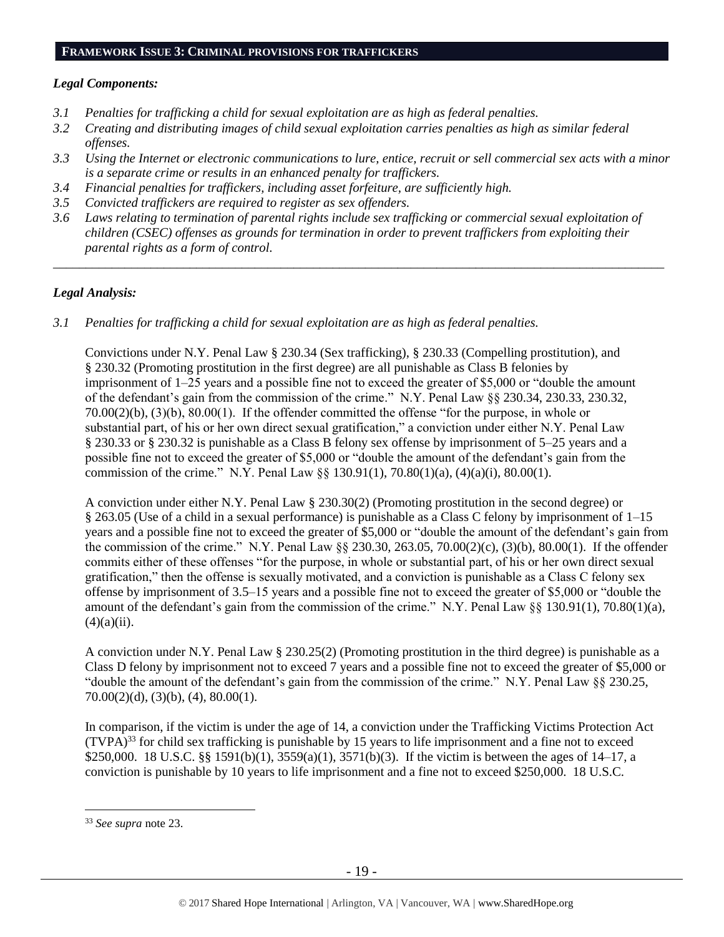#### **FRAMEWORK ISSUE 3: CRIMINAL PROVISIONS FOR TRAFFICKERS**

## *Legal Components:*

- *3.1 Penalties for trafficking a child for sexual exploitation are as high as federal penalties.*
- *3.2 Creating and distributing images of child sexual exploitation carries penalties as high as similar federal offenses.*
- *3.3 Using the Internet or electronic communications to lure, entice, recruit or sell commercial sex acts with a minor is a separate crime or results in an enhanced penalty for traffickers.*
- *3.4 Financial penalties for traffickers, including asset forfeiture, are sufficiently high.*
- *3.5 Convicted traffickers are required to register as sex offenders.*
- *3.6 Laws relating to termination of parental rights include sex trafficking or commercial sexual exploitation of children (CSEC) offenses as grounds for termination in order to prevent traffickers from exploiting their parental rights as a form of control.*

*\_\_\_\_\_\_\_\_\_\_\_\_\_\_\_\_\_\_\_\_\_\_\_\_\_\_\_\_\_\_\_\_\_\_\_\_\_\_\_\_\_\_\_\_\_\_\_\_\_\_\_\_\_\_\_\_\_\_\_\_\_\_\_\_\_\_\_\_\_\_\_\_\_\_\_\_\_\_\_\_\_\_\_\_\_\_\_\_\_\_\_\_\_\_*

# *Legal Analysis:*

*3.1 Penalties for trafficking a child for sexual exploitation are as high as federal penalties.* 

Convictions under N.Y. Penal Law § 230.34 (Sex trafficking), § 230.33 (Compelling prostitution), and § 230.32 (Promoting prostitution in the first degree) are all punishable as Class B felonies by imprisonment of 1–25 years and a possible fine not to exceed the greater of \$5,000 or "double the amount of the defendant's gain from the commission of the crime." N.Y. Penal Law §§ 230.34, 230.33, 230.32, 70.00(2)(b), (3)(b), 80.00(1). If the offender committed the offense "for the purpose, in whole or substantial part, of his or her own direct sexual gratification," a conviction under either N.Y. Penal Law § 230.33 or § 230.32 is punishable as a Class B felony sex offense by imprisonment of 5–25 years and a possible fine not to exceed the greater of \$5,000 or "double the amount of the defendant's gain from the commission of the crime." N.Y. Penal Law §§ 130.91(1), 70.80(1)(a), (4)(a)(i), 80.00(1).

A conviction under either N.Y. Penal Law § 230.30(2) (Promoting prostitution in the second degree) or § 263.05 (Use of a child in a sexual performance) is punishable as a Class C felony by imprisonment of 1–15 years and a possible fine not to exceed the greater of \$5,000 or "double the amount of the defendant's gain from the commission of the crime." N.Y. Penal Law §§ 230.30, 263.05, 70.00(2)(c), (3)(b), 80.00(1). If the offender commits either of these offenses "for the purpose, in whole or substantial part, of his or her own direct sexual gratification," then the offense is sexually motivated, and a conviction is punishable as a Class C felony sex offense by imprisonment of 3.5–15 years and a possible fine not to exceed the greater of \$5,000 or "double the amount of the defendant's gain from the commission of the crime." N.Y. Penal Law §§ 130.91(1), 70.80(1)(a),  $(4)(a)(ii)$ .

A conviction under N.Y. Penal Law § 230.25(2) (Promoting prostitution in the third degree) is punishable as a Class D felony by imprisonment not to exceed 7 years and a possible fine not to exceed the greater of \$5,000 or "double the amount of the defendant's gain from the commission of the crime." N.Y. Penal Law §§ 230.25,  $70.00(2)(d)$ ,  $(3)(b)$ ,  $(4)$ ,  $80.00(1)$ .

In comparison, if the victim is under the age of 14, a conviction under the Trafficking Victims Protection Act  $(TVPA)^{33}$  for child sex trafficking is punishable by 15 years to life imprisonment and a fine not to exceed \$250,000. 18 U.S.C. §§ 1591(b)(1), 3559(a)(1), 3571(b)(3). If the victim is between the ages of 14–17, a conviction is punishable by 10 years to life imprisonment and a fine not to exceed \$250,000. 18 U.S.C.

<sup>33</sup> *See supra* note [23.](#page-12-0)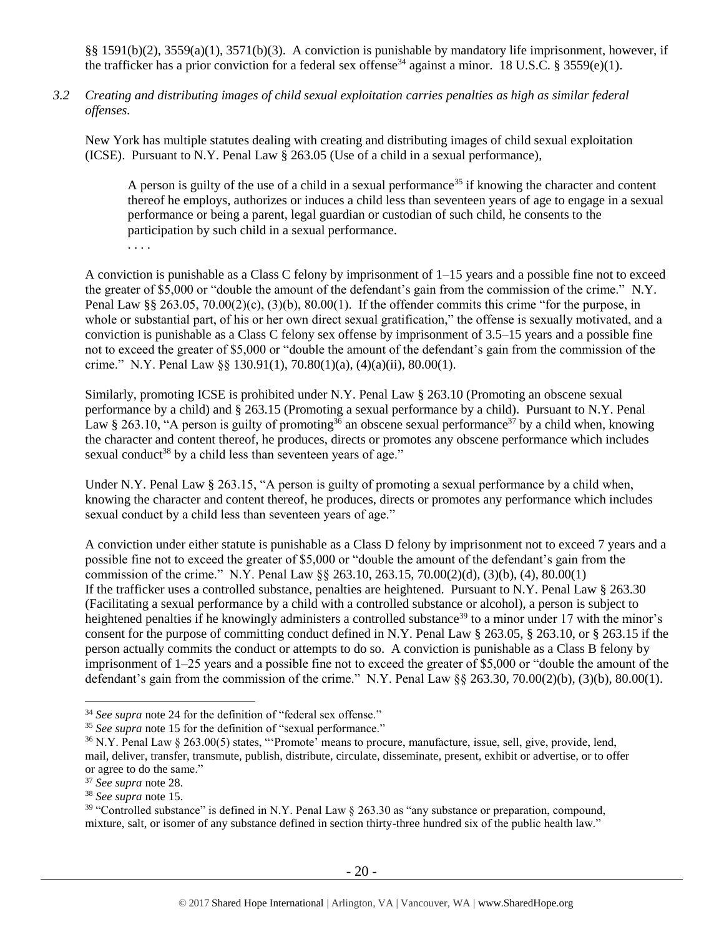§§ 1591(b)(2), 3559(a)(1), 3571(b)(3). A conviction is punishable by mandatory life imprisonment, however, if the trafficker has a prior conviction for a federal sex offense<sup>34</sup> against a minor. 18 U.S.C. § 3559(e)(1).

*3.2 Creating and distributing images of child sexual exploitation carries penalties as high as similar federal offenses.*

New York has multiple statutes dealing with creating and distributing images of child sexual exploitation (ICSE). Pursuant to N.Y. Penal Law § 263.05 (Use of a child in a sexual performance),

A person is guilty of the use of a child in a sexual performance<sup>35</sup> if knowing the character and content thereof he employs, authorizes or induces a child less than seventeen years of age to engage in a sexual performance or being a parent, legal guardian or custodian of such child, he consents to the participation by such child in a sexual performance.

. . . .

A conviction is punishable as a Class C felony by imprisonment of  $1-15$  years and a possible fine not to exceed the greater of \$5,000 or "double the amount of the defendant's gain from the commission of the crime." N.Y. Penal Law §§ 263.05, 70.00(2)(c), (3)(b), 80.00(1). If the offender commits this crime "for the purpose, in whole or substantial part, of his or her own direct sexual gratification," the offense is sexually motivated, and a conviction is punishable as a Class C felony sex offense by imprisonment of 3.5–15 years and a possible fine not to exceed the greater of \$5,000 or "double the amount of the defendant's gain from the commission of the crime." N.Y. Penal Law  $\S$  130.91(1), 70.80(1)(a), (4)(a)(ii), 80.00(1).

<span id="page-19-0"></span>Similarly, promoting ICSE is prohibited under N.Y. Penal Law § 263.10 (Promoting an obscene sexual performance by a child) and § 263.15 (Promoting a sexual performance by a child). Pursuant to N.Y. Penal Law § 263.10, "A person is guilty of promoting<sup>36</sup> an obscene sexual performance<sup>37</sup> by a child when, knowing the character and content thereof, he produces, directs or promotes any obscene performance which includes sexual conduct<sup>38</sup> by a child less than seventeen years of age."

Under N.Y. Penal Law § 263.15, "A person is guilty of promoting a sexual performance by a child when, knowing the character and content thereof, he produces, directs or promotes any performance which includes sexual conduct by a child less than seventeen years of age."

A conviction under either statute is punishable as a Class D felony by imprisonment not to exceed 7 years and a possible fine not to exceed the greater of \$5,000 or "double the amount of the defendant's gain from the commission of the crime." N.Y. Penal Law §§ 263.10, 263.15, 70.00(2)(d), (3)(b), (4), 80.00(1) If the trafficker uses a controlled substance, penalties are heightened. Pursuant to N.Y. Penal Law § 263.30 (Facilitating a sexual performance by a child with a controlled substance or alcohol), a person is subject to heightened penalties if he knowingly administers a controlled substance<sup>39</sup> to a minor under 17 with the minor's consent for the purpose of committing conduct defined in N.Y. Penal Law § 263.05, § 263.10, or § 263.15 if the person actually commits the conduct or attempts to do so. A conviction is punishable as a Class B felony by imprisonment of 1–25 years and a possible fine not to exceed the greater of \$5,000 or "double the amount of the defendant's gain from the commission of the crime." N.Y. Penal Law  $\S_8$  263.30, 70.00(2)(b), (3)(b), 80.00(1).

<sup>34</sup> *See supra* note [24](#page-12-1) for the definition of "federal sex offense."

<sup>35</sup> *See supra* note [15](#page-5-0) for the definition of "sexual performance."

<sup>&</sup>lt;sup>36</sup> N.Y. Penal Law § 263.00(5) states, "'Promote' means to procure, manufacture, issue, sell, give, provide, lend, mail, deliver, transfer, transmute, publish, distribute, circulate, disseminate, present, exhibit or advertise, or to offer or agree to do the same."

<sup>37</sup> *See supra* note [28.](#page-16-0)

<sup>38</sup> *See supra* note [15.](#page-5-0)

<sup>&</sup>lt;sup>39</sup> "Controlled substance" is defined in N.Y. Penal Law  $\S$  263.30 as "any substance or preparation, compound, mixture, salt, or isomer of any substance defined in section thirty-three hundred six of the public health law."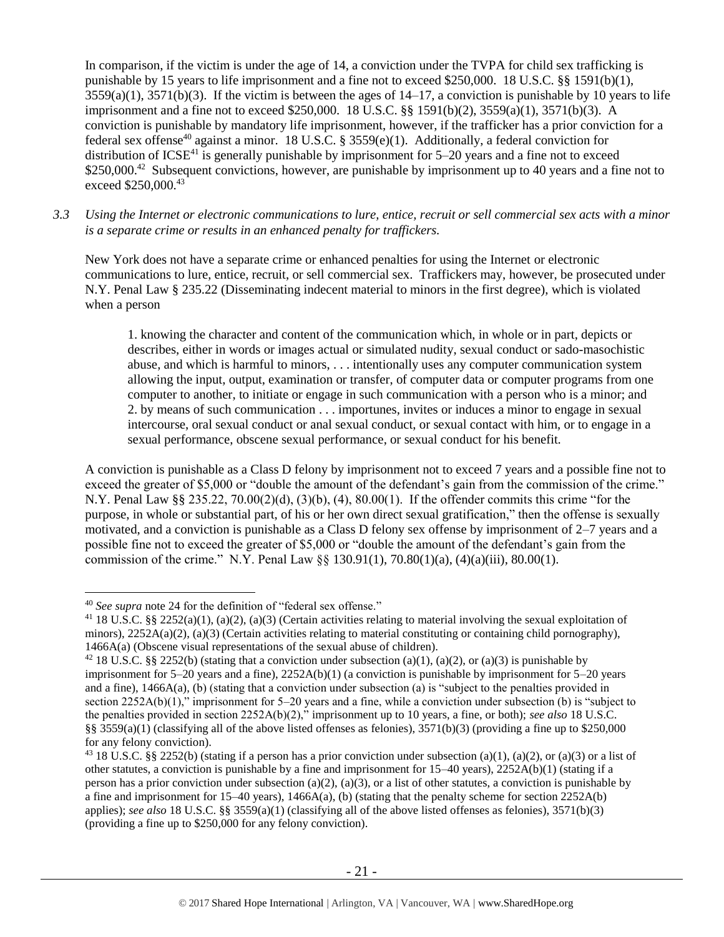In comparison, if the victim is under the age of 14, a conviction under the TVPA for child sex trafficking is punishable by 15 years to life imprisonment and a fine not to exceed \$250,000. 18 U.S.C. §§ 1591(b)(1),  $3559(a)(1)$ ,  $3571(b)(3)$ . If the victim is between the ages of  $14-17$ , a conviction is punishable by 10 years to life imprisonment and a fine not to exceed \$250,000. 18 U.S.C. §§ 1591(b)(2), 3559(a)(1), 3571(b)(3). A conviction is punishable by mandatory life imprisonment, however, if the trafficker has a prior conviction for a federal sex offense<sup>40</sup> against a minor. 18 U.S.C. § 3559 $(e)(1)$ . Additionally, a federal conviction for distribution of  $ICSE<sup>41</sup>$  is generally punishable by imprisonment for 5–20 years and a fine not to exceed \$250,000.<sup>42</sup> Subsequent convictions, however, are punishable by imprisonment up to 40 years and a fine not to exceed \$250,000.<sup>43</sup>

*3.3 Using the Internet or electronic communications to lure, entice, recruit or sell commercial sex acts with a minor is a separate crime or results in an enhanced penalty for traffickers.*

New York does not have a separate crime or enhanced penalties for using the Internet or electronic communications to lure, entice, recruit, or sell commercial sex. Traffickers may, however, be prosecuted under N.Y. Penal Law § 235.22 (Disseminating indecent material to minors in the first degree), which is violated when a person

1. knowing the character and content of the communication which, in whole or in part, depicts or describes, either in words or images actual or simulated nudity, sexual conduct or sado-masochistic abuse, and which is harmful to minors, . . . intentionally uses any computer communication system allowing the input, output, examination or transfer, of computer data or computer programs from one computer to another, to initiate or engage in such communication with a person who is a minor; and 2. by means of such communication . . . importunes, invites or induces a minor to engage in sexual intercourse, oral sexual conduct or anal sexual conduct, or sexual contact with him, or to engage in a sexual performance, obscene sexual performance, or sexual conduct for his benefit.

A conviction is punishable as a Class D felony by imprisonment not to exceed 7 years and a possible fine not to exceed the greater of \$5,000 or "double the amount of the defendant's gain from the commission of the crime." N.Y. Penal Law §§ 235.22, 70.00(2)(d), (3)(b), (4), 80.00(1). If the offender commits this crime "for the purpose, in whole or substantial part, of his or her own direct sexual gratification," then the offense is sexually motivated, and a conviction is punishable as a Class D felony sex offense by imprisonment of 2–7 years and a possible fine not to exceed the greater of \$5,000 or "double the amount of the defendant's gain from the commission of the crime." N.Y. Penal Law §§ 130.91(1), 70.80(1)(a), (4)(a)(iii), 80.00(1).

<sup>40</sup> *See supra* note [24](#page-12-1) for the definition of "federal sex offense."

<sup>41</sup> 18 U.S.C. §§ 2252(a)(1), (a)(2), (a)(3) (Certain activities relating to material involving the sexual exploitation of minors),  $2252A(a)(2)$ , (a)(3) (Certain activities relating to material constituting or containing child pornography), 1466A(a) (Obscene visual representations of the sexual abuse of children).

<sup>&</sup>lt;sup>42</sup> 18 U.S.C. §§ 2252(b) (stating that a conviction under subsection (a)(1), (a)(2), or (a)(3) is punishable by imprisonment for  $5-20$  years and a fine),  $2252A(b)(1)$  (a conviction is punishable by imprisonment for  $5-20$  years and a fine), 1466A(a), (b) (stating that a conviction under subsection (a) is "subject to the penalties provided in section 2252A(b)(1)," imprisonment for 5–20 years and a fine, while a conviction under subsection (b) is "subject to the penalties provided in section 2252A(b)(2)," imprisonment up to 10 years, a fine, or both); *see also* 18 U.S.C. §§ 3559(a)(1) (classifying all of the above listed offenses as felonies),  $3571(b)(3)$  (providing a fine up to \$250,000 for any felony conviction).

<sup>&</sup>lt;sup>43</sup> 18 U.S.C. §§ 2252(b) (stating if a person has a prior conviction under subsection (a)(1), (a)(2), or (a)(3) or a list of other statutes, a conviction is punishable by a fine and imprisonment for 15–40 years), 2252A(b)(1) (stating if a person has a prior conviction under subsection (a)(2), (a)(3), or a list of other statutes, a conviction is punishable by a fine and imprisonment for  $15-40$  years),  $1466A(a)$ , (b) (stating that the penalty scheme for section  $2252A(b)$ applies); *see also* 18 U.S.C. §§ 3559(a)(1) (classifying all of the above listed offenses as felonies), 3571(b)(3) (providing a fine up to \$250,000 for any felony conviction).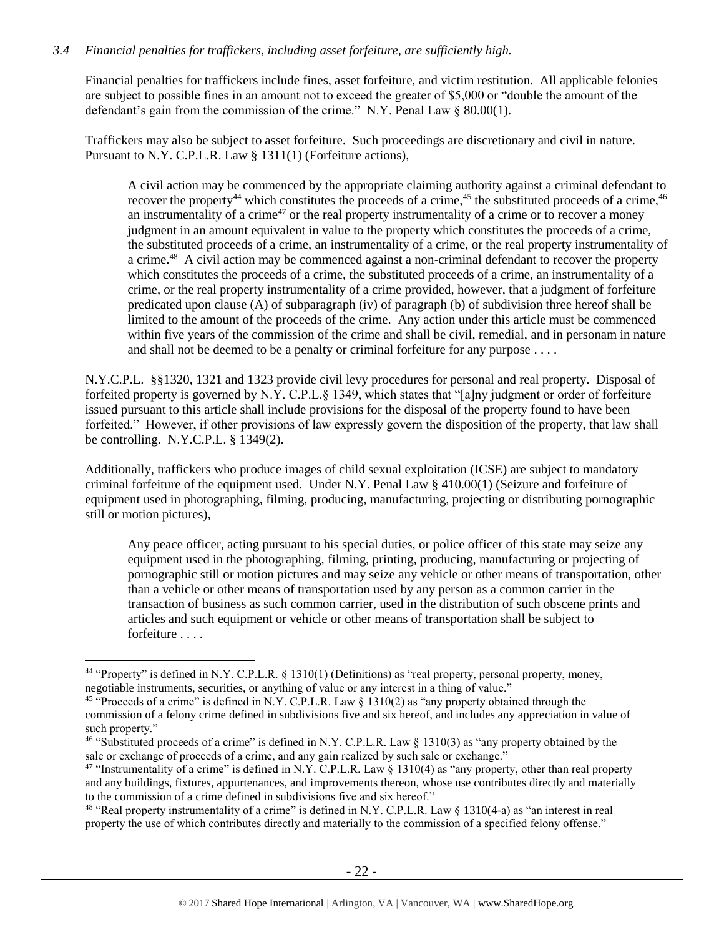## *3.4 Financial penalties for traffickers, including asset forfeiture, are sufficiently high.*

Financial penalties for traffickers include fines, asset forfeiture, and victim restitution. All applicable felonies are subject to possible fines in an amount not to exceed the greater of \$5,000 or "double the amount of the defendant's gain from the commission of the crime." N.Y. Penal Law § 80.00(1).

Traffickers may also be subject to asset forfeiture. Such proceedings are discretionary and civil in nature. Pursuant to N.Y. C.P.L.R. Law § 1311(1) (Forfeiture actions),

<span id="page-21-4"></span><span id="page-21-3"></span><span id="page-21-2"></span><span id="page-21-1"></span><span id="page-21-0"></span>A civil action may be commenced by the appropriate claiming authority against a criminal defendant to recover the property<sup>44</sup> which constitutes the proceeds of a crime,<sup>45</sup> the substituted proceeds of a crime,<sup>46</sup> an instrumentality of a crime<sup>47</sup> or the real property instrumentality of a crime or to recover a money judgment in an amount equivalent in value to the property which constitutes the proceeds of a crime, the substituted proceeds of a crime, an instrumentality of a crime, or the real property instrumentality of a crime.<sup>48</sup> A civil action may be commenced against a non-criminal defendant to recover the property which constitutes the proceeds of a crime, the substituted proceeds of a crime, an instrumentality of a crime, or the real property instrumentality of a crime provided, however, that a judgment of forfeiture predicated upon clause (A) of subparagraph (iv) of paragraph (b) of subdivision three hereof shall be limited to the amount of the proceeds of the crime. Any action under this article must be commenced within five years of the commission of the crime and shall be civil, remedial, and in personam in nature and shall not be deemed to be a penalty or criminal forfeiture for any purpose . . . .

N.Y.C.P.L. §§1320, 1321 and 1323 provide civil levy procedures for personal and real property. Disposal of forfeited property is governed by N.Y. C.P.L.§ 1349, which states that "[a]ny judgment or order of forfeiture issued pursuant to this article shall include provisions for the disposal of the property found to have been forfeited." However, if other provisions of law expressly govern the disposition of the property, that law shall be controlling. N.Y.C.P.L. § 1349(2).

Additionally, traffickers who produce images of child sexual exploitation (ICSE) are subject to mandatory criminal forfeiture of the equipment used. Under N.Y. Penal Law § 410.00(1) (Seizure and forfeiture of equipment used in photographing, filming, producing, manufacturing, projecting or distributing pornographic still or motion pictures),

Any peace officer, acting pursuant to his special duties, or police officer of this state may seize any equipment used in the photographing, filming, printing, producing, manufacturing or projecting of pornographic still or motion pictures and may seize any vehicle or other means of transportation, other than a vehicle or other means of transportation used by any person as a common carrier in the transaction of business as such common carrier, used in the distribution of such obscene prints and articles and such equipment or vehicle or other means of transportation shall be subject to forfeiture . . . .

<sup>44</sup> "Property" is defined in N.Y. C.P.L.R. § 1310(1) (Definitions) as "real property, personal property, money, negotiable instruments, securities, or anything of value or any interest in a thing of value."

<sup>&</sup>lt;sup>45</sup> "Proceeds of a crime" is defined in N.Y. C.P.L.R. Law § 1310(2) as "any property obtained through the commission of a felony crime defined in subdivisions five and six hereof, and includes any appreciation in value of such property."

<sup>46</sup> "Substituted proceeds of a crime" is defined in N.Y. C.P.L.R. Law § 1310(3) as "any property obtained by the sale or exchange of proceeds of a crime, and any gain realized by such sale or exchange."

<sup>&</sup>lt;sup>47</sup> "Instrumentality of a crime" is defined in N.Y. C.P.L.R. Law § 1310(4) as "any property, other than real property and any buildings, fixtures, appurtenances, and improvements thereon, whose use contributes directly and materially to the commission of a crime defined in subdivisions five and six hereof."

<sup>48</sup> "Real property instrumentality of a crime" is defined in N.Y. C.P.L.R. Law § 1310(4-a) as "an interest in real property the use of which contributes directly and materially to the commission of a specified felony offense."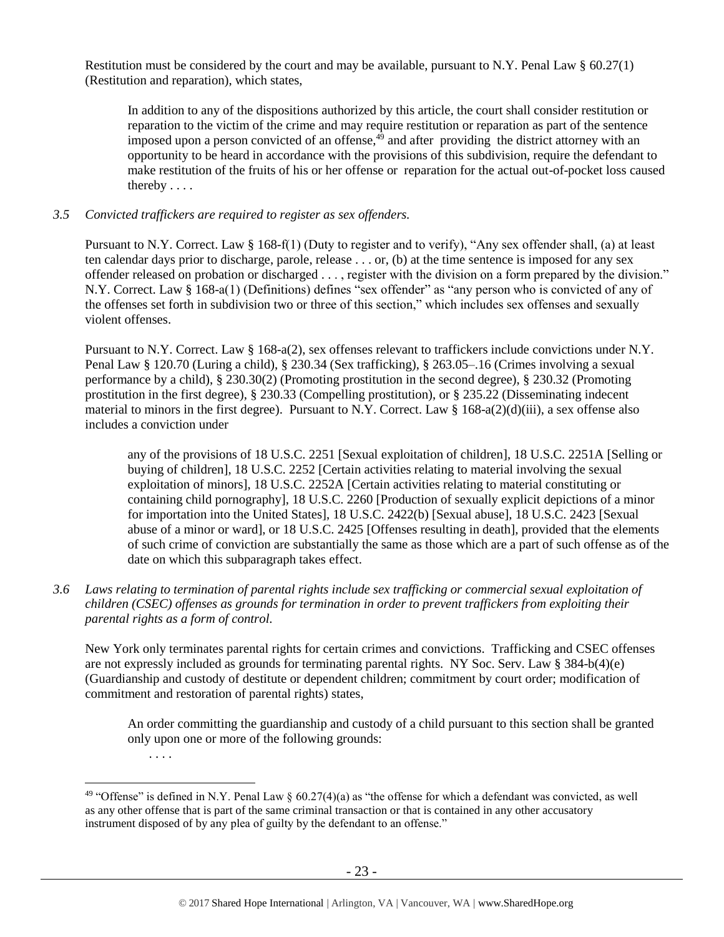Restitution must be considered by the court and may be available, pursuant to N.Y. Penal Law  $\S 60.27(1)$ (Restitution and reparation), which states,

<span id="page-22-0"></span>In addition to any of the dispositions authorized by this article, the court shall consider restitution or reparation to the victim of the crime and may require restitution or reparation as part of the sentence imposed upon a person convicted of an offense, $4^9$  and after providing the district attorney with an opportunity to be heard in accordance with the provisions of this subdivision, require the defendant to make restitution of the fruits of his or her offense or reparation for the actual out-of-pocket loss caused thereby . . . .

### *3.5 Convicted traffickers are required to register as sex offenders.*

Pursuant to N.Y. Correct. Law § 168-f(1) (Duty to register and to verify), "Any sex offender shall, (a) at least ten calendar days prior to discharge, parole, release . . . or, (b) at the time sentence is imposed for any sex offender released on probation or discharged . . . , register with the division on a form prepared by the division." N.Y. Correct. Law § 168-a(1) (Definitions) defines "sex offender" as "any person who is convicted of any of the offenses set forth in subdivision two or three of this section," which includes sex offenses and sexually violent offenses.

Pursuant to N.Y. Correct. Law § 168-a(2), sex offenses relevant to traffickers include convictions under N.Y. Penal Law § 120.70 (Luring a child), § 230.34 (Sex trafficking), § 263.05–.16 (Crimes involving a sexual performance by a child), § 230.30(2) (Promoting prostitution in the second degree), § 230.32 (Promoting prostitution in the first degree), § 230.33 (Compelling prostitution), or § 235.22 (Disseminating indecent material to minors in the first degree). Pursuant to N.Y. Correct. Law § 168-a(2)(d)(iii), a sex offense also includes a conviction under

any of the provisions of 18 U.S.C. 2251 [Sexual exploitation of children], 18 U.S.C. 2251A [Selling or buying of children], 18 U.S.C. 2252 [Certain activities relating to material involving the sexual exploitation of minors], 18 U.S.C. 2252A [Certain activities relating to material constituting or containing child pornography], 18 U.S.C. 2260 [Production of sexually explicit depictions of a minor for importation into the United States], 18 U.S.C. 2422(b) [Sexual abuse], 18 U.S.C. 2423 [Sexual abuse of a minor or ward], or 18 U.S.C. 2425 [Offenses resulting in death], provided that the elements of such crime of conviction are substantially the same as those which are a part of such offense as of the date on which this subparagraph takes effect.

*3.6 Laws relating to termination of parental rights include sex trafficking or commercial sexual exploitation of children (CSEC) offenses as grounds for termination in order to prevent traffickers from exploiting their parental rights as a form of control.* 

New York only terminates parental rights for certain crimes and convictions. Trafficking and CSEC offenses are not expressly included as grounds for terminating parental rights. NY Soc. Serv. Law § 384-b(4)(e) (Guardianship and custody of destitute or dependent children; commitment by court order; modification of commitment and restoration of parental rights) states,

An order committing the guardianship and custody of a child pursuant to this section shall be granted only upon one or more of the following grounds:

. . . .

<sup>&</sup>lt;sup>49</sup> "Offense" is defined in N.Y. Penal Law  $\S$  60.27(4)(a) as "the offense for which a defendant was convicted, as well as any other offense that is part of the same criminal transaction or that is contained in any other accusatory instrument disposed of by any plea of guilty by the defendant to an offense."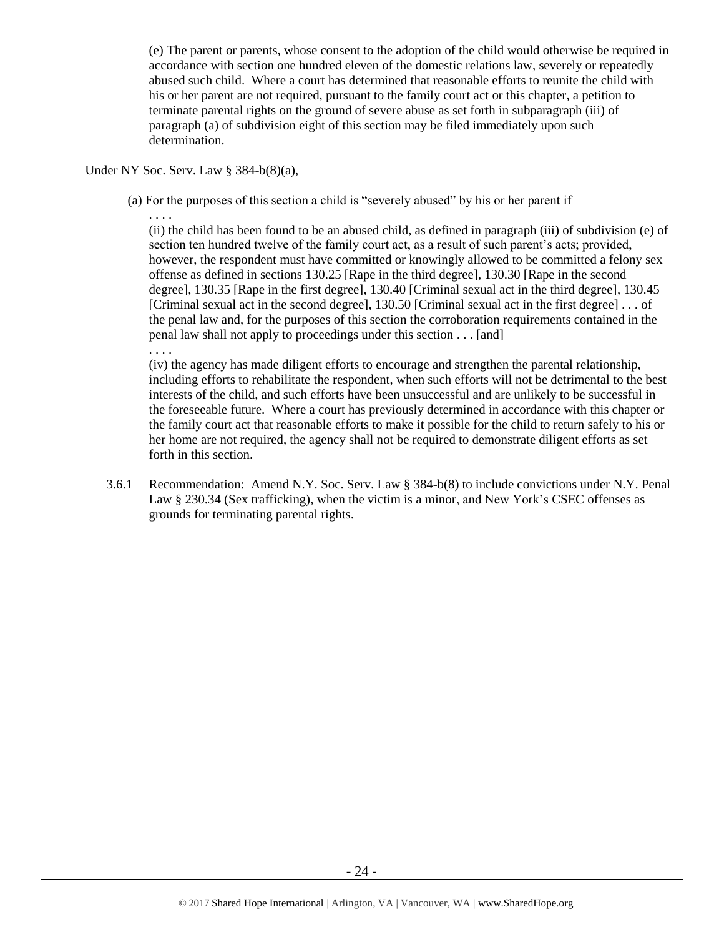(e) The parent or parents, whose consent to the adoption of the child would otherwise be required in accordance with section one hundred eleven of the domestic relations law, severely or repeatedly abused such child. Where a court has determined that reasonable efforts to reunite the child with his or her parent are not required, pursuant to the family court act or this chapter, a petition to terminate parental rights on the ground of severe abuse as set forth in subparagraph (iii) of paragraph (a) of subdivision eight of this section may be filed immediately upon such determination.

#### Under NY Soc. Serv. Law § 384-b(8)(a),

(a) For the purposes of this section a child is "severely abused" by his or her parent if

. . . . (ii) the child has been found to be an abused child, as defined in paragraph (iii) of subdivision (e) of section ten hundred twelve of the family court act, as a result of such parent's acts; provided, however, the respondent must have committed or knowingly allowed to be committed a felony sex offense as defined in sections 130.25 [Rape in the third degree], 130.30 [Rape in the second degree], 130.35 [Rape in the first degree], 130.40 [Criminal sexual act in the third degree], 130.45 [Criminal sexual act in the second degree], 130.50 [Criminal sexual act in the first degree] . . . of the penal law and, for the purposes of this section the corroboration requirements contained in the penal law shall not apply to proceedings under this section . . . [and]

. . . .

(iv) the agency has made diligent efforts to encourage and strengthen the parental relationship, including efforts to rehabilitate the respondent, when such efforts will not be detrimental to the best interests of the child, and such efforts have been unsuccessful and are unlikely to be successful in the foreseeable future. Where a court has previously determined in accordance with this chapter or the family court act that reasonable efforts to make it possible for the child to return safely to his or her home are not required, the agency shall not be required to demonstrate diligent efforts as set forth in this section.

3.6.1 Recommendation: Amend N.Y. Soc. Serv. Law § 384-b(8) to include convictions under N.Y. Penal Law § 230.34 (Sex trafficking), when the victim is a minor, and New York's CSEC offenses as grounds for terminating parental rights.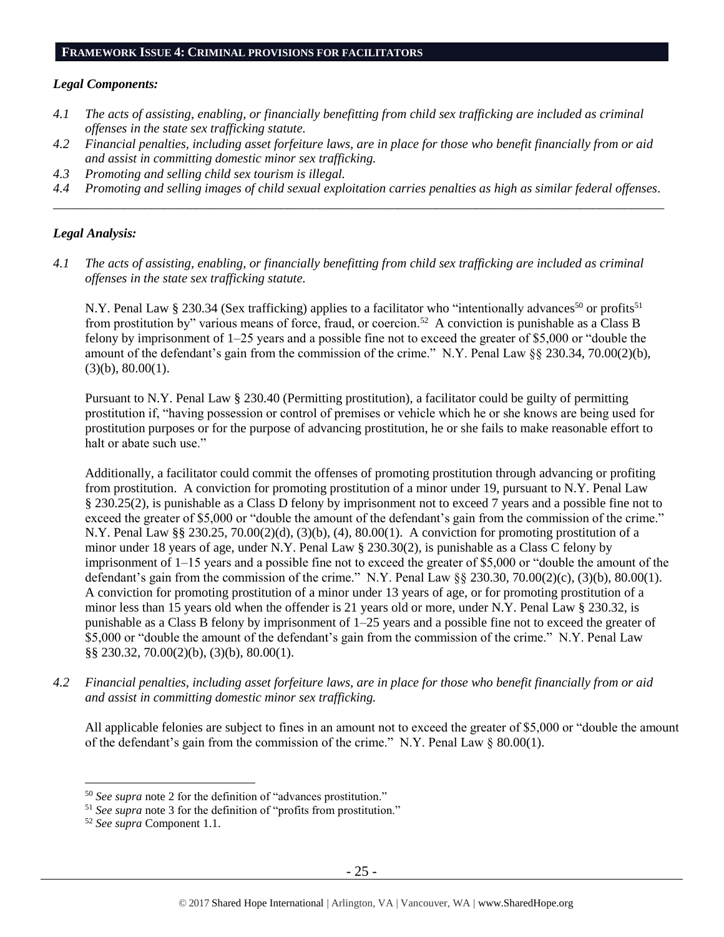#### **FRAMEWORK ISSUE 4: CRIMINAL PROVISIONS FOR FACILITATORS**

#### *Legal Components:*

- *4.1 The acts of assisting, enabling, or financially benefitting from child sex trafficking are included as criminal offenses in the state sex trafficking statute.*
- *4.2 Financial penalties, including asset forfeiture laws, are in place for those who benefit financially from or aid and assist in committing domestic minor sex trafficking.*
- *4.3 Promoting and selling child sex tourism is illegal.*
- *4.4 Promoting and selling images of child sexual exploitation carries penalties as high as similar federal offenses. \_\_\_\_\_\_\_\_\_\_\_\_\_\_\_\_\_\_\_\_\_\_\_\_\_\_\_\_\_\_\_\_\_\_\_\_\_\_\_\_\_\_\_\_\_\_\_\_\_\_\_\_\_\_\_\_\_\_\_\_\_\_\_\_\_\_\_\_\_\_\_\_\_\_\_\_\_\_\_\_\_\_\_\_\_\_\_\_\_\_\_\_\_\_*

#### *Legal Analysis:*

*4.1 The acts of assisting, enabling, or financially benefitting from child sex trafficking are included as criminal offenses in the state sex trafficking statute.*

N.Y. Penal Law § 230.34 (Sex trafficking) applies to a facilitator who "intentionally advances<sup>50</sup> or profits<sup>51</sup> from prostitution by" various means of force, fraud, or coercion.<sup>52</sup> A conviction is punishable as a Class B felony by imprisonment of 1–25 years and a possible fine not to exceed the greater of \$5,000 or "double the amount of the defendant's gain from the commission of the crime." N.Y. Penal Law §§ 230.34, 70.00(2)(b),  $(3)(b)$ ,  $80.00(1)$ .

Pursuant to N.Y. Penal Law § 230.40 (Permitting prostitution), a facilitator could be guilty of permitting prostitution if, "having possession or control of premises or vehicle which he or she knows are being used for prostitution purposes or for the purpose of advancing prostitution, he or she fails to make reasonable effort to halt or abate such use."

Additionally, a facilitator could commit the offenses of promoting prostitution through advancing or profiting from prostitution. A conviction for promoting prostitution of a minor under 19, pursuant to N.Y. Penal Law § 230.25(2), is punishable as a Class D felony by imprisonment not to exceed 7 years and a possible fine not to exceed the greater of \$5,000 or "double the amount of the defendant's gain from the commission of the crime." N.Y. Penal Law §§ 230.25, 70.00(2)(d), (3)(b), (4), 80.00(1). A conviction for promoting prostitution of a minor under 18 years of age, under N.Y. Penal Law § 230.30(2), is punishable as a Class C felony by imprisonment of 1–15 years and a possible fine not to exceed the greater of \$5,000 or "double the amount of the defendant's gain from the commission of the crime." N.Y. Penal Law §§ 230.30, 70.00(2)(c), (3)(b), 80.00(1). A conviction for promoting prostitution of a minor under 13 years of age, or for promoting prostitution of a minor less than 15 years old when the offender is 21 years old or more, under N.Y. Penal Law § 230.32, is punishable as a Class B felony by imprisonment of 1–25 years and a possible fine not to exceed the greater of \$5,000 or "double the amount of the defendant's gain from the commission of the crime." N.Y. Penal Law §§ 230.32, 70.00(2)(b), (3)(b), 80.00(1).

*4.2 Financial penalties, including asset forfeiture laws, are in place for those who benefit financially from or aid and assist in committing domestic minor sex trafficking.*

All applicable felonies are subject to fines in an amount not to exceed the greater of \$5,000 or "double the amount of the defendant's gain from the commission of the crime." N.Y. Penal Law § 80.00(1).

<sup>50</sup> *See supra* note [2](#page-0-0) for the definition of "advances prostitution."

<sup>&</sup>lt;sup>51</sup> See supra note [3](#page-0-1) for the definition of "profits from prostitution."

<sup>52</sup> *See supra* Component 1.1.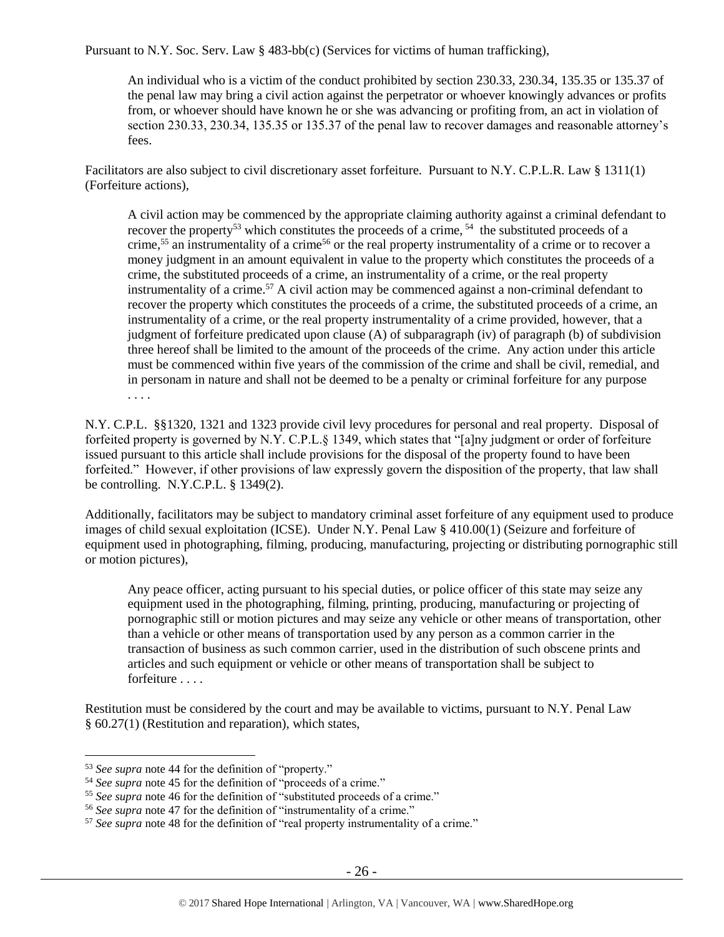Pursuant to N.Y. Soc. Serv. Law § 483-bb(c) (Services for victims of human trafficking),

An individual who is a victim of the conduct prohibited by section 230.33, 230.34, 135.35 or 135.37 of the penal law may bring a civil action against the perpetrator or whoever knowingly advances or profits from, or whoever should have known he or she was advancing or profiting from, an act in violation of section 230.33, 230.34, 135.35 or 135.37 of the penal law to recover damages and reasonable attorney's fees.

Facilitators are also subject to civil discretionary asset forfeiture. Pursuant to N.Y. C.P.L.R. Law § 1311(1) (Forfeiture actions),

A civil action may be commenced by the appropriate claiming authority against a criminal defendant to recover the property<sup>53</sup> which constitutes the proceeds of a crime,  $^{54}$  the substituted proceeds of a crime,<sup>55</sup> an instrumentality of a crime<sup>56</sup> or the real property instrumentality of a crime or to recover a money judgment in an amount equivalent in value to the property which constitutes the proceeds of a crime, the substituted proceeds of a crime, an instrumentality of a crime, or the real property instrumentality of a crime.<sup>57</sup> A civil action may be commenced against a non-criminal defendant to recover the property which constitutes the proceeds of a crime, the substituted proceeds of a crime, an instrumentality of a crime, or the real property instrumentality of a crime provided, however, that a judgment of forfeiture predicated upon clause (A) of subparagraph (iv) of paragraph (b) of subdivision three hereof shall be limited to the amount of the proceeds of the crime. Any action under this article must be commenced within five years of the commission of the crime and shall be civil, remedial, and in personam in nature and shall not be deemed to be a penalty or criminal forfeiture for any purpose . . . .

N.Y. C.P.L. §§1320, 1321 and 1323 provide civil levy procedures for personal and real property. Disposal of forfeited property is governed by N.Y. C.P.L.§ 1349, which states that "[a]ny judgment or order of forfeiture issued pursuant to this article shall include provisions for the disposal of the property found to have been forfeited." However, if other provisions of law expressly govern the disposition of the property, that law shall be controlling. N.Y.C.P.L.  $§$  1349(2).

Additionally, facilitators may be subject to mandatory criminal asset forfeiture of any equipment used to produce images of child sexual exploitation (ICSE). Under N.Y. Penal Law § 410.00(1) (Seizure and forfeiture of equipment used in photographing, filming, producing, manufacturing, projecting or distributing pornographic still or motion pictures),

Any peace officer, acting pursuant to his special duties, or police officer of this state may seize any equipment used in the photographing, filming, printing, producing, manufacturing or projecting of pornographic still or motion pictures and may seize any vehicle or other means of transportation, other than a vehicle or other means of transportation used by any person as a common carrier in the transaction of business as such common carrier, used in the distribution of such obscene prints and articles and such equipment or vehicle or other means of transportation shall be subject to forfeiture . . . .

Restitution must be considered by the court and may be available to victims, pursuant to N.Y. Penal Law § 60.27(1) (Restitution and reparation), which states,

<sup>53</sup> *See supra* note [44](#page-21-0) for the definition of "property."

<sup>54</sup> *See supra* note [45](#page-21-1) for the definition of "proceeds of a crime."

<sup>55</sup> *See supra* note [46](#page-21-2) for the definition of "substituted proceeds of a crime."

<sup>56</sup> *See supra* note [47](#page-21-3) for the definition of "instrumentality of a crime."

<sup>57</sup> *See supra* note [48](#page-21-4) for the definition of "real property instrumentality of a crime."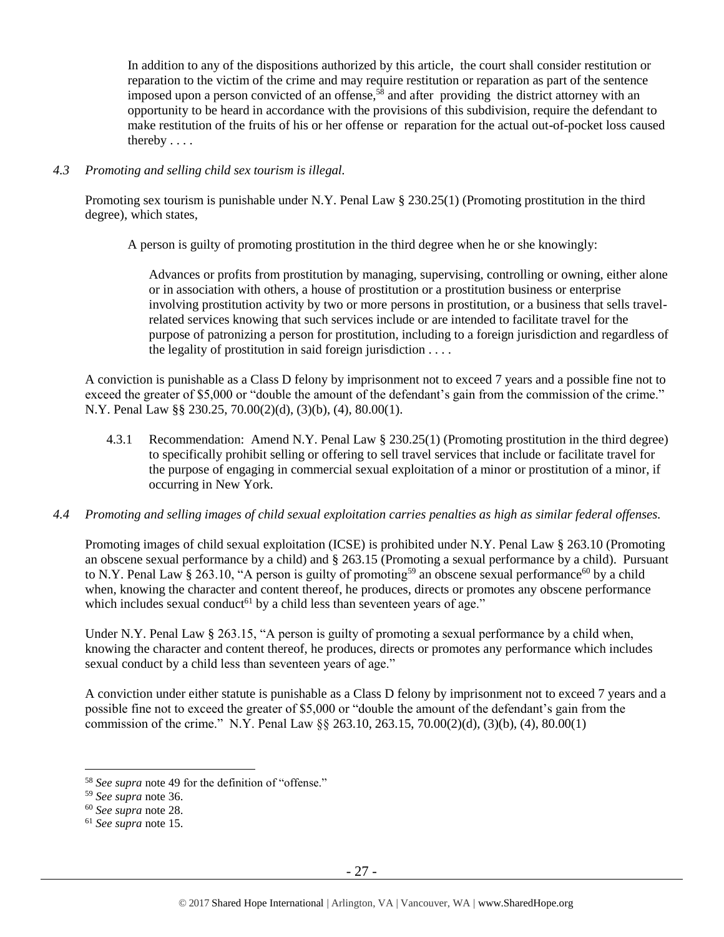In addition to any of the dispositions authorized by this article, the court shall consider restitution or reparation to the victim of the crime and may require restitution or reparation as part of the sentence imposed upon a person convicted of an offense,<sup>58</sup> and after providing the district attorney with an opportunity to be heard in accordance with the provisions of this subdivision, require the defendant to make restitution of the fruits of his or her offense or reparation for the actual out-of-pocket loss caused thereby . . . .

### *4.3 Promoting and selling child sex tourism is illegal.*

Promoting sex tourism is punishable under N.Y. Penal Law § 230.25(1) (Promoting prostitution in the third degree), which states,

A person is guilty of promoting prostitution in the third degree when he or she knowingly:

Advances or profits from prostitution by managing, supervising, controlling or owning, either alone or in association with others, a house of prostitution or a prostitution business or enterprise involving prostitution activity by two or more persons in prostitution, or a business that sells travelrelated services knowing that such services include or are intended to facilitate travel for the purpose of patronizing a person for prostitution, including to a foreign jurisdiction and regardless of the legality of prostitution in said foreign jurisdiction . . . .

A conviction is punishable as a Class D felony by imprisonment not to exceed 7 years and a possible fine not to exceed the greater of \$5,000 or "double the amount of the defendant's gain from the commission of the crime." N.Y. Penal Law §§ 230.25, 70.00(2)(d), (3)(b), (4), 80.00(1).

4.3.1 Recommendation: Amend N.Y. Penal Law § 230.25(1) (Promoting prostitution in the third degree) to specifically prohibit selling or offering to sell travel services that include or facilitate travel for the purpose of engaging in commercial sexual exploitation of a minor or prostitution of a minor, if occurring in New York.

#### *4.4 Promoting and selling images of child sexual exploitation carries penalties as high as similar federal offenses.*

Promoting images of child sexual exploitation (ICSE) is prohibited under N.Y. Penal Law § 263.10 (Promoting an obscene sexual performance by a child) and § 263.15 (Promoting a sexual performance by a child). Pursuant to N.Y. Penal Law § 263.10, "A person is guilty of promoting<sup>59</sup> an obscene sexual performance<sup>60</sup> by a child when, knowing the character and content thereof, he produces, directs or promotes any obscene performance which includes sexual conduct<sup>61</sup> by a child less than seventeen years of age."

Under N.Y. Penal Law § 263.15, "A person is guilty of promoting a sexual performance by a child when, knowing the character and content thereof, he produces, directs or promotes any performance which includes sexual conduct by a child less than seventeen years of age."

A conviction under either statute is punishable as a Class D felony by imprisonment not to exceed 7 years and a possible fine not to exceed the greater of \$5,000 or "double the amount of the defendant's gain from the commission of the crime." N.Y. Penal Law §§ 263.10, 263.15, 70.00(2)(d), (3)(b), (4), 80.00(1)

<sup>58</sup> *See supra* note [49](#page-22-0) for the definition of "offense."

<sup>59</sup> *See supra* note [36.](#page-19-0)

<sup>60</sup> *See supra* note [28.](#page-16-0)

<sup>61</sup> *See supra* note [15.](#page-5-0)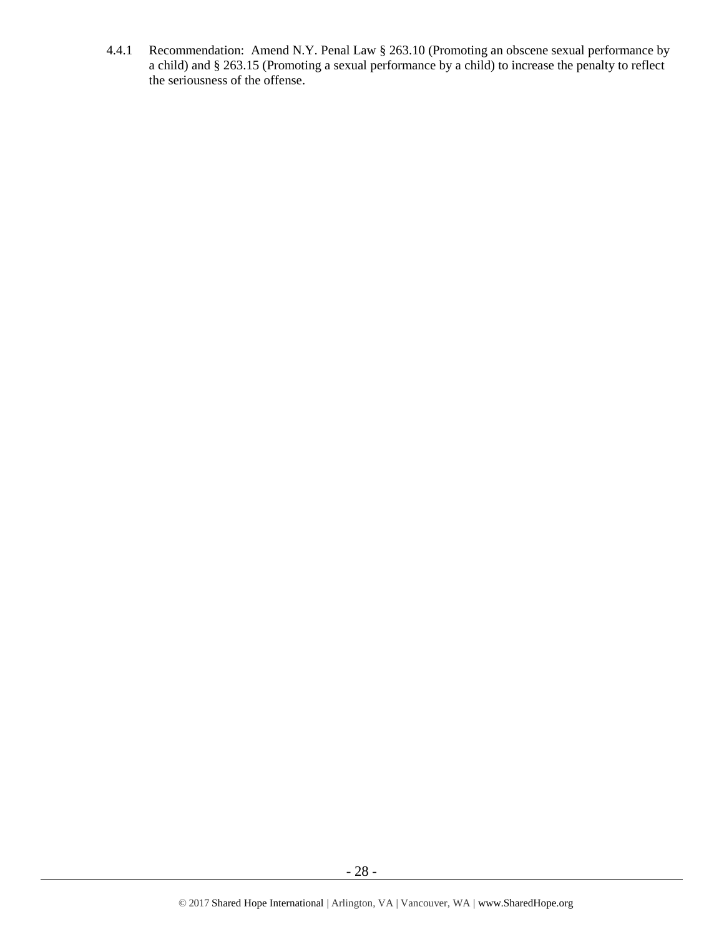4.4.1 Recommendation: Amend N.Y. Penal Law § 263.10 (Promoting an obscene sexual performance by a child) and § 263.15 (Promoting a sexual performance by a child) to increase the penalty to reflect the seriousness of the offense.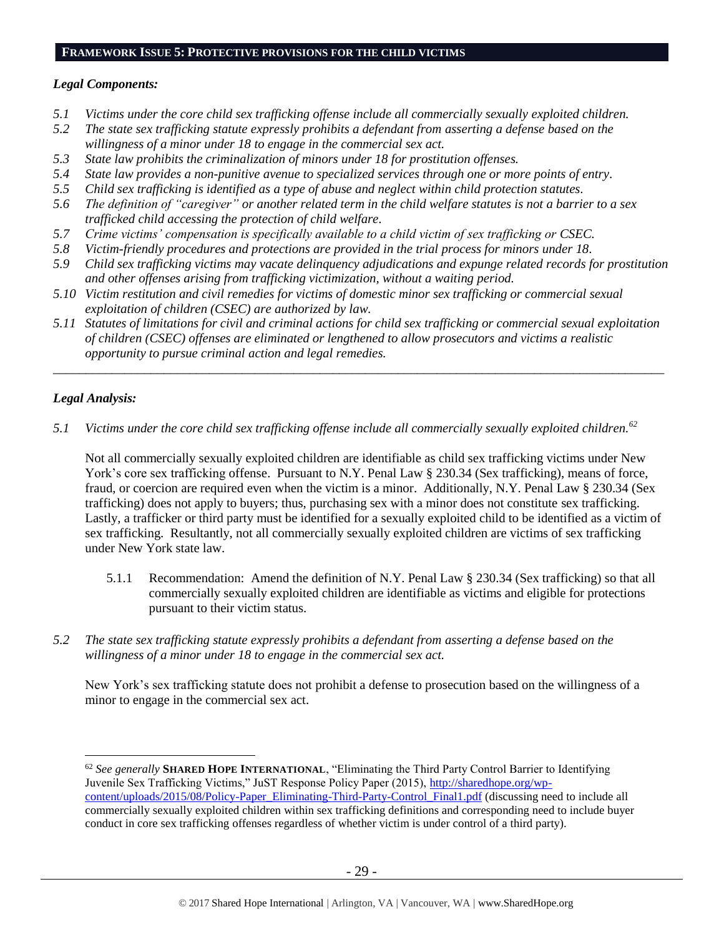#### **FRAMEWORK ISSUE 5: PROTECTIVE PROVISIONS FOR THE CHILD VICTIMS**

## *Legal Components:*

- *5.1 Victims under the core child sex trafficking offense include all commercially sexually exploited children.*
- *5.2 The state sex trafficking statute expressly prohibits a defendant from asserting a defense based on the willingness of a minor under 18 to engage in the commercial sex act.*
- *5.3 State law prohibits the criminalization of minors under 18 for prostitution offenses.*
- *5.4 State law provides a non-punitive avenue to specialized services through one or more points of entry.*
- *5.5 Child sex trafficking is identified as a type of abuse and neglect within child protection statutes.*
- *5.6 The definition of "caregiver" or another related term in the child welfare statutes is not a barrier to a sex trafficked child accessing the protection of child welfare.*
- *5.7 Crime victims' compensation is specifically available to a child victim of sex trafficking or CSEC.*
- *5.8 Victim-friendly procedures and protections are provided in the trial process for minors under 18.*
- *5.9 Child sex trafficking victims may vacate delinquency adjudications and expunge related records for prostitution and other offenses arising from trafficking victimization, without a waiting period.*
- *5.10 Victim restitution and civil remedies for victims of domestic minor sex trafficking or commercial sexual exploitation of children (CSEC) are authorized by law.*
- *5.11 Statutes of limitations for civil and criminal actions for child sex trafficking or commercial sexual exploitation of children (CSEC) offenses are eliminated or lengthened to allow prosecutors and victims a realistic opportunity to pursue criminal action and legal remedies.*

*\_\_\_\_\_\_\_\_\_\_\_\_\_\_\_\_\_\_\_\_\_\_\_\_\_\_\_\_\_\_\_\_\_\_\_\_\_\_\_\_\_\_\_\_\_\_\_\_\_\_\_\_\_\_\_\_\_\_\_\_\_\_\_\_\_\_\_\_\_\_\_\_\_\_\_\_\_\_\_\_\_\_\_\_\_\_\_\_\_\_\_\_\_\_*

## *Legal Analysis:*

 $\overline{a}$ 

*5.1 Victims under the core child sex trafficking offense include all commercially sexually exploited children.<sup>62</sup>* 

Not all commercially sexually exploited children are identifiable as child sex trafficking victims under New York's core sex trafficking offense. Pursuant to N.Y. Penal Law § 230.34 (Sex trafficking), means of force, fraud, or coercion are required even when the victim is a minor. Additionally, N.Y. Penal Law § 230.34 (Sex trafficking) does not apply to buyers; thus, purchasing sex with a minor does not constitute sex trafficking. Lastly, a trafficker or third party must be identified for a sexually exploited child to be identified as a victim of sex trafficking. Resultantly, not all commercially sexually exploited children are victims of sex trafficking under New York state law.

- 5.1.1 Recommendation: Amend the definition of N.Y. Penal Law § 230.34 (Sex trafficking) so that all commercially sexually exploited children are identifiable as victims and eligible for protections pursuant to their victim status.
- *5.2 The state sex trafficking statute expressly prohibits a defendant from asserting a defense based on the willingness of a minor under 18 to engage in the commercial sex act.*

New York's sex trafficking statute does not prohibit a defense to prosecution based on the willingness of a minor to engage in the commercial sex act.

<sup>62</sup> *See generally* **SHARED HOPE INTERNATIONAL**, "Eliminating the Third Party Control Barrier to Identifying Juvenile Sex Trafficking Victims," JuST Response Policy Paper (2015), [http://sharedhope.org/wp](http://sharedhope.org/wp-content/uploads/2015/08/Policy-Paper_Eliminating-Third-Party-Control_Final1.pdf)[content/uploads/2015/08/Policy-Paper\\_Eliminating-Third-Party-Control\\_Final1.pdf](http://sharedhope.org/wp-content/uploads/2015/08/Policy-Paper_Eliminating-Third-Party-Control_Final1.pdf) (discussing need to include all commercially sexually exploited children within sex trafficking definitions and corresponding need to include buyer conduct in core sex trafficking offenses regardless of whether victim is under control of a third party).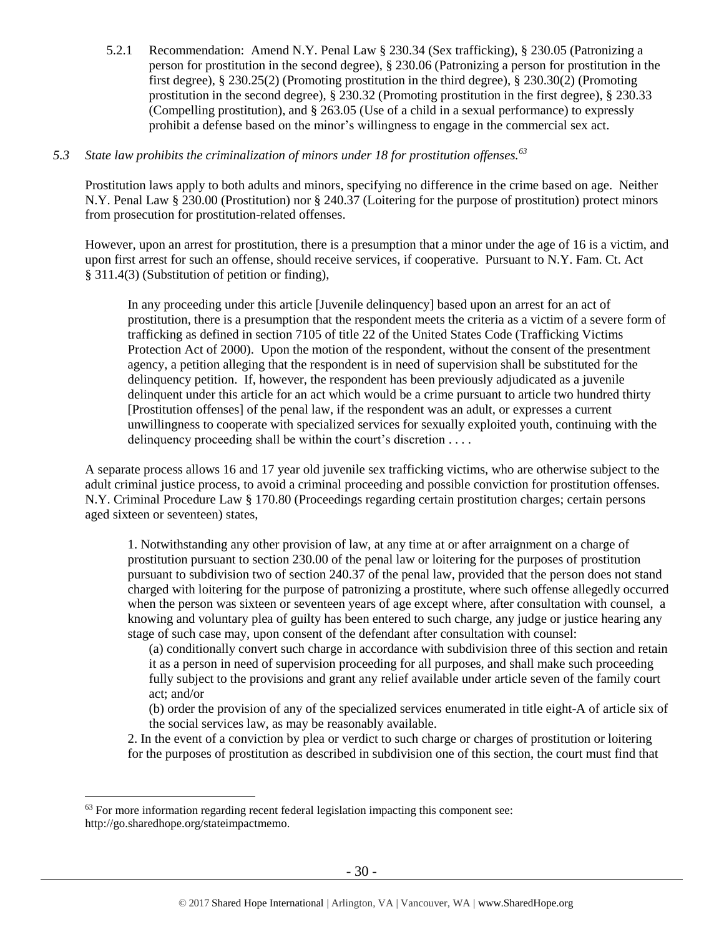5.2.1 Recommendation: Amend N.Y. Penal Law § 230.34 (Sex trafficking), § 230.05 (Patronizing a person for prostitution in the second degree), § 230.06 (Patronizing a person for prostitution in the first degree), § 230.25(2) (Promoting prostitution in the third degree), § 230.30(2) (Promoting prostitution in the second degree), § 230.32 (Promoting prostitution in the first degree), § 230.33 (Compelling prostitution), and § 263.05 (Use of a child in a sexual performance) to expressly prohibit a defense based on the minor's willingness to engage in the commercial sex act.

# *5.3 State law prohibits the criminalization of minors under 18 for prostitution offenses.<sup>63</sup>*

Prostitution laws apply to both adults and minors, specifying no difference in the crime based on age. Neither N.Y. Penal Law § 230.00 (Prostitution) nor § 240.37 (Loitering for the purpose of prostitution) protect minors from prosecution for prostitution-related offenses.

However, upon an arrest for prostitution, there is a presumption that a minor under the age of 16 is a victim, and upon first arrest for such an offense, should receive services, if cooperative. Pursuant to N.Y. Fam. Ct. Act § 311.4(3) (Substitution of petition or finding),

In any proceeding under this article [Juvenile delinquency] based upon an arrest for an act of prostitution, there is a presumption that the respondent meets the criteria as a victim of a severe form of trafficking as defined in section 7105 of title 22 of the United States Code (Trafficking Victims Protection Act of 2000). Upon the motion of the respondent, without the consent of the presentment agency, a petition alleging that the respondent is in need of supervision shall be substituted for the delinquency petition. If, however, the respondent has been previously adjudicated as a juvenile delinquent under this article for an act which would be a crime pursuant to article two hundred thirty [Prostitution offenses] of the penal law, if the respondent was an adult, or expresses a current unwillingness to cooperate with specialized services for sexually exploited youth, continuing with the delinquency proceeding shall be within the court's discretion . . . .

A separate process allows 16 and 17 year old juvenile sex trafficking victims, who are otherwise subject to the adult criminal justice process, to avoid a criminal proceeding and possible conviction for prostitution offenses. N.Y. Criminal Procedure Law § 170.80 (Proceedings regarding certain prostitution charges; certain persons aged sixteen or seventeen) states,

1. Notwithstanding any other provision of law, at any time at or after arraignment on a charge of prostitution pursuant to section 230.00 of the penal law or loitering for the purposes of prostitution pursuant to subdivision two of section 240.37 of the penal law, provided that the person does not stand charged with loitering for the purpose of patronizing a prostitute, where such offense allegedly occurred when the person was sixteen or seventeen years of age except where, after consultation with counsel, a knowing and voluntary plea of guilty has been entered to such charge, any judge or justice hearing any stage of such case may, upon consent of the defendant after consultation with counsel:

(a) conditionally convert such charge in accordance with subdivision three of this section and retain it as a person in need of supervision proceeding for all purposes, and shall make such proceeding fully subject to the provisions and grant any relief available under article seven of the family court act; and/or

(b) order the provision of any of the specialized services enumerated in title eight-A of article six of the social services law, as may be reasonably available.

2. In the event of a conviction by plea or verdict to such charge or charges of prostitution or loitering for the purposes of prostitution as described in subdivision one of this section, the court must find that

 $\overline{a}$  $63$  For more information regarding recent federal legislation impacting this component see: http://go.sharedhope.org/stateimpactmemo.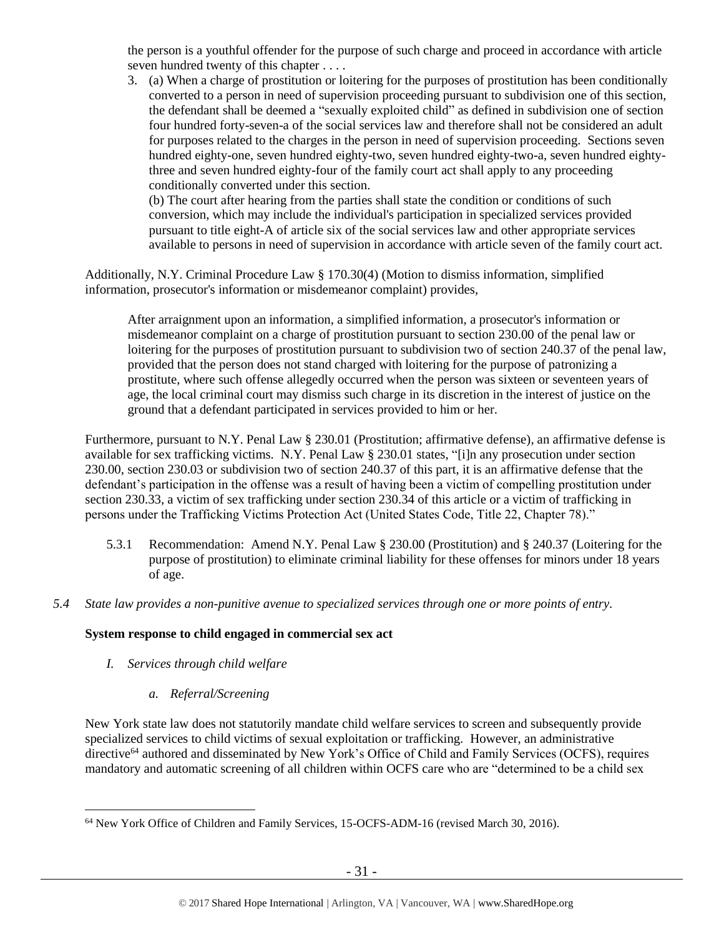the person is a youthful offender for the purpose of such charge and proceed in accordance with article seven hundred twenty of this chapter . . . .

3. (a) When a charge of prostitution or loitering for the purposes of prostitution has been conditionally converted to a person in need of supervision proceeding pursuant to subdivision one of this section, the defendant shall be deemed a "sexually exploited child" as defined in subdivision one of section four hundred forty-seven-a of the social services law and therefore shall not be considered an adult for purposes related to the charges in the person in need of supervision proceeding. Sections seven hundred eighty-one, seven hundred eighty-two, seven hundred eighty-two-a, seven hundred eightythree and seven hundred eighty-four of the family court act shall apply to any proceeding conditionally converted under this section.

(b) The court after hearing from the parties shall state the condition or conditions of such conversion, which may include the individual's participation in specialized services provided pursuant to title eight-A of article six of the social services law and other appropriate services available to persons in need of supervision in accordance with article seven of the family court act.

Additionally, N.Y. Criminal Procedure Law § 170.30(4) (Motion to dismiss information, simplified information, prosecutor's information or misdemeanor complaint) provides,

After arraignment upon an information, a simplified information, a prosecutor's information or misdemeanor complaint on a charge of prostitution pursuant to section 230.00 of the penal law or loitering for the purposes of prostitution pursuant to subdivision two of section 240.37 of the penal law, provided that the person does not stand charged with loitering for the purpose of patronizing a prostitute, where such offense allegedly occurred when the person was sixteen or seventeen years of age, the local criminal court may dismiss such charge in its discretion in the interest of justice on the ground that a defendant participated in services provided to him or her.

Furthermore, pursuant to N.Y. Penal Law § 230.01 (Prostitution; affirmative defense), an affirmative defense is available for sex trafficking victims. N.Y. Penal Law § 230.01 states, "[i]n any prosecution under section 230.00, section 230.03 or subdivision two of section 240.37 of this part, it is an affirmative defense that the defendant's participation in the offense was a result of having been a victim of compelling prostitution under section 230.33, a victim of sex trafficking under section 230.34 of this article or a victim of trafficking in persons under the Trafficking Victims Protection Act (United States Code, Title 22, Chapter 78)."

- 5.3.1 Recommendation: Amend N.Y. Penal Law § 230.00 (Prostitution) and § 240.37 (Loitering for the purpose of prostitution) to eliminate criminal liability for these offenses for minors under 18 years of age.
- *5.4 State law provides a non-punitive avenue to specialized services through one or more points of entry.*

# **System response to child engaged in commercial sex act**

*I. Services through child welfare*

 $\overline{a}$ 

*a. Referral/Screening*

New York state law does not statutorily mandate child welfare services to screen and subsequently provide specialized services to child victims of sexual exploitation or trafficking. However, an administrative directive<sup>64</sup> authored and disseminated by New York's Office of Child and Family Services (OCFS), requires mandatory and automatic screening of all children within OCFS care who are "determined to be a child sex

<sup>64</sup> New York Office of Children and Family Services, 15-OCFS-ADM-16 (revised March 30, 2016).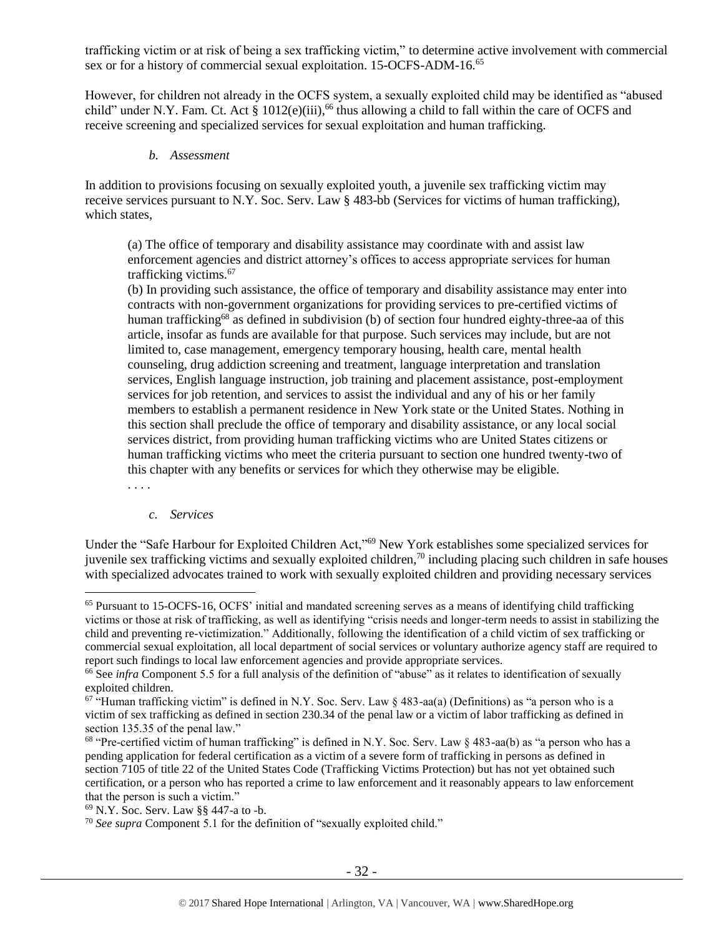trafficking victim or at risk of being a sex trafficking victim," to determine active involvement with commercial sex or for a history of commercial sexual exploitation. 15-OCFS-ADM-16.<sup>65</sup>

However, for children not already in the OCFS system, a sexually exploited child may be identified as "abused child" under N.Y. Fam. Ct. Act § 1012(e)(iii),<sup>66</sup> thus allowing a child to fall within the care of OCFS and receive screening and specialized services for sexual exploitation and human trafficking.

#### *b. Assessment*

In addition to provisions focusing on sexually exploited youth, a juvenile sex trafficking victim may receive services pursuant to N.Y. Soc. Serv. Law § 483-bb (Services for victims of human trafficking), which states,

(a) The office of temporary and disability assistance may coordinate with and assist law enforcement agencies and district attorney's offices to access appropriate services for human trafficking victims.<sup>67</sup>

(b) In providing such assistance, the office of temporary and disability assistance may enter into contracts with non-government organizations for providing services to pre-certified victims of human trafficking<sup>68</sup> as defined in subdivision (b) of section four hundred eighty-three-aa of this article, insofar as funds are available for that purpose. Such services may include, but are not limited to, case management, emergency temporary housing, health care, mental health counseling, drug addiction screening and treatment, language interpretation and translation services, English language instruction, job training and placement assistance, post-employment services for job retention, and services to assist the individual and any of his or her family members to establish a permanent residence in New York state or the United States. Nothing in this section shall preclude the office of temporary and disability assistance, or any local social services district, from providing human trafficking victims who are United States citizens or human trafficking victims who meet the criteria pursuant to section one hundred twenty-two of this chapter with any benefits or services for which they otherwise may be eligible.

. . . .

 $\overline{a}$ 

#### *c. Services*

Under the "Safe Harbour for Exploited Children Act,"<sup>69</sup> New York establishes some specialized services for juvenile sex trafficking victims and sexually exploited children,<sup>70</sup> including placing such children in safe houses with specialized advocates trained to work with sexually exploited children and providing necessary services

<sup>65</sup> Pursuant to 15-OCFS-16, OCFS' initial and mandated screening serves as a means of identifying child trafficking victims or those at risk of trafficking, as well as identifying "crisis needs and longer-term needs to assist in stabilizing the child and preventing re-victimization." Additionally, following the identification of a child victim of sex trafficking or commercial sexual exploitation, all local department of social services or voluntary authorize agency staff are required to report such findings to local law enforcement agencies and provide appropriate services.

<sup>66</sup> See *infra* Component 5.5 for a full analysis of the definition of "abuse" as it relates to identification of sexually exploited children.

 $67$  "Human trafficking victim" is defined in N.Y. Soc. Serv. Law § 483-aa(a) (Definitions) as "a person who is a victim of sex trafficking as defined in section 230.34 of the penal law or a victim of labor trafficking as defined in section 135.35 of the penal law."

<sup>&</sup>lt;sup>68</sup> "Pre-certified victim of human trafficking" is defined in N.Y. Soc. Serv. Law § 483-aa(b) as "a person who has a pending application for federal certification as a victim of a severe form of trafficking in persons as defined in section 7105 of title 22 of the United States Code (Trafficking Victims Protection) but has not yet obtained such certification, or a person who has reported a crime to law enforcement and it reasonably appears to law enforcement that the person is such a victim."

<sup>69</sup> N.Y. Soc. Serv. Law §§ 447-a to -b.

<sup>70</sup> *See supra* Component 5.1 for the definition of "sexually exploited child."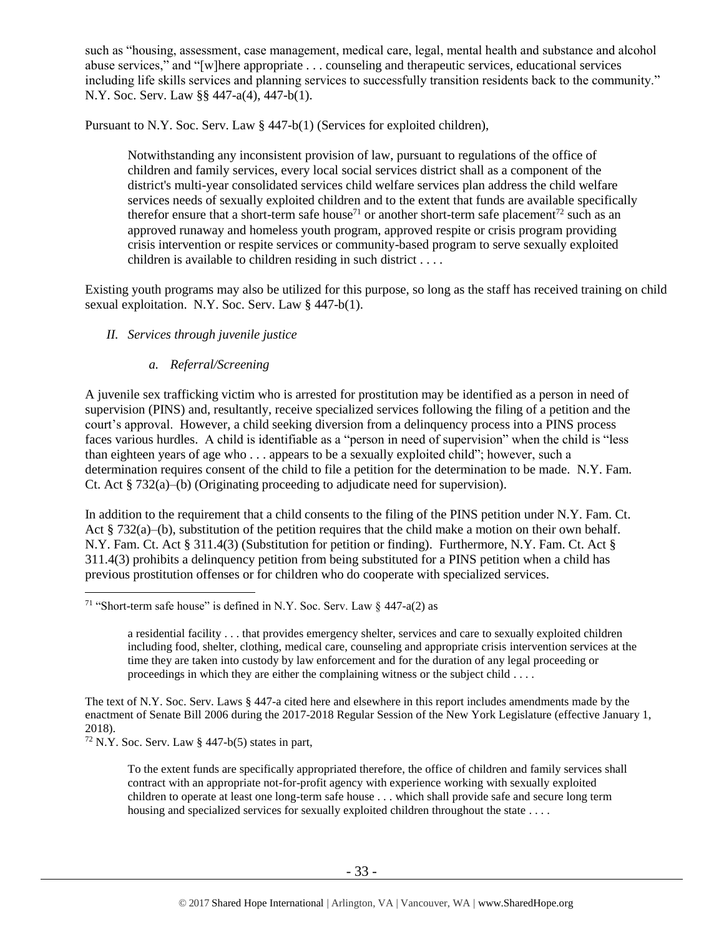such as "housing, assessment, case management, medical care, legal, mental health and substance and alcohol abuse services," and "[w]here appropriate . . . counseling and therapeutic services, educational services including life skills services and planning services to successfully transition residents back to the community." N.Y. Soc. Serv. Law §§ 447-a(4), 447-b(1).

Pursuant to N.Y. Soc. Serv. Law § 447-b(1) (Services for exploited children),

Notwithstanding any inconsistent provision of law, pursuant to regulations of the office of children and family services, every local social services district shall as a component of the district's multi-year consolidated services child welfare services plan address the child welfare services needs of sexually exploited children and to the extent that funds are available specifically therefor ensure that a short-term safe house<sup>71</sup> or another short-term safe placement<sup>72</sup> such as an approved runaway and homeless youth program, approved respite or crisis program providing crisis intervention or respite services or community-based program to serve sexually exploited children is available to children residing in such district . . . .

Existing youth programs may also be utilized for this purpose, so long as the staff has received training on child sexual exploitation. N.Y. Soc. Serv. Law § 447-b(1).

## *II. Services through juvenile justice*

## *a. Referral/Screening*

A juvenile sex trafficking victim who is arrested for prostitution may be identified as a person in need of supervision (PINS) and, resultantly, receive specialized services following the filing of a petition and the court's approval. However, a child seeking diversion from a delinquency process into a PINS process faces various hurdles. A child is identifiable as a "person in need of supervision" when the child is "less than eighteen years of age who . . . appears to be a sexually exploited child"; however, such a determination requires consent of the child to file a petition for the determination to be made. N.Y. Fam. Ct. Act  $\S 732(a)$ –(b) (Originating proceeding to adjudicate need for supervision).

In addition to the requirement that a child consents to the filing of the PINS petition under N.Y. Fam. Ct. Act  $\S 732(a)$ –(b), substitution of the petition requires that the child make a motion on their own behalf. N.Y. Fam. Ct. Act § 311.4(3) (Substitution for petition or finding). Furthermore, N.Y. Fam. Ct. Act § 311.4(3) prohibits a delinquency petition from being substituted for a PINS petition when a child has previous prostitution offenses or for children who do cooperate with specialized services.

<sup>&</sup>lt;sup>71</sup> "Short-term safe house" is defined in N.Y. Soc. Serv. Law  $\S$  447-a(2) as

a residential facility . . . that provides emergency shelter, services and care to sexually exploited children including food, shelter, clothing, medical care, counseling and appropriate crisis intervention services at the time they are taken into custody by law enforcement and for the duration of any legal proceeding or proceedings in which they are either the complaining witness or the subject child . . . .

The text of N.Y. Soc. Serv. Laws § 447-a cited here and elsewhere in this report includes amendments made by the enactment of Senate Bill 2006 during the 2017-2018 Regular Session of the New York Legislature (effective January 1, 2018).

 $72$  N.Y. Soc. Serv. Law § 447-b(5) states in part,

To the extent funds are specifically appropriated therefore, the office of children and family services shall contract with an appropriate not-for-profit agency with experience working with sexually exploited children to operate at least one long-term safe house . . . which shall provide safe and secure long term housing and specialized services for sexually exploited children throughout the state . . . .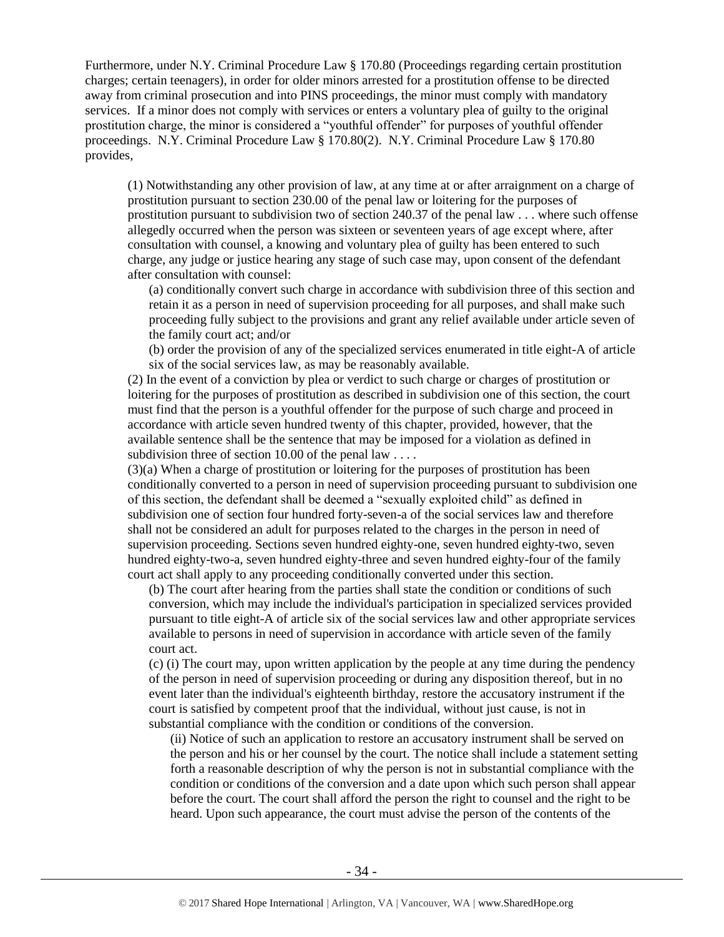Furthermore, under N.Y. Criminal Procedure Law § 170.80 (Proceedings regarding certain prostitution charges; certain teenagers), in order for older minors arrested for a prostitution offense to be directed away from criminal prosecution and into PINS proceedings, the minor must comply with mandatory services. If a minor does not comply with services or enters a voluntary plea of guilty to the original prostitution charge, the minor is considered a "youthful offender" for purposes of youthful offender proceedings. N.Y. Criminal Procedure Law § 170.80(2). N.Y. Criminal Procedure Law § 170.80 provides,

(1) Notwithstanding any other provision of law, at any time at or after arraignment on a charge of prostitution pursuant to section 230.00 of the penal law or loitering for the purposes of prostitution pursuant to subdivision two of section 240.37 of the penal law . . . where such offense allegedly occurred when the person was sixteen or seventeen years of age except where, after consultation with counsel, a knowing and voluntary plea of guilty has been entered to such charge, any judge or justice hearing any stage of such case may, upon consent of the defendant after consultation with counsel:

(a) conditionally convert such charge in accordance with subdivision three of this section and retain it as a person in need of supervision proceeding for all purposes, and shall make such proceeding fully subject to the provisions and grant any relief available under article seven of the family court act; and/or

(b) order the provision of any of the specialized services enumerated in title eight-A of article six of the social services law, as may be reasonably available.

(2) In the event of a conviction by plea or verdict to such charge or charges of prostitution or loitering for the purposes of prostitution as described in subdivision one of this section, the court must find that the person is a youthful offender for the purpose of such charge and proceed in accordance with article seven hundred twenty of this chapter, provided, however, that the available sentence shall be the sentence that may be imposed for a violation as defined in subdivision three of section 10.00 of the penal law . . . .

(3)(a) When a charge of prostitution or loitering for the purposes of prostitution has been conditionally converted to a person in need of supervision proceeding pursuant to subdivision one of this section, the defendant shall be deemed a "sexually exploited child" as defined in subdivision one of section four hundred forty-seven-a of the social services law and therefore shall not be considered an adult for purposes related to the charges in the person in need of supervision proceeding. Sections seven hundred eighty-one, seven hundred eighty-two, seven hundred eighty-two-a, seven hundred eighty-three and seven hundred eighty-four of the family court act shall apply to any proceeding conditionally converted under this section.

(b) The court after hearing from the parties shall state the condition or conditions of such conversion, which may include the individual's participation in specialized services provided pursuant to title eight-A of article six of the social services law and other appropriate services available to persons in need of supervision in accordance with article seven of the family court act.

(c) (i) The court may, upon written application by the people at any time during the pendency of the person in need of supervision proceeding or during any disposition thereof, but in no event later than the individual's eighteenth birthday, restore the accusatory instrument if the court is satisfied by competent proof that the individual, without just cause, is not in substantial compliance with the condition or conditions of the conversion.

(ii) Notice of such an application to restore an accusatory instrument shall be served on the person and his or her counsel by the court. The notice shall include a statement setting forth a reasonable description of why the person is not in substantial compliance with the condition or conditions of the conversion and a date upon which such person shall appear before the court. The court shall afford the person the right to counsel and the right to be heard. Upon such appearance, the court must advise the person of the contents of the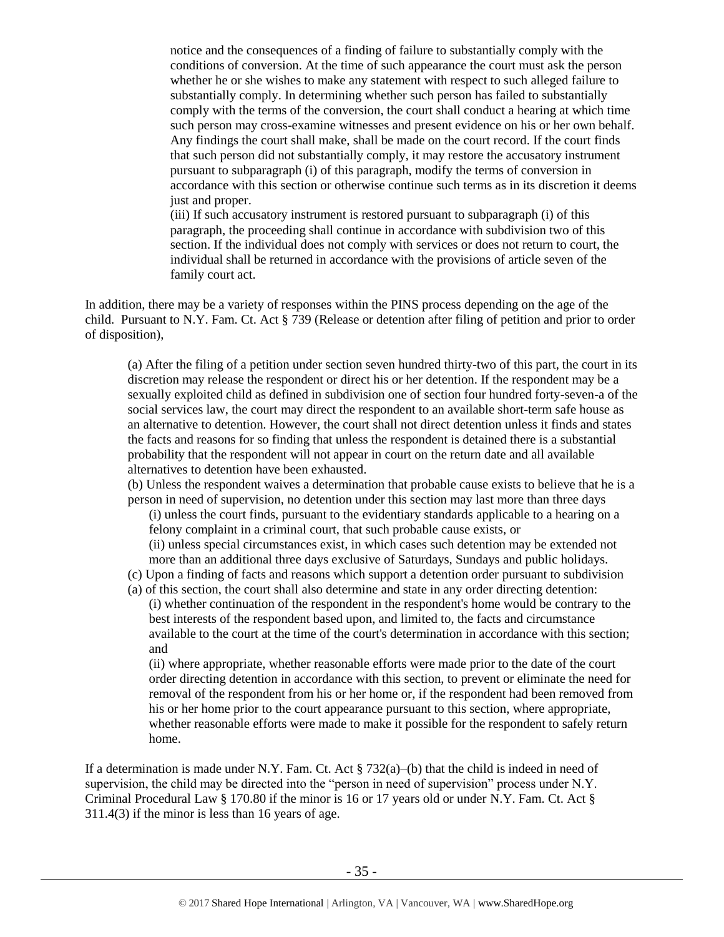notice and the consequences of a finding of failure to substantially comply with the conditions of conversion. At the time of such appearance the court must ask the person whether he or she wishes to make any statement with respect to such alleged failure to substantially comply. In determining whether such person has failed to substantially comply with the terms of the conversion, the court shall conduct a hearing at which time such person may cross-examine witnesses and present evidence on his or her own behalf. Any findings the court shall make, shall be made on the court record. If the court finds that such person did not substantially comply, it may restore the accusatory instrument pursuant to subparagraph (i) of this paragraph, modify the terms of conversion in accordance with this section or otherwise continue such terms as in its discretion it deems just and proper.

(iii) If such accusatory instrument is restored pursuant to subparagraph (i) of this paragraph, the proceeding shall continue in accordance with subdivision two of this section. If the individual does not comply with services or does not return to court, the individual shall be returned in accordance with the provisions of article seven of the family court act.

In addition, there may be a variety of responses within the PINS process depending on the age of the child. Pursuant to N.Y. Fam. Ct. Act § 739 (Release or detention after filing of petition and prior to order of disposition),

(a) After the filing of a petition under section seven hundred thirty-two of this part, the court in its discretion may release the respondent or direct his or her detention. If the respondent may be a sexually exploited child as defined in subdivision one of section four hundred forty-seven-a of the social services law, the court may direct the respondent to an available short-term safe house as an alternative to detention. However, the court shall not direct detention unless it finds and states the facts and reasons for so finding that unless the respondent is detained there is a substantial probability that the respondent will not appear in court on the return date and all available alternatives to detention have been exhausted.

(b) Unless the respondent waives a determination that probable cause exists to believe that he is a person in need of supervision, no detention under this section may last more than three days

(i) unless the court finds, pursuant to the evidentiary standards applicable to a hearing on a felony complaint in a criminal court, that such probable cause exists, or (ii) unless special circumstances exist, in which cases such detention may be extended not more than an additional three days exclusive of Saturdays, Sundays and public holidays.

(c) Upon a finding of facts and reasons which support a detention order pursuant to subdivision

(a) of this section, the court shall also determine and state in any order directing detention: (i) whether continuation of the respondent in the respondent's home would be contrary to the best interests of the respondent based upon, and limited to, the facts and circumstance available to the court at the time of the court's determination in accordance with this section; and

(ii) where appropriate, whether reasonable efforts were made prior to the date of the court order directing detention in accordance with this section, to prevent or eliminate the need for removal of the respondent from his or her home or, if the respondent had been removed from his or her home prior to the court appearance pursuant to this section, where appropriate, whether reasonable efforts were made to make it possible for the respondent to safely return home.

If a determination is made under N.Y. Fam. Ct. Act  $\S 732(a)$ –(b) that the child is indeed in need of supervision, the child may be directed into the "person in need of supervision" process under N.Y. Criminal Procedural Law § 170.80 if the minor is 16 or 17 years old or under N.Y. Fam. Ct. Act § 311.4(3) if the minor is less than 16 years of age.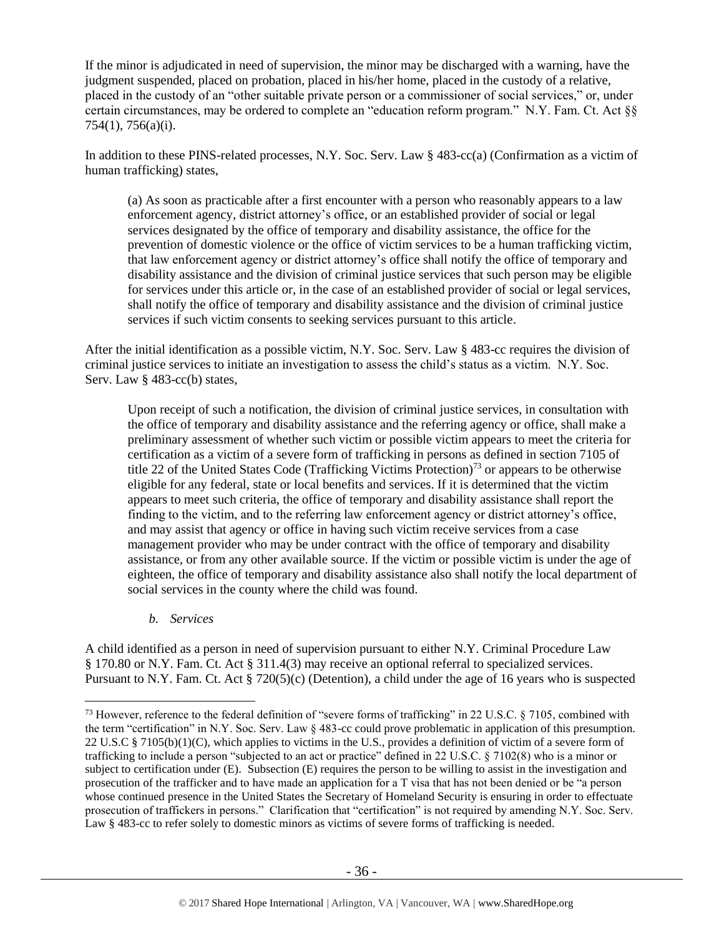If the minor is adjudicated in need of supervision, the minor may be discharged with a warning, have the judgment suspended, placed on probation, placed in his/her home, placed in the custody of a relative, placed in the custody of an "other suitable private person or a commissioner of social services," or, under certain circumstances, may be ordered to complete an "education reform program." N.Y. Fam. Ct. Act §§ 754(1), 756(a)(i).

In addition to these PINS-related processes, N.Y. Soc. Serv. Law § 483-cc(a) (Confirmation as a victim of human trafficking) states,

(a) As soon as practicable after a first encounter with a person who reasonably appears to a law enforcement agency, district attorney's office, or an established provider of social or legal services designated by the office of temporary and disability assistance, the office for the prevention of domestic violence or the office of victim services to be a human trafficking victim, that law enforcement agency or district attorney's office shall notify the office of temporary and disability assistance and the division of criminal justice services that such person may be eligible for services under this article or, in the case of an established provider of social or legal services, shall notify the office of temporary and disability assistance and the division of criminal justice services if such victim consents to seeking services pursuant to this article.

After the initial identification as a possible victim, N.Y. Soc. Serv. Law § 483-cc requires the division of criminal justice services to initiate an investigation to assess the child's status as a victim. N.Y. Soc. Serv. Law § 483-cc(b) states,

Upon receipt of such a notification, the division of criminal justice services, in consultation with the office of temporary and disability assistance and the referring agency or office, shall make a preliminary assessment of whether such victim or possible victim appears to meet the criteria for certification as a victim of a severe form of trafficking in persons as defined in section 7105 of title 22 of the United States Code (Trafficking Victims Protection)<sup>73</sup> or appears to be otherwise eligible for any federal, state or local benefits and services. If it is determined that the victim appears to meet such criteria, the office of temporary and disability assistance shall report the finding to the victim, and to the referring law enforcement agency or district attorney's office, and may assist that agency or office in having such victim receive services from a case management provider who may be under contract with the office of temporary and disability assistance, or from any other available source. If the victim or possible victim is under the age of eighteen, the office of temporary and disability assistance also shall notify the local department of social services in the county where the child was found.

*b. Services*

 $\overline{a}$ 

A child identified as a person in need of supervision pursuant to either N.Y. Criminal Procedure Law § 170.80 or N.Y. Fam. Ct. Act § 311.4(3) may receive an optional referral to specialized services. Pursuant to N.Y. Fam. Ct. Act § 720(5)(c) (Detention), a child under the age of 16 years who is suspected

<sup>&</sup>lt;sup>73</sup> However, reference to the federal definition of "severe forms of trafficking" in 22 U.S.C. § 7105, combined with the term "certification" in N.Y. Soc. Serv. Law § 483-cc could prove problematic in application of this presumption. 22 U.S.C § 7105(b)(1)(C), which applies to victims in the U.S., provides a definition of victim of a severe form of trafficking to include a person "subjected to an act or practice" defined in 22 U.S.C. § 7102(8) who is a minor or subject to certification under (E). Subsection (E) requires the person to be willing to assist in the investigation and prosecution of the trafficker and to have made an application for a T visa that has not been denied or be "a person whose continued presence in the United States the Secretary of Homeland Security is ensuring in order to effectuate prosecution of traffickers in persons." Clarification that "certification" is not required by amending N.Y. Soc. Serv. Law § 483-cc to refer solely to domestic minors as victims of severe forms of trafficking is needed.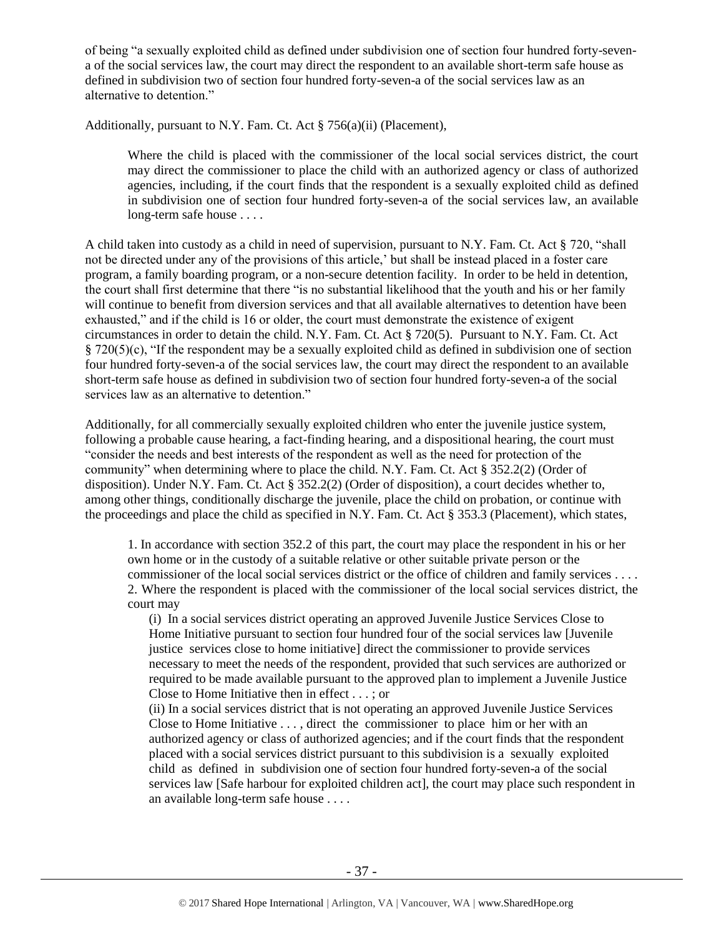of being "a sexually exploited child as defined under subdivision one of section four hundred forty-sevena of the social services law, the court may direct the respondent to an available short-term safe house as defined in subdivision two of section four hundred forty-seven-a of the social services law as an alternative to detention."

Additionally, pursuant to N.Y. Fam. Ct. Act § 756(a)(ii) (Placement),

Where the child is placed with the commissioner of the local social services district, the court may direct the commissioner to place the child with an authorized agency or class of authorized agencies, including, if the court finds that the respondent is a sexually exploited child as defined in subdivision one of section four hundred forty-seven-a of the social services law, an available long-term safe house . . . .

A child taken into custody as a child in need of supervision, pursuant to N.Y. Fam. Ct. Act § 720, "shall not be directed under any of the provisions of this article,' but shall be instead placed in a foster care program, a family boarding program, or a non-secure detention facility. In order to be held in detention, the court shall first determine that there "is no substantial likelihood that the youth and his or her family will continue to benefit from diversion services and that all available alternatives to detention have been exhausted," and if the child is 16 or older, the court must demonstrate the existence of exigent circumstances in order to detain the child. N.Y. Fam. Ct. Act § 720(5). Pursuant to N.Y. Fam. Ct. Act § 720(5)(c), "If the respondent may be a sexually exploited child as defined in subdivision one of section four hundred forty-seven-a of the social services law, the court may direct the respondent to an available short-term safe house as defined in subdivision two of section four hundred forty-seven-a of the social services law as an alternative to detention."

Additionally, for all commercially sexually exploited children who enter the juvenile justice system, following a probable cause hearing, a fact-finding hearing, and a dispositional hearing, the court must "consider the needs and best interests of the respondent as well as the need for protection of the community" when determining where to place the child. N.Y. Fam. Ct. Act § 352.2(2) (Order of disposition). Under N.Y. Fam. Ct. Act § 352.2(2) (Order of disposition), a court decides whether to, among other things, conditionally discharge the juvenile, place the child on probation, or continue with the proceedings and place the child as specified in N.Y. Fam. Ct. Act § 353.3 (Placement), which states,

1. In accordance with section 352.2 of this part, the court may place the respondent in his or her own home or in the custody of a suitable relative or other suitable private person or the commissioner of the local social services district or the office of children and family services . . . . 2. Where the respondent is placed with the commissioner of the local social services district, the court may

(i) In a social services district operating an approved Juvenile Justice Services Close to Home Initiative pursuant to section four hundred four of the social services law [Juvenile justice services close to home initiative] direct the commissioner to provide services necessary to meet the needs of the respondent, provided that such services are authorized or required to be made available pursuant to the approved plan to implement a Juvenile Justice Close to Home Initiative then in effect . . . ; or

(ii) In a social services district that is not operating an approved Juvenile Justice Services Close to Home Initiative . . . , direct the commissioner to place him or her with an authorized agency or class of authorized agencies; and if the court finds that the respondent placed with a social services district pursuant to this subdivision is a sexually exploited child as defined in subdivision one of section four hundred forty-seven-a of the social services law [Safe harbour for exploited children act], the court may place such respondent in an available long-term safe house . . . .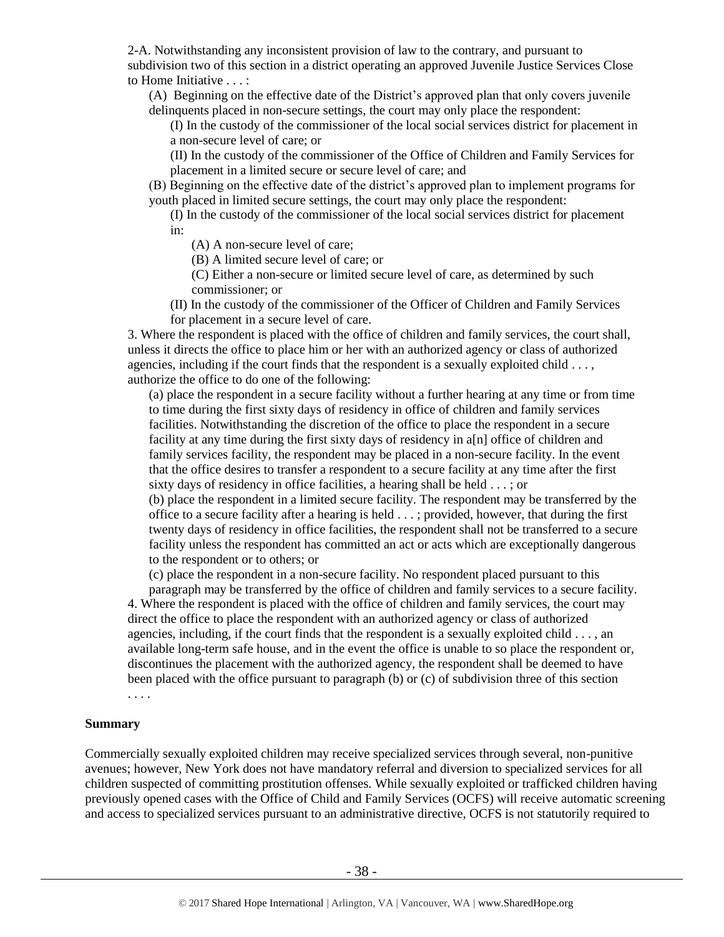2-A. Notwithstanding any inconsistent provision of law to the contrary, and pursuant to subdivision two of this section in a district operating an approved Juvenile Justice Services Close to Home Initiative . . . :

(A) Beginning on the effective date of the District's approved plan that only covers juvenile delinquents placed in non-secure settings, the court may only place the respondent:

(I) In the custody of the commissioner of the local social services district for placement in a non-secure level of care; or

(II) In the custody of the commissioner of the Office of Children and Family Services for placement in a limited secure or secure level of care; and

(B) Beginning on the effective date of the district's approved plan to implement programs for youth placed in limited secure settings, the court may only place the respondent:

(I) In the custody of the commissioner of the local social services district for placement in:

(A) A non-secure level of care;

(B) A limited secure level of care; or

(C) Either a non-secure or limited secure level of care, as determined by such commissioner; or

(II) In the custody of the commissioner of the Officer of Children and Family Services for placement in a secure level of care.

3. Where the respondent is placed with the office of children and family services, the court shall, unless it directs the office to place him or her with an authorized agency or class of authorized agencies, including if the court finds that the respondent is a sexually exploited child . . . , authorize the office to do one of the following:

(a) place the respondent in a secure facility without a further hearing at any time or from time to time during the first sixty days of residency in office of children and family services facilities. Notwithstanding the discretion of the office to place the respondent in a secure facility at any time during the first sixty days of residency in a[n] office of children and family services facility, the respondent may be placed in a non-secure facility. In the event that the office desires to transfer a respondent to a secure facility at any time after the first sixty days of residency in office facilities, a hearing shall be held . . . ; or

(b) place the respondent in a limited secure facility. The respondent may be transferred by the office to a secure facility after a hearing is held . . . ; provided, however, that during the first twenty days of residency in office facilities, the respondent shall not be transferred to a secure facility unless the respondent has committed an act or acts which are exceptionally dangerous to the respondent or to others; or

(c) place the respondent in a non-secure facility. No respondent placed pursuant to this

paragraph may be transferred by the office of children and family services to a secure facility. 4. Where the respondent is placed with the office of children and family services, the court may direct the office to place the respondent with an authorized agency or class of authorized agencies, including, if the court finds that the respondent is a sexually exploited child  $\dots$ , an available long-term safe house, and in the event the office is unable to so place the respondent or, discontinues the placement with the authorized agency, the respondent shall be deemed to have been placed with the office pursuant to paragraph (b) or (c) of subdivision three of this section

. . . .

#### **Summary**

Commercially sexually exploited children may receive specialized services through several, non-punitive avenues; however, New York does not have mandatory referral and diversion to specialized services for all children suspected of committing prostitution offenses. While sexually exploited or trafficked children having previously opened cases with the Office of Child and Family Services (OCFS) will receive automatic screening and access to specialized services pursuant to an administrative directive, OCFS is not statutorily required to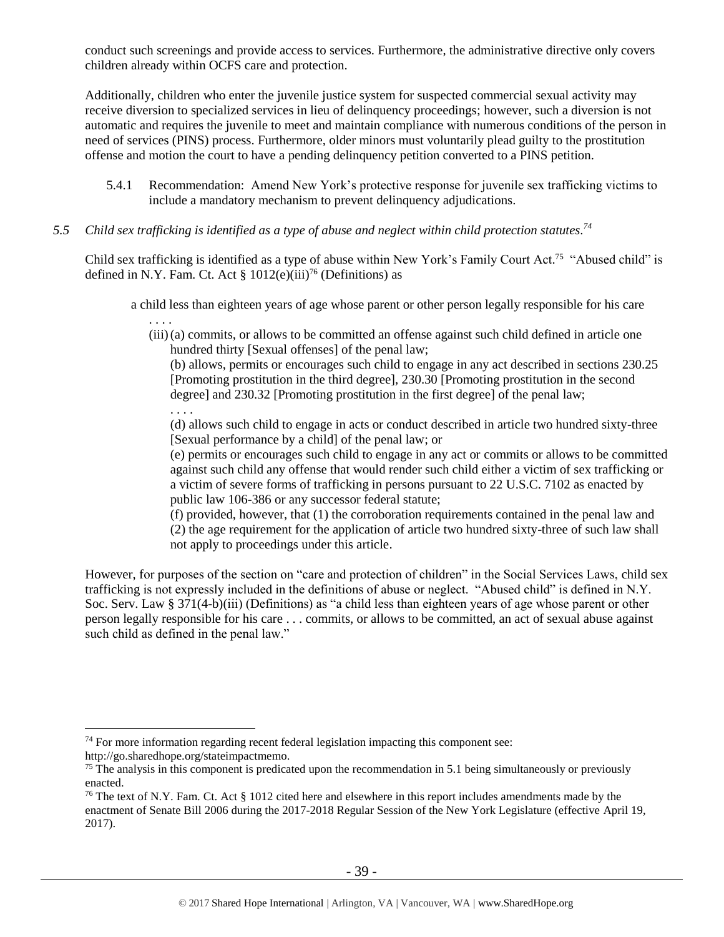conduct such screenings and provide access to services. Furthermore, the administrative directive only covers children already within OCFS care and protection.

Additionally, children who enter the juvenile justice system for suspected commercial sexual activity may receive diversion to specialized services in lieu of delinquency proceedings; however, such a diversion is not automatic and requires the juvenile to meet and maintain compliance with numerous conditions of the person in need of services (PINS) process. Furthermore, older minors must voluntarily plead guilty to the prostitution offense and motion the court to have a pending delinquency petition converted to a PINS petition.

- 5.4.1 Recommendation: Amend New York's protective response for juvenile sex trafficking victims to include a mandatory mechanism to prevent delinquency adjudications.
- *5.5 Child sex trafficking is identified as a type of abuse and neglect within child protection statutes. 74*

. . . .

 $\overline{a}$ 

Child sex trafficking is identified as a type of abuse within New York's Family Court Act.<sup>75</sup> "Abused child" is defined in N.Y. Fam. Ct. Act §  $1012(e)(iii)^{76}$  (Definitions) as

a child less than eighteen years of age whose parent or other person legally responsible for his care

. . . . (iii)(a) commits, or allows to be committed an offense against such child defined in article one hundred thirty [Sexual offenses] of the penal law;

(b) allows, permits or encourages such child to engage in any act described in sections 230.25 [Promoting prostitution in the third degree], 230.30 [Promoting prostitution in the second degree] and 230.32 [Promoting prostitution in the first degree] of the penal law;

(d) allows such child to engage in acts or conduct described in article two hundred sixty-three [Sexual performance by a child] of the penal law; or

(e) permits or encourages such child to engage in any act or commits or allows to be committed against such child any offense that would render such child either a victim of sex trafficking or a victim of severe forms of trafficking in persons pursuant to 22 U.S.C. 7102 as enacted by public law 106-386 or any successor federal statute;

(f) provided, however, that (1) the corroboration requirements contained in the penal law and (2) the age requirement for the application of article two hundred sixty-three of such law shall not apply to proceedings under this article.

However, for purposes of the section on "care and protection of children" in the Social Services Laws, child sex trafficking is not expressly included in the definitions of abuse or neglect. "Abused child" is defined in N.Y. Soc. Serv. Law § 371(4-b)(iii) (Definitions) as "a child less than eighteen years of age whose parent or other person legally responsible for his care . . . commits, or allows to be committed, an act of sexual abuse against such child as defined in the penal law."

 $74$  For more information regarding recent federal legislation impacting this component see: http://go.sharedhope.org/stateimpactmemo.

<sup>&</sup>lt;sup>75</sup> The analysis in this component is predicated upon the recommendation in 5.1 being simultaneously or previously enacted.

<sup>&</sup>lt;sup>76</sup> The text of N.Y. Fam. Ct. Act  $\S$  1012 cited here and elsewhere in this report includes amendments made by the enactment of Senate Bill 2006 during the 2017-2018 Regular Session of the New York Legislature (effective April 19, 2017).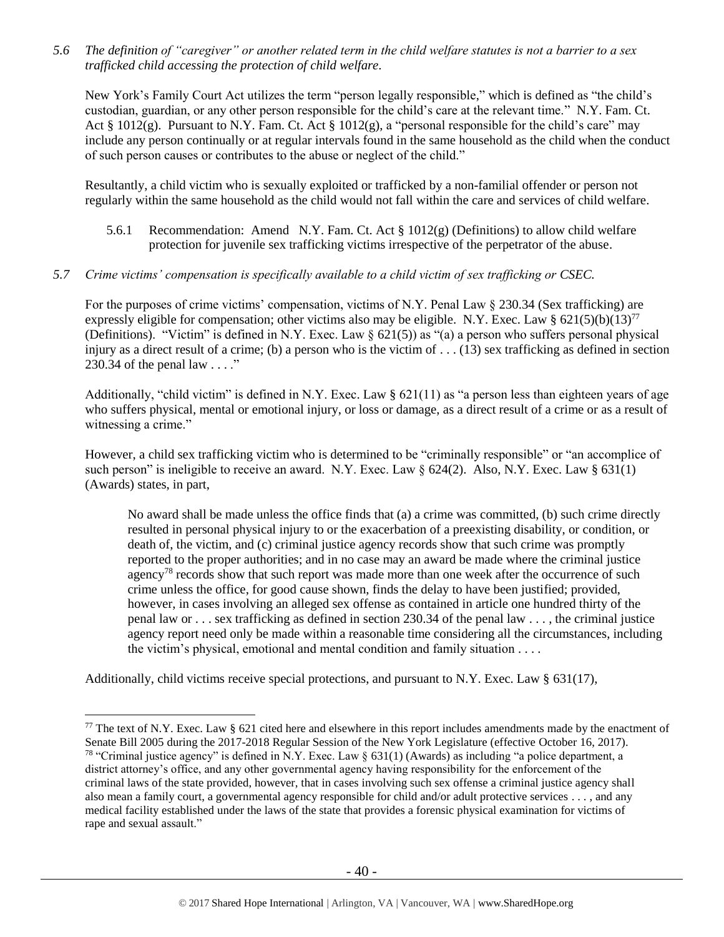*5.6 The definition of "caregiver" or another related term in the child welfare statutes is not a barrier to a sex trafficked child accessing the protection of child welfare.*

New York's Family Court Act utilizes the term "person legally responsible," which is defined as "the child's custodian, guardian, or any other person responsible for the child's care at the relevant time." N.Y. Fam. Ct. Act § 1012(g). Pursuant to N.Y. Fam. Ct. Act § 1012(g), a "personal responsible for the child's care" may include any person continually or at regular intervals found in the same household as the child when the conduct of such person causes or contributes to the abuse or neglect of the child."

Resultantly, a child victim who is sexually exploited or trafficked by a non-familial offender or person not regularly within the same household as the child would not fall within the care and services of child welfare.

- 5.6.1 Recommendation: Amend N.Y. Fam. Ct. Act  $\S 1012(g)$  (Definitions) to allow child welfare protection for juvenile sex trafficking victims irrespective of the perpetrator of the abuse.
- *5.7 Crime victims' compensation is specifically available to a child victim of sex trafficking or CSEC.*

For the purposes of crime victims' compensation, victims of N.Y. Penal Law § 230.34 (Sex trafficking) are expressly eligible for compensation; other victims also may be eligible. N.Y. Exec. Law §  $621(5)(b)(13)^{77}$ (Definitions). "Victim" is defined in N.Y. Exec. Law § 621(5)) as "(a) a person who suffers personal physical injury as a direct result of a crime; (b) a person who is the victim of  $\dots$  (13) sex trafficking as defined in section 230.34 of the penal law  $\dots$ ."

Additionally, "child victim" is defined in N.Y. Exec. Law  $\S 621(11)$  as "a person less than eighteen years of age who suffers physical, mental or emotional injury, or loss or damage, as a direct result of a crime or as a result of witnessing a crime."

However, a child sex trafficking victim who is determined to be "criminally responsible" or "an accomplice of such person" is ineligible to receive an award. N.Y. Exec. Law  $\S 624(2)$ . Also, N.Y. Exec. Law  $\S 631(1)$ (Awards) states, in part,

No award shall be made unless the office finds that (a) a crime was committed, (b) such crime directly resulted in personal physical injury to or the exacerbation of a preexisting disability, or condition, or death of, the victim, and (c) criminal justice agency records show that such crime was promptly reported to the proper authorities; and in no case may an award be made where the criminal justice agency<sup>78</sup> records show that such report was made more than one week after the occurrence of such crime unless the office, for good cause shown, finds the delay to have been justified; provided, however, in cases involving an alleged sex offense as contained in article one hundred thirty of the penal law or . . . sex trafficking as defined in section 230.34 of the penal law . . . , the criminal justice agency report need only be made within a reasonable time considering all the circumstances, including the victim's physical, emotional and mental condition and family situation . . . .

Additionally, child victims receive special protections, and pursuant to N.Y. Exec. Law § 631(17),

<sup>&</sup>lt;sup>77</sup> The text of N.Y. Exec. Law § 621 cited here and elsewhere in this report includes amendments made by the enactment of Senate Bill 2005 during the 2017-2018 Regular Session of the New York Legislature (effective October 16, 2017). <sup>78</sup> "Criminal justice agency" is defined in N.Y. Exec. Law § 631(1) (Awards) as including "a police department, a district attorney's office, and any other governmental agency having responsibility for the enforcement of the criminal laws of the state provided, however, that in cases involving such sex offense a criminal justice agency shall also mean a family court, a governmental agency responsible for child and/or adult protective services . . . , and any medical facility established under the laws of the state that provides a forensic physical examination for victims of rape and sexual assault."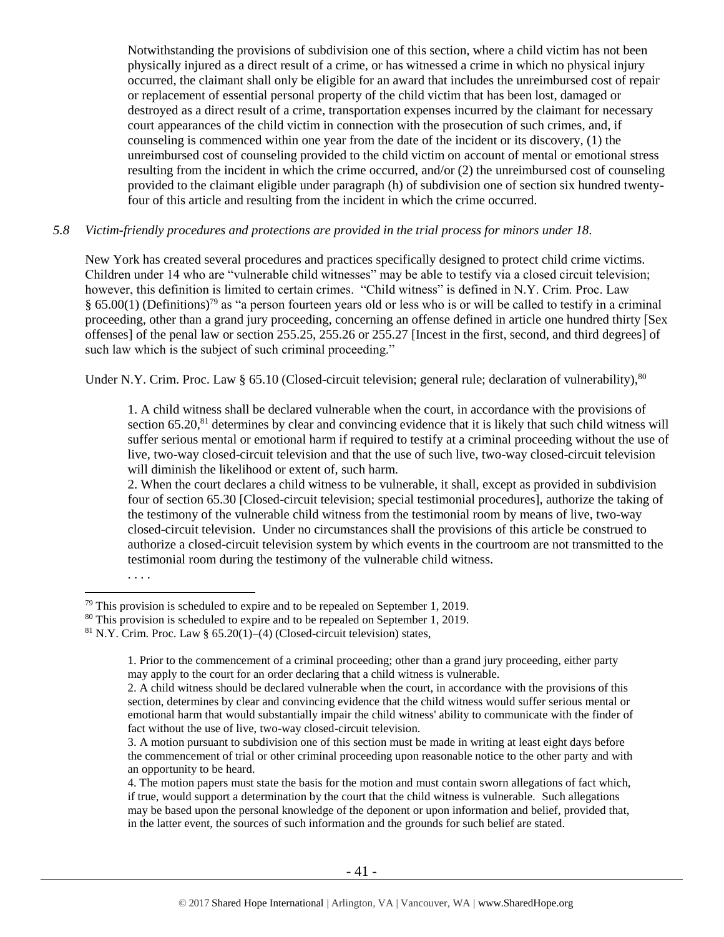Notwithstanding the provisions of subdivision one of this section, where a child victim has not been physically injured as a direct result of a crime, or has witnessed a crime in which no physical injury occurred, the claimant shall only be eligible for an award that includes the unreimbursed cost of repair or replacement of essential personal property of the child victim that has been lost, damaged or destroyed as a direct result of a crime, transportation expenses incurred by the claimant for necessary court appearances of the child victim in connection with the prosecution of such crimes, and, if counseling is commenced within one year from the date of the incident or its discovery, (1) the unreimbursed cost of counseling provided to the child victim on account of mental or emotional stress resulting from the incident in which the crime occurred, and/or (2) the unreimbursed cost of counseling provided to the claimant eligible under paragraph (h) of subdivision one of section six hundred twentyfour of this article and resulting from the incident in which the crime occurred.

#### *5.8 Victim-friendly procedures and protections are provided in the trial process for minors under 18.*

New York has created several procedures and practices specifically designed to protect child crime victims. Children under 14 who are "vulnerable child witnesses" may be able to testify via a closed circuit television; however, this definition is limited to certain crimes. "Child witness" is defined in N.Y. Crim. Proc. Law § 65.00(1) (Definitions)<sup>79</sup> as "a person fourteen years old or less who is or will be called to testify in a criminal proceeding, other than a grand jury proceeding, concerning an offense defined in article one hundred thirty [Sex offenses] of the penal law or section 255.25, 255.26 or 255.27 [Incest in the first, second, and third degrees] of such law which is the subject of such criminal proceeding."

Under N.Y. Crim. Proc. Law § 65.10 (Closed-circuit television; general rule; declaration of vulnerability),  $80$ 

1. A child witness shall be declared vulnerable when the court, in accordance with the provisions of section  $65.20$ ,  $81$  determines by clear and convincing evidence that it is likely that such child witness will suffer serious mental or emotional harm if required to testify at a criminal proceeding without the use of live, two-way closed-circuit television and that the use of such live, two-way closed-circuit television will diminish the likelihood or extent of, such harm.

2. When the court declares a child witness to be vulnerable, it shall, except as provided in subdivision four of section 65.30 [Closed-circuit television; special testimonial procedures], authorize the taking of the testimony of the vulnerable child witness from the testimonial room by means of live, two-way closed-circuit television. Under no circumstances shall the provisions of this article be construed to authorize a closed-circuit television system by which events in the courtroom are not transmitted to the testimonial room during the testimony of the vulnerable child witness.

. . . .

 $\overline{a}$  $79$  This provision is scheduled to expire and to be repealed on September 1, 2019.

<sup>&</sup>lt;sup>80</sup> This provision is scheduled to expire and to be repealed on September 1, 2019.

<sup>&</sup>lt;sup>81</sup> N.Y. Crim. Proc. Law §  $65.20(1)$ –(4) (Closed-circuit television) states,

<sup>1.</sup> Prior to the commencement of a criminal proceeding; other than a grand jury proceeding, either party may apply to the court for an order declaring that a child witness is vulnerable.

<sup>2.</sup> A child witness should be declared vulnerable when the court, in accordance with the provisions of this section, determines by clear and convincing evidence that the child witness would suffer serious mental or emotional harm that would substantially impair the child witness' ability to communicate with the finder of fact without the use of live, two-way closed-circuit television.

<sup>3.</sup> A motion pursuant to subdivision one of this section must be made in writing at least eight days before the commencement of trial or other criminal proceeding upon reasonable notice to the other party and with an opportunity to be heard.

<sup>4.</sup> The motion papers must state the basis for the motion and must contain sworn allegations of fact which, if true, would support a determination by the court that the child witness is vulnerable. Such allegations may be based upon the personal knowledge of the deponent or upon information and belief, provided that, in the latter event, the sources of such information and the grounds for such belief are stated.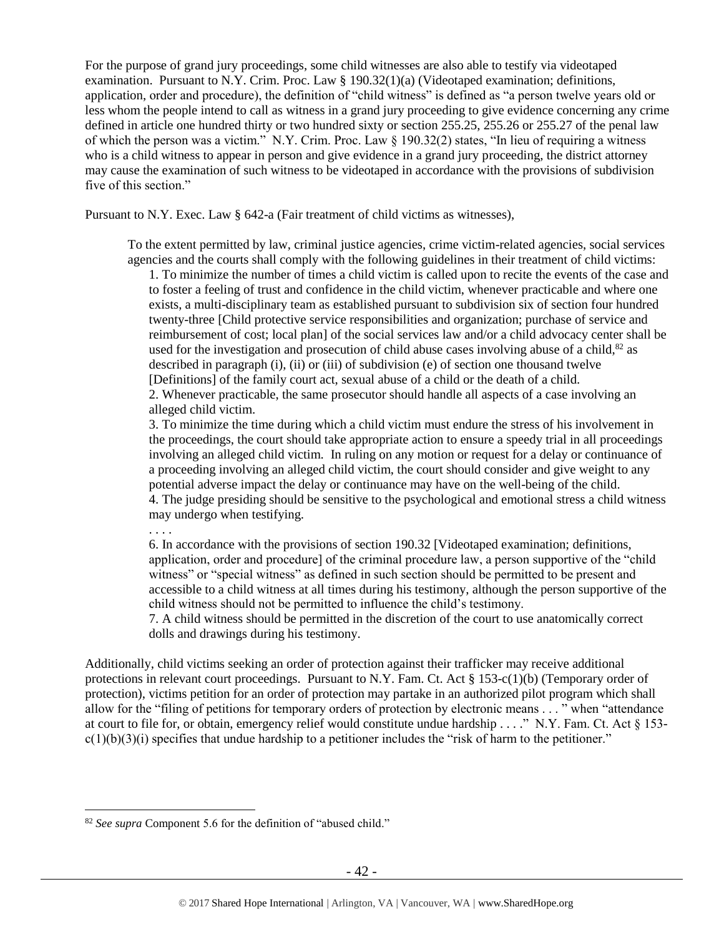For the purpose of grand jury proceedings, some child witnesses are also able to testify via videotaped examination. Pursuant to N.Y. Crim. Proc. Law § 190.32(1)(a) (Videotaped examination; definitions, application, order and procedure), the definition of "child witness" is defined as "a person twelve years old or less whom the people intend to call as witness in a grand jury proceeding to give evidence concerning any crime defined in article one hundred thirty or two hundred sixty or section 255.25, 255.26 or 255.27 of the penal law of which the person was a victim." N.Y. Crim. Proc. Law  $\S$  190.32(2) states, "In lieu of requiring a witness who is a child witness to appear in person and give evidence in a grand jury proceeding, the district attorney may cause the examination of such witness to be videotaped in accordance with the provisions of subdivision five of this section."

Pursuant to N.Y. Exec. Law § 642-a (Fair treatment of child victims as witnesses),

To the extent permitted by law, criminal justice agencies, crime victim-related agencies, social services agencies and the courts shall comply with the following guidelines in their treatment of child victims:

1. To minimize the number of times a child victim is called upon to recite the events of the case and to foster a feeling of trust and confidence in the child victim, whenever practicable and where one exists, a multi-disciplinary team as established pursuant to subdivision six of section four hundred twenty-three [Child protective service responsibilities and organization; purchase of service and reimbursement of cost; local plan] of the social services law and/or a child advocacy center shall be used for the investigation and prosecution of child abuse cases involving abuse of a child, $82$  as described in paragraph (i), (ii) or (iii) of subdivision (e) of section one thousand twelve [Definitions] of the family court act, sexual abuse of a child or the death of a child. 2. Whenever practicable, the same prosecutor should handle all aspects of a case involving an alleged child victim.

3. To minimize the time during which a child victim must endure the stress of his involvement in the proceedings, the court should take appropriate action to ensure a speedy trial in all proceedings involving an alleged child victim. In ruling on any motion or request for a delay or continuance of a proceeding involving an alleged child victim, the court should consider and give weight to any potential adverse impact the delay or continuance may have on the well-being of the child. 4. The judge presiding should be sensitive to the psychological and emotional stress a child witness may undergo when testifying.

. . . .

 $\overline{a}$ 

6. In accordance with the provisions of section 190.32 [Videotaped examination; definitions, application, order and procedure] of the criminal procedure law, a person supportive of the "child witness" or "special witness" as defined in such section should be permitted to be present and accessible to a child witness at all times during his testimony, although the person supportive of the child witness should not be permitted to influence the child's testimony.

7. A child witness should be permitted in the discretion of the court to use anatomically correct dolls and drawings during his testimony.

Additionally, child victims seeking an order of protection against their trafficker may receive additional protections in relevant court proceedings. Pursuant to N.Y. Fam. Ct. Act  $\S 153-c(1)(b)$  (Temporary order of protection), victims petition for an order of protection may partake in an authorized pilot program which shall allow for the "filing of petitions for temporary orders of protection by electronic means . . . " when "attendance at court to file for, or obtain, emergency relief would constitute undue hardship . . . ." N.Y. Fam. Ct. Act § 153  $c(1)(b)(3)(i)$  specifies that undue hardship to a petitioner includes the "risk of harm to the petitioner."

<sup>82</sup> *See supra* Component 5.6 for the definition of "abused child."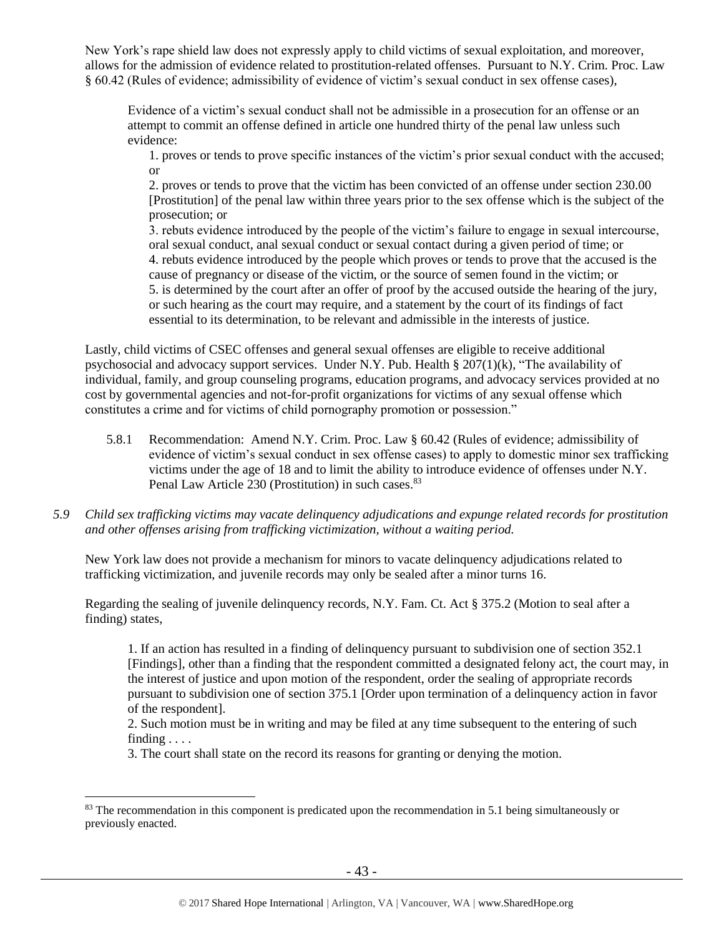New York's rape shield law does not expressly apply to child victims of sexual exploitation, and moreover, allows for the admission of evidence related to prostitution-related offenses. Pursuant to N.Y. Crim. Proc. Law § 60.42 (Rules of evidence; admissibility of evidence of victim's sexual conduct in sex offense cases),

Evidence of a victim's sexual conduct shall not be admissible in a prosecution for an offense or an attempt to commit an offense defined in article one hundred thirty of the penal law unless such evidence:

1. proves or tends to prove specific instances of the victim's prior sexual conduct with the accused; or

2. proves or tends to prove that the victim has been convicted of an offense under section 230.00 [Prostitution] of the penal law within three years prior to the sex offense which is the subject of the prosecution; or

3. rebuts evidence introduced by the people of the victim's failure to engage in sexual intercourse, oral sexual conduct, anal sexual conduct or sexual contact during a given period of time; or 4. rebuts evidence introduced by the people which proves or tends to prove that the accused is the cause of pregnancy or disease of the victim, or the source of semen found in the victim; or 5. is determined by the court after an offer of proof by the accused outside the hearing of the jury, or such hearing as the court may require, and a statement by the court of its findings of fact essential to its determination, to be relevant and admissible in the interests of justice.

Lastly, child victims of CSEC offenses and general sexual offenses are eligible to receive additional psychosocial and advocacy support services. Under N.Y. Pub. Health § 207(1)(k), "The availability of individual, family, and group counseling programs, education programs, and advocacy services provided at no cost by governmental agencies and not-for-profit organizations for victims of any sexual offense which constitutes a crime and for victims of child pornography promotion or possession."

- 5.8.1 Recommendation: Amend N.Y. Crim. Proc. Law § 60.42 (Rules of evidence; admissibility of evidence of victim's sexual conduct in sex offense cases) to apply to domestic minor sex trafficking victims under the age of 18 and to limit the ability to introduce evidence of offenses under N.Y. Penal Law Article 230 (Prostitution) in such cases.<sup>83</sup>
- *5.9 Child sex trafficking victims may vacate delinquency adjudications and expunge related records for prostitution and other offenses arising from trafficking victimization, without a waiting period.*

New York law does not provide a mechanism for minors to vacate delinquency adjudications related to trafficking victimization, and juvenile records may only be sealed after a minor turns 16.

Regarding the sealing of juvenile delinquency records, N.Y. Fam. Ct. Act § 375.2 (Motion to seal after a finding) states,

1. If an action has resulted in a finding of delinquency pursuant to subdivision one of section 352.1 [Findings], other than a finding that the respondent committed a designated felony act, the court may, in the interest of justice and upon motion of the respondent, order the sealing of appropriate records pursuant to subdivision one of section 375.1 [Order upon termination of a delinquency action in favor of the respondent].

2. Such motion must be in writing and may be filed at any time subsequent to the entering of such finding . . . .

3. The court shall state on the record its reasons for granting or denying the motion.

<sup>&</sup>lt;sup>83</sup> The recommendation in this component is predicated upon the recommendation in 5.1 being simultaneously or previously enacted.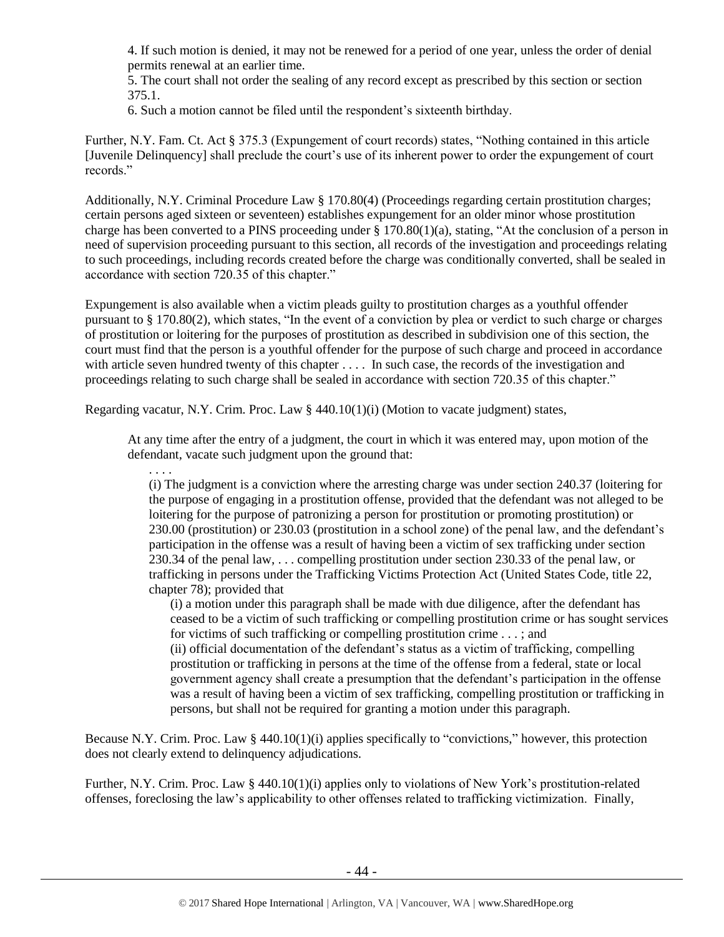4. If such motion is denied, it may not be renewed for a period of one year, unless the order of denial permits renewal at an earlier time.

5. The court shall not order the sealing of any record except as prescribed by this section or section 375.1.

6. Such a motion cannot be filed until the respondent's sixteenth birthday.

Further, N.Y. Fam. Ct. Act § 375.3 (Expungement of court records) states, "Nothing contained in this article [Juvenile Delinquency] shall preclude the court's use of its inherent power to order the expungement of court records."

Additionally, N.Y. Criminal Procedure Law § 170.80(4) (Proceedings regarding certain prostitution charges; certain persons aged sixteen or seventeen) establishes expungement for an older minor whose prostitution charge has been converted to a PINS proceeding under § 170.80(1)(a), stating, "At the conclusion of a person in need of supervision proceeding pursuant to this section, all records of the investigation and proceedings relating to such proceedings, including records created before the charge was conditionally converted, shall be sealed in accordance with section 720.35 of this chapter."

Expungement is also available when a victim pleads guilty to prostitution charges as a youthful offender pursuant to § 170.80(2), which states, "In the event of a conviction by plea or verdict to such charge or charges of prostitution or loitering for the purposes of prostitution as described in subdivision one of this section, the court must find that the person is a youthful offender for the purpose of such charge and proceed in accordance with article seven hundred twenty of this chapter . . . . In such case, the records of the investigation and proceedings relating to such charge shall be sealed in accordance with section 720.35 of this chapter."

Regarding vacatur, N.Y. Crim. Proc. Law § 440.10(1)(i) (Motion to vacate judgment) states,

At any time after the entry of a judgment, the court in which it was entered may, upon motion of the defendant, vacate such judgment upon the ground that:

. . . .

(i) The judgment is a conviction where the arresting charge was under section 240.37 (loitering for the purpose of engaging in a prostitution offense, provided that the defendant was not alleged to be loitering for the purpose of patronizing a person for prostitution or promoting prostitution) or 230.00 (prostitution) or 230.03 (prostitution in a school zone) of the penal law, and the defendant's participation in the offense was a result of having been a victim of sex trafficking under section 230.34 of the penal law, . . . compelling prostitution under section 230.33 of the penal law, or trafficking in persons under the Trafficking Victims Protection Act (United States Code, title 22, chapter 78); provided that

(i) a motion under this paragraph shall be made with due diligence, after the defendant has ceased to be a victim of such trafficking or compelling prostitution crime or has sought services for victims of such trafficking or compelling prostitution crime . . . ; and

(ii) official documentation of the defendant's status as a victim of trafficking, compelling prostitution or trafficking in persons at the time of the offense from a federal, state or local government agency shall create a presumption that the defendant's participation in the offense was a result of having been a victim of sex trafficking, compelling prostitution or trafficking in persons, but shall not be required for granting a motion under this paragraph.

Because N.Y. Crim. Proc. Law  $\S$  440.10(1)(i) applies specifically to "convictions," however, this protection does not clearly extend to delinquency adjudications.

Further, N.Y. Crim. Proc. Law § 440.10(1)(i) applies only to violations of New York's prostitution-related offenses, foreclosing the law's applicability to other offenses related to trafficking victimization. Finally,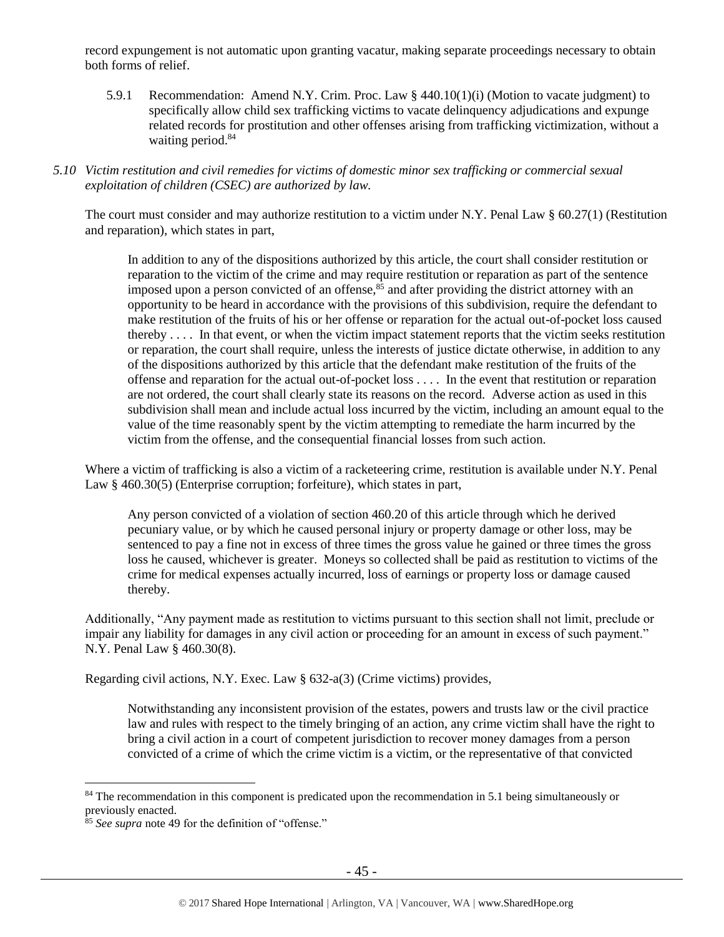record expungement is not automatic upon granting vacatur, making separate proceedings necessary to obtain both forms of relief.

- 5.9.1 Recommendation: Amend N.Y. Crim. Proc. Law § 440.10(1)(i) (Motion to vacate judgment) to specifically allow child sex trafficking victims to vacate delinquency adjudications and expunge related records for prostitution and other offenses arising from trafficking victimization, without a waiting period.<sup>84</sup>
- *5.10 Victim restitution and civil remedies for victims of domestic minor sex trafficking or commercial sexual exploitation of children (CSEC) are authorized by law.*

The court must consider and may authorize restitution to a victim under N.Y. Penal Law § 60.27(1) (Restitution and reparation), which states in part,

In addition to any of the dispositions authorized by this article, the court shall consider restitution or reparation to the victim of the crime and may require restitution or reparation as part of the sentence imposed upon a person convicted of an offense, $85$  and after providing the district attorney with an opportunity to be heard in accordance with the provisions of this subdivision, require the defendant to make restitution of the fruits of his or her offense or reparation for the actual out-of-pocket loss caused thereby . . . . In that event, or when the victim impact statement reports that the victim seeks restitution or reparation, the court shall require, unless the interests of justice dictate otherwise, in addition to any of the dispositions authorized by this article that the defendant make restitution of the fruits of the offense and reparation for the actual out-of-pocket loss . . . . In the event that restitution or reparation are not ordered, the court shall clearly state its reasons on the record. Adverse action as used in this subdivision shall mean and include actual loss incurred by the victim, including an amount equal to the value of the time reasonably spent by the victim attempting to remediate the harm incurred by the victim from the offense, and the consequential financial losses from such action.

Where a victim of trafficking is also a victim of a racketeering crime, restitution is available under N.Y. Penal Law § 460.30(5) (Enterprise corruption; forfeiture), which states in part,

Any person convicted of a violation of section 460.20 of this article through which he derived pecuniary value, or by which he caused personal injury or property damage or other loss, may be sentenced to pay a fine not in excess of three times the gross value he gained or three times the gross loss he caused, whichever is greater. Moneys so collected shall be paid as restitution to victims of the crime for medical expenses actually incurred, loss of earnings or property loss or damage caused thereby.

Additionally, "Any payment made as restitution to victims pursuant to this section shall not limit, preclude or impair any liability for damages in any civil action or proceeding for an amount in excess of such payment." N.Y. Penal Law § 460.30(8).

Regarding civil actions, N.Y. Exec. Law § 632-a(3) (Crime victims) provides,

Notwithstanding any inconsistent provision of the estates, powers and trusts law or the civil practice law and rules with respect to the timely bringing of an action, any crime victim shall have the right to bring a civil action in a court of competent jurisdiction to recover money damages from a person convicted of a crime of which the crime victim is a victim, or the representative of that convicted

<sup>&</sup>lt;sup>84</sup> The recommendation in this component is predicated upon the recommendation in 5.1 being simultaneously or previously enacted.

<sup>&</sup>lt;sup>85</sup> See supra note [49](#page-22-0) for the definition of "offense."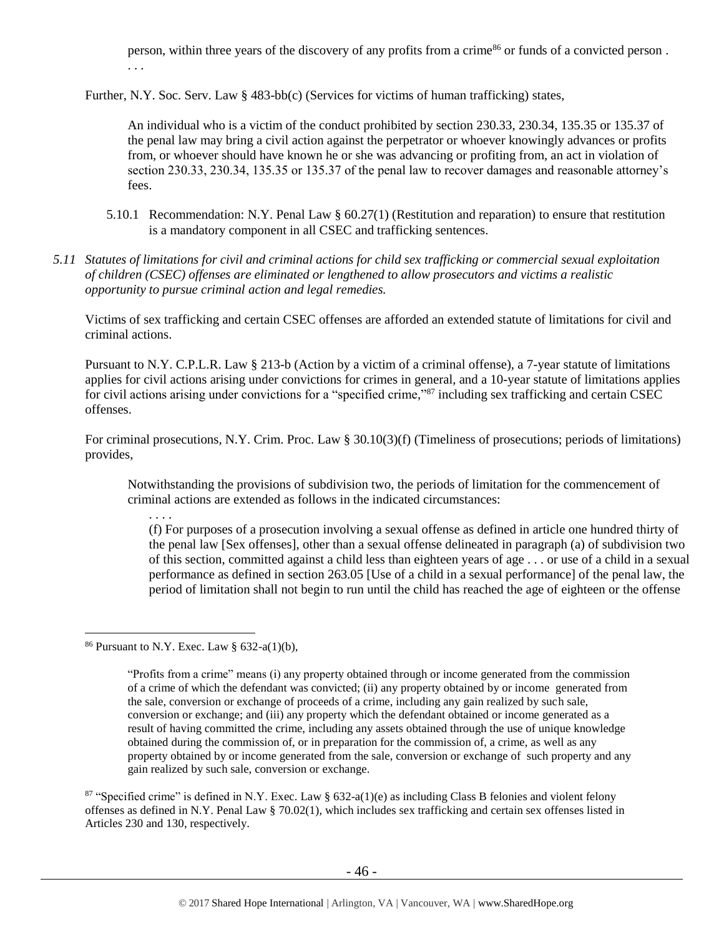person, within three years of the discovery of any profits from a crime<sup>86</sup> or funds of a convicted person. . . .

Further, N.Y. Soc. Serv. Law § 483-bb(c) (Services for victims of human trafficking) states,

An individual who is a victim of the conduct prohibited by section 230.33, 230.34, 135.35 or 135.37 of the penal law may bring a civil action against the perpetrator or whoever knowingly advances or profits from, or whoever should have known he or she was advancing or profiting from, an act in violation of section 230.33, 230.34, 135.35 or 135.37 of the penal law to recover damages and reasonable attorney's fees.

- 5.10.1 Recommendation: N.Y. Penal Law § 60.27(1) (Restitution and reparation) to ensure that restitution is a mandatory component in all CSEC and trafficking sentences.
- *5.11 Statutes of limitations for civil and criminal actions for child sex trafficking or commercial sexual exploitation of children (CSEC) offenses are eliminated or lengthened to allow prosecutors and victims a realistic opportunity to pursue criminal action and legal remedies.*

Victims of sex trafficking and certain CSEC offenses are afforded an extended statute of limitations for civil and criminal actions.

Pursuant to N.Y. C.P.L.R. Law § 213-b (Action by a victim of a criminal offense), a 7-year statute of limitations applies for civil actions arising under convictions for crimes in general, and a 10-year statute of limitations applies for civil actions arising under convictions for a "specified crime,"<sup>87</sup> including sex trafficking and certain CSEC offenses.

For criminal prosecutions, N.Y. Crim. Proc. Law § 30.10(3)(f) (Timeliness of prosecutions; periods of limitations) provides,

Notwithstanding the provisions of subdivision two, the periods of limitation for the commencement of criminal actions are extended as follows in the indicated circumstances:

. . . . (f) For purposes of a prosecution involving a sexual offense as defined in article one hundred thirty of the penal law [Sex offenses], other than a sexual offense delineated in paragraph (a) of subdivision two of this section, committed against a child less than eighteen years of age . . . or use of a child in a sexual performance as defined in section 263.05 [Use of a child in a sexual performance] of the penal law, the period of limitation shall not begin to run until the child has reached the age of eighteen or the offense

<sup>86</sup> Pursuant to N.Y. Exec. Law §  $632-a(1)(b)$ ,

<sup>&</sup>quot;Profits from a crime" means (i) any property obtained through or income generated from the commission of a crime of which the defendant was convicted; (ii) any property obtained by or income generated from the sale, conversion or exchange of proceeds of a crime, including any gain realized by such sale, conversion or exchange; and (iii) any property which the defendant obtained or income generated as a result of having committed the crime, including any assets obtained through the use of unique knowledge obtained during the commission of, or in preparation for the commission of, a crime, as well as any property obtained by or income generated from the sale, conversion or exchange of such property and any gain realized by such sale, conversion or exchange.

<sup>&</sup>lt;sup>87</sup> "Specified crime" is defined in N.Y. Exec. Law § 632-a(1)(e) as including Class B felonies and violent felony offenses as defined in N.Y. Penal Law § 70.02(1), which includes sex trafficking and certain sex offenses listed in Articles 230 and 130, respectively.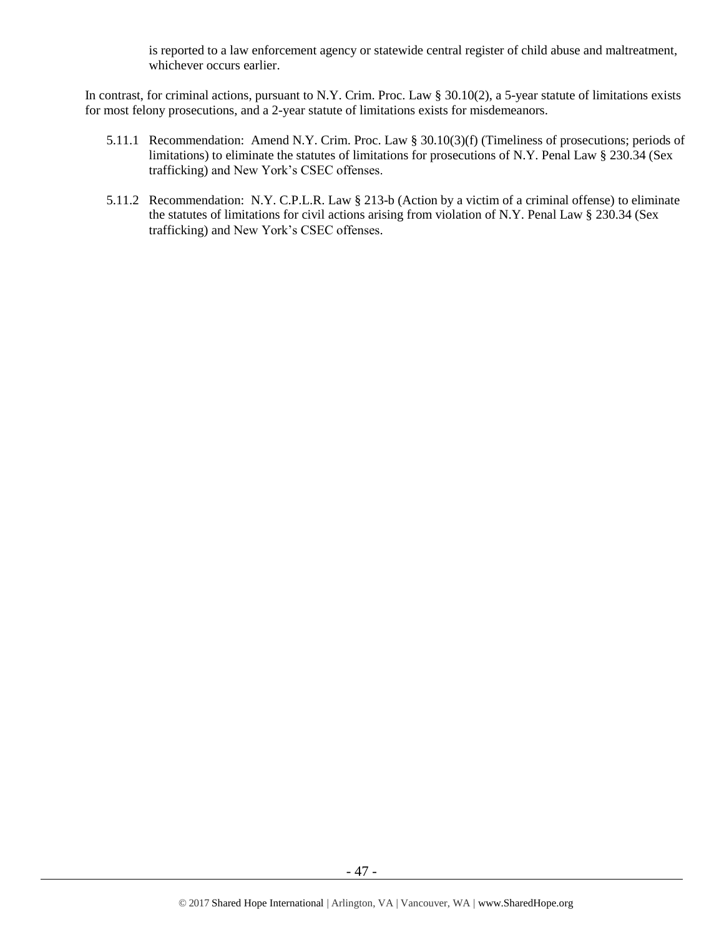is reported to a law enforcement agency or statewide central register of child abuse and maltreatment, whichever occurs earlier.

In contrast, for criminal actions, pursuant to N.Y. Crim. Proc. Law § 30.10(2), a 5-year statute of limitations exists for most felony prosecutions, and a 2-year statute of limitations exists for misdemeanors.

- 5.11.1 Recommendation: Amend N.Y. Crim. Proc. Law § 30.10(3)(f) (Timeliness of prosecutions; periods of limitations) to eliminate the statutes of limitations for prosecutions of N.Y. Penal Law § 230.34 (Sex trafficking) and New York's CSEC offenses.
- 5.11.2 Recommendation: N.Y. C.P.L.R. Law § 213-b (Action by a victim of a criminal offense) to eliminate the statutes of limitations for civil actions arising from violation of N.Y. Penal Law § 230.34 (Sex trafficking) and New York's CSEC offenses.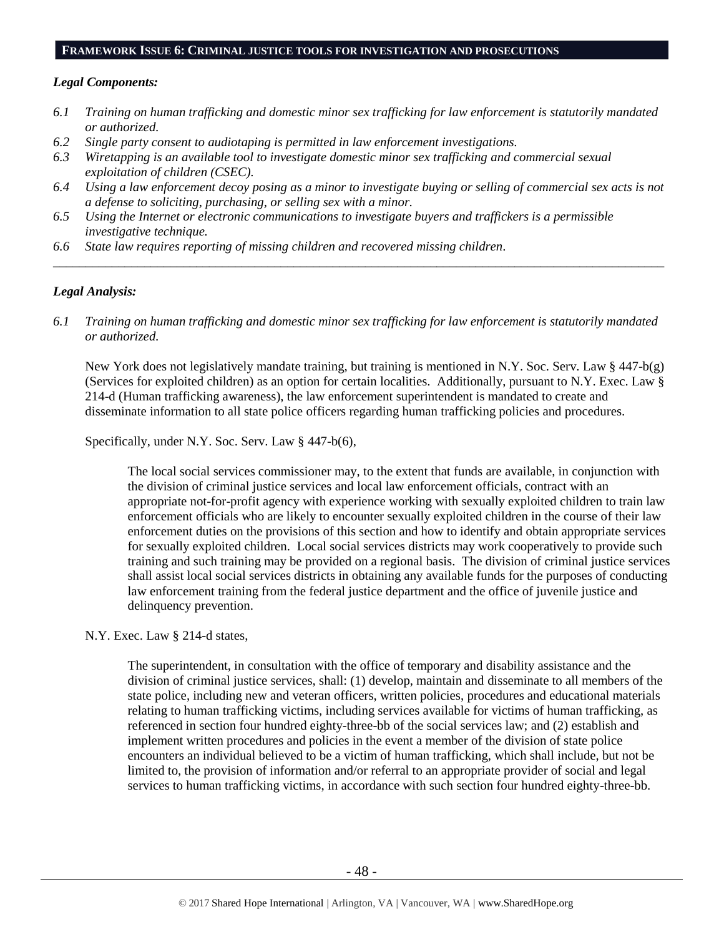#### **FRAMEWORK ISSUE 6: CRIMINAL JUSTICE TOOLS FOR INVESTIGATION AND PROSECUTIONS**

#### *Legal Components:*

- *6.1 Training on human trafficking and domestic minor sex trafficking for law enforcement is statutorily mandated or authorized.*
- *6.2 Single party consent to audiotaping is permitted in law enforcement investigations.*
- *6.3 Wiretapping is an available tool to investigate domestic minor sex trafficking and commercial sexual exploitation of children (CSEC).*
- *6.4 Using a law enforcement decoy posing as a minor to investigate buying or selling of commercial sex acts is not a defense to soliciting, purchasing, or selling sex with a minor.*

*\_\_\_\_\_\_\_\_\_\_\_\_\_\_\_\_\_\_\_\_\_\_\_\_\_\_\_\_\_\_\_\_\_\_\_\_\_\_\_\_\_\_\_\_\_\_\_\_\_\_\_\_\_\_\_\_\_\_\_\_\_\_\_\_\_\_\_\_\_\_\_\_\_\_\_\_\_\_\_\_\_\_\_\_\_\_\_\_\_\_\_\_\_\_*

- *6.5 Using the Internet or electronic communications to investigate buyers and traffickers is a permissible investigative technique.*
- *6.6 State law requires reporting of missing children and recovered missing children.*

### *Legal Analysis:*

*6.1 Training on human trafficking and domestic minor sex trafficking for law enforcement is statutorily mandated or authorized.*

New York does not legislatively mandate training, but training is mentioned in N.Y. Soc. Serv. Law § 447-b(g) (Services for exploited children) as an option for certain localities. Additionally, pursuant to N.Y. Exec. Law § 214-d (Human trafficking awareness), the law enforcement superintendent is mandated to create and disseminate information to all state police officers regarding human trafficking policies and procedures.

Specifically, under N.Y. Soc. Serv. Law § 447-b(6),

The local social services commissioner may, to the extent that funds are available, in conjunction with the division of criminal justice services and local law enforcement officials, contract with an appropriate not-for-profit agency with experience working with sexually exploited children to train law enforcement officials who are likely to encounter sexually exploited children in the course of their law enforcement duties on the provisions of this section and how to identify and obtain appropriate services for sexually exploited children. Local social services districts may work cooperatively to provide such training and such training may be provided on a regional basis. The division of criminal justice services shall assist local social services districts in obtaining any available funds for the purposes of conducting law enforcement training from the federal justice department and the office of juvenile justice and delinquency prevention.

N.Y. Exec. Law § 214-d states,

The superintendent, in consultation with the office of temporary and disability assistance and the division of criminal justice services, shall: (1) develop, maintain and disseminate to all members of the state police, including new and veteran officers, written policies, procedures and educational materials relating to human trafficking victims, including services available for victims of human trafficking, as referenced in section four hundred eighty-three-bb of the social services law; and (2) establish and implement written procedures and policies in the event a member of the division of state police encounters an individual believed to be a victim of human trafficking, which shall include, but not be limited to, the provision of information and/or referral to an appropriate provider of social and legal services to human trafficking victims, in accordance with such section four hundred eighty-three-bb.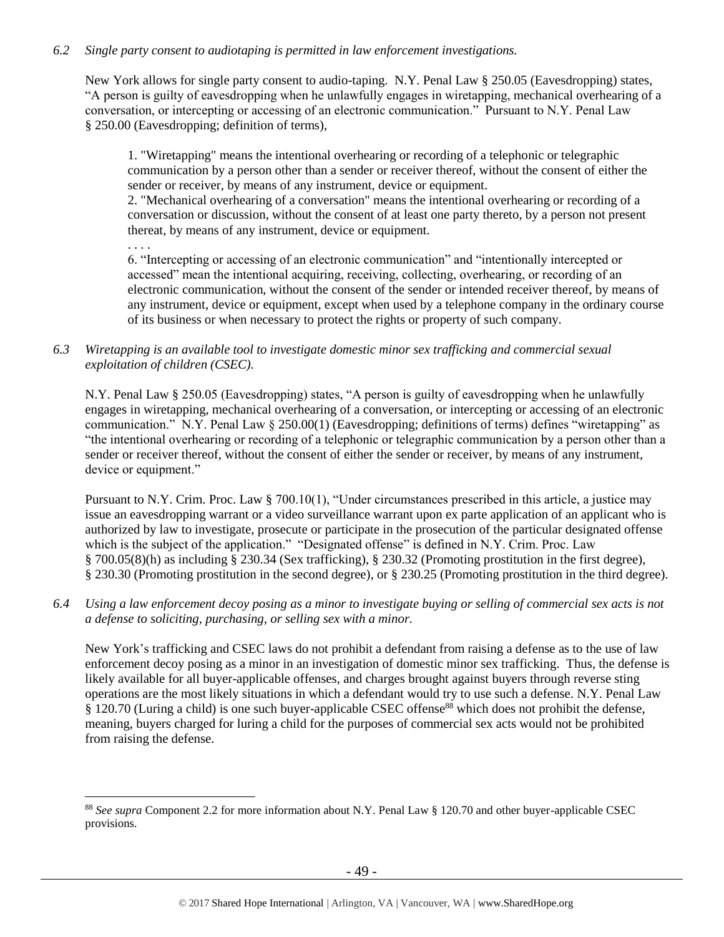### *6.2 Single party consent to audiotaping is permitted in law enforcement investigations.*

New York allows for single party consent to audio-taping. N.Y. Penal Law § 250.05 (Eavesdropping) states, "A person is guilty of eavesdropping when he unlawfully engages in wiretapping, mechanical overhearing of a conversation, or intercepting or accessing of an electronic communication." Pursuant to N.Y. Penal Law § 250.00 (Eavesdropping; definition of terms),

1. "Wiretapping" means the intentional overhearing or recording of a telephonic or telegraphic communication by a person other than a sender or receiver thereof, without the consent of either the sender or receiver, by means of any instrument, device or equipment.

2. "Mechanical overhearing of a conversation" means the intentional overhearing or recording of a conversation or discussion, without the consent of at least one party thereto, by a person not present thereat, by means of any instrument, device or equipment.

. . . .

 $\overline{a}$ 

6. "Intercepting or accessing of an electronic communication" and "intentionally intercepted or accessed" mean the intentional acquiring, receiving, collecting, overhearing, or recording of an electronic communication, without the consent of the sender or intended receiver thereof, by means of any instrument, device or equipment, except when used by a telephone company in the ordinary course of its business or when necessary to protect the rights or property of such company.

*6.3 Wiretapping is an available tool to investigate domestic minor sex trafficking and commercial sexual exploitation of children (CSEC).* 

N.Y. Penal Law § 250.05 (Eavesdropping) states, "A person is guilty of eavesdropping when he unlawfully engages in wiretapping, mechanical overhearing of a conversation, or intercepting or accessing of an electronic communication." N.Y. Penal Law § 250.00(1) (Eavesdropping; definitions of terms) defines "wiretapping" as "the intentional overhearing or recording of a telephonic or telegraphic communication by a person other than a sender or receiver thereof, without the consent of either the sender or receiver, by means of any instrument, device or equipment."

Pursuant to N.Y. Crim. Proc. Law § 700.10(1), "Under circumstances prescribed in this article, a justice may issue an eavesdropping warrant or a video surveillance warrant upon ex parte application of an applicant who is authorized by law to investigate, prosecute or participate in the prosecution of the particular designated offense which is the subject of the application." "Designated offense" is defined in N.Y. Crim. Proc. Law § 700.05(8)(h) as including § 230.34 (Sex trafficking), § 230.32 (Promoting prostitution in the first degree), § 230.30 (Promoting prostitution in the second degree), or § 230.25 (Promoting prostitution in the third degree).

*6.4 Using a law enforcement decoy posing as a minor to investigate buying or selling of commercial sex acts is not a defense to soliciting, purchasing, or selling sex with a minor.*

New York's trafficking and CSEC laws do not prohibit a defendant from raising a defense as to the use of law enforcement decoy posing as a minor in an investigation of domestic minor sex trafficking. Thus, the defense is likely available for all buyer-applicable offenses, and charges brought against buyers through reverse sting operations are the most likely situations in which a defendant would try to use such a defense. N.Y. Penal Law  $\frac{8}{3}$  120.70 (Luring a child) is one such buyer-applicable CSEC offense<sup>88</sup> which does not prohibit the defense, meaning, buyers charged for luring a child for the purposes of commercial sex acts would not be prohibited from raising the defense.

<sup>88</sup> *See supra* Component 2.2 for more information about N.Y. Penal Law § 120.70 and other buyer-applicable CSEC provisions.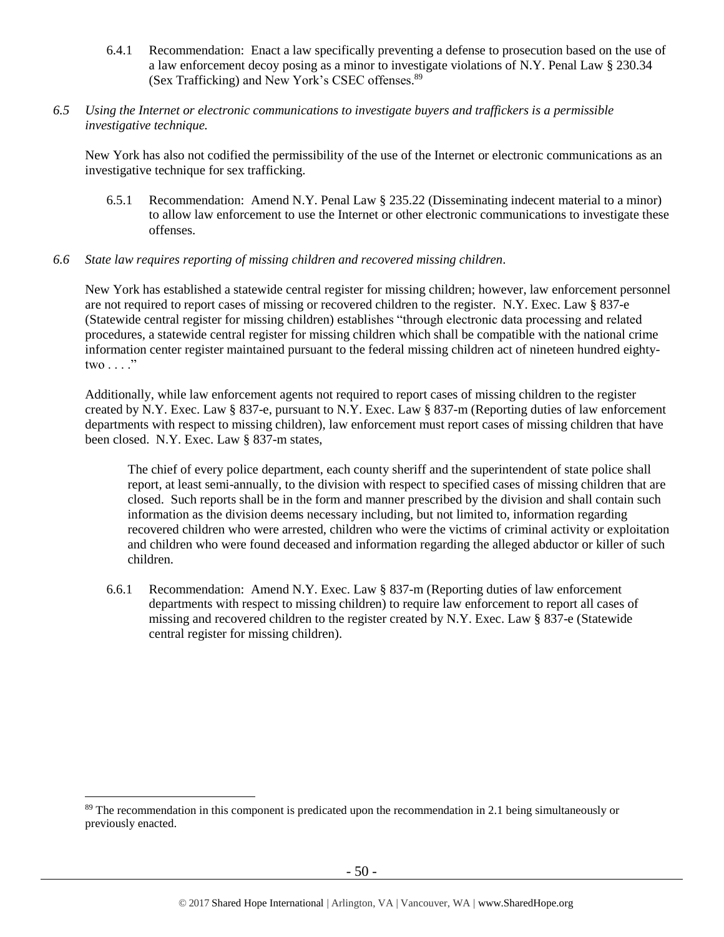- 6.4.1 Recommendation: Enact a law specifically preventing a defense to prosecution based on the use of a law enforcement decoy posing as a minor to investigate violations of N.Y. Penal Law § 230.34 (Sex Trafficking) and New York's CSEC offenses.<sup>89</sup>
- *6.5 Using the Internet or electronic communications to investigate buyers and traffickers is a permissible investigative technique.*

New York has also not codified the permissibility of the use of the Internet or electronic communications as an investigative technique for sex trafficking.

6.5.1 Recommendation: Amend N.Y. Penal Law § 235.22 (Disseminating indecent material to a minor) to allow law enforcement to use the Internet or other electronic communications to investigate these offenses.

#### *6.6 State law requires reporting of missing children and recovered missing children.*

New York has established a statewide central register for missing children; however, law enforcement personnel are not required to report cases of missing or recovered children to the register. N.Y. Exec. Law § 837-e (Statewide central register for missing children) establishes "through electronic data processing and related procedures, a statewide central register for missing children which shall be compatible with the national crime information center register maintained pursuant to the federal missing children act of nineteen hundred eightytwo  $\ldots$  ."

Additionally, while law enforcement agents not required to report cases of missing children to the register created by N.Y. Exec. Law § 837-e, pursuant to N.Y. Exec. Law § 837-m (Reporting duties of law enforcement departments with respect to missing children), law enforcement must report cases of missing children that have been closed. N.Y. Exec. Law § 837-m states,

The chief of every police department, each county sheriff and the superintendent of state police shall report, at least semi-annually, to the division with respect to specified cases of missing children that are closed. Such reports shall be in the form and manner prescribed by the division and shall contain such information as the division deems necessary including, but not limited to, information regarding recovered children who were arrested, children who were the victims of criminal activity or exploitation and children who were found deceased and information regarding the alleged abductor or killer of such children.

6.6.1 Recommendation: Amend N.Y. Exec. Law § 837-m (Reporting duties of law enforcement departments with respect to missing children) to require law enforcement to report all cases of missing and recovered children to the register created by N.Y. Exec. Law § 837-e (Statewide central register for missing children).

<sup>&</sup>lt;sup>89</sup> The recommendation in this component is predicated upon the recommendation in 2.1 being simultaneously or previously enacted.